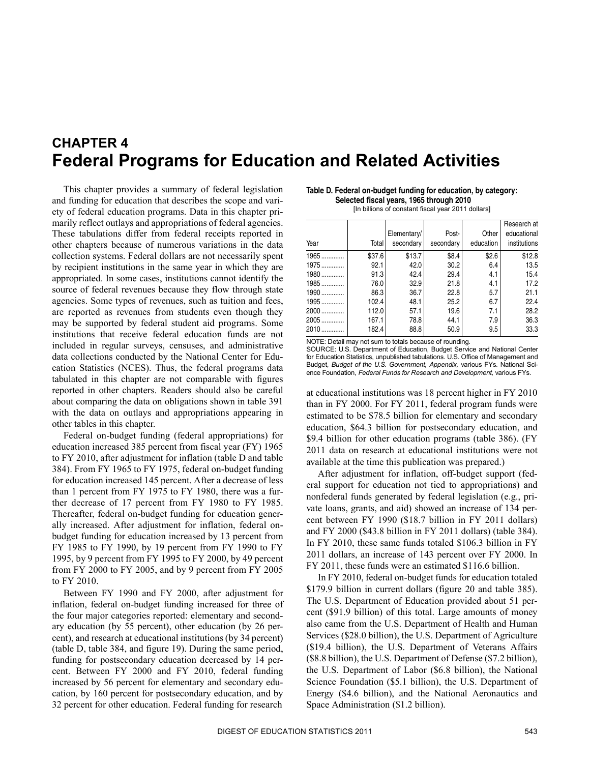# <span id="page-0-0"></span>**CHAPTER 4 Federal Programs for Education and Related Activities**

 source of federal revenues because they flow through state included in regular surveys, censuses, and administrative tabulated in this chapter are not comparable with figures with the data on outlays and appropriations appearing in This chapter provides a summary of federal legislation and funding for education that describes the scope and variety of federal education programs. Data in this chapter primarily reflect outlays and appropriations of federal agencies. These tabulations differ from federal receipts reported in other chapters because of numerous variations in the data collection systems. Federal dollars are not necessarily spent by recipient institutions in the same year in which they are appropriated. In some cases, institutions cannot identify the agencies. Some types of revenues, such as tuition and fees, are reported as revenues from students even though they may be supported by federal student aid programs. Some institutions that receive federal education funds are not data collections conducted by the National Center for Education Statistics (NCES). Thus, the federal programs data reported in other chapters. Readers should also be careful about comparing the data on obligations shown in table 391 other tables in this chapter.

 education increased 385 percent from fiscal year (FY) 1965 384). From FY 1965 to FY 1975, federal on-budget funding for education increased 145 percent. After a decrease of less to FY 2010. Federal on-budget funding (federal appropriations) for to FY 2010, after adjustment for inflation (table D and table than 1 percent from FY 1975 to FY 1980, there was a further decrease of 17 percent from FY 1980 to FY 1985. Thereafter, federal on-budget funding for education generally increased. After adjustment for inflation, federal onbudget funding for education increased by 13 percent from FY 1985 to FY 1990, by 19 percent from FY 1990 to FY 1995, by 9 percent from FY 1995 to FY 2000, by 49 percent from FY 2000 to FY 2005, and by 9 percent from FY 2005

 cent), and research at educational institutions (by 34 percent) Between FY 1990 and FY 2000, after adjustment for inflation, federal on-budget funding increased for three of the four major categories reported: elementary and secondary education (by 55 percent), other education (by 26 per-(table D, table 384, and figure 19). During the same period, funding for postsecondary education decreased by 14 percent. Between FY 2000 and FY 2010, federal funding increased by 56 percent for elementary and secondary education, by 160 percent for postsecondary education, and by 32 percent for other education. Federal funding for research

**Table D. Federal on-budget funding for education, by category: Selected fiscal years, 1965 through 2010**  [In billions of constant fiscal year 2011 dollars]

| Year   | Total  | Elementary/<br>secondary | Post-<br>secondary | Other<br>education | Research at<br>educational<br>institutions |
|--------|--------|--------------------------|--------------------|--------------------|--------------------------------------------|
| $1965$ | \$37.6 | \$13.7                   | \$8.4              | \$2.6              | \$12.8                                     |
| $1975$ | 92.1   | 42.0                     | 30.2               | 6.4                | 13.5                                       |
| $1980$ | 91.3   | 42.4                     | 29.4               | 4.1                | 15.4                                       |
| $1985$ | 76.0   | 32.9                     | 21.8               | 4.1                | 17.2                                       |
| $1990$ | 86.3   | 36.7                     | 22.8               | 5.7                | 21.1                                       |
| $1995$ | 102.4  | 48.1                     | 25.2               | 6.7                | 22.4                                       |
| $2000$ | 112.0  | 57.1                     | 19.6               | 7.1                | 28.2                                       |
| $2005$ | 167.1  | 78.8                     | 44.1               | 7.9                | 36.3                                       |
| 2010   | 182.4  | 88.8                     | 50.9               | 9.5                | 33.3                                       |

NOTE: Detail may not sum to totals because of rounding.

SOURCE: U.S. Department of Education, Budget Service and National Center for Education Statistics, unpublished tabulations. U.S. Office of Management and Budget, *Budget of the U.S. Government, Appendix,* various FYs. National Science Foundation, *Federal Funds for Research and Development,* various FYs.

 education, \$64.3 billion for postsecondary education, and 2011 data on research at educational institutions were not at educational institutions was 18 percent higher in FY 2010 than in FY 2000. For FY 2011, federal program funds were estimated to be \$78.5 billion for elementary and secondary \$9.4 billion for other education programs (table 386). (FY available at the time this publication was prepared.)

 vate loans, grants, and aid) showed an increase of 134 per- cent between FY 1990 (\$18.7 billion in FY 2011 dollars) In FY 2010, these same funds totaled \$106.3 billion in FY After adjustment for inflation, off-budget support (federal support for education not tied to appropriations) and nonfederal funds generated by federal legislation (e.g., priand FY 2000 (\$43.8 billion in FY 2011 dollars) (table 384). 2011 dollars, an increase of 143 percent over FY 2000. In FY 2011, these funds were an estimated \$116.6 billion.

 The U.S. Department of Education provided about 51 per- also came from the U.S. Department of Health and Human Energy (\$4.6 billion), and the National Aeronautics and In FY 2010, federal on-budget funds for education totaled \$179.9 billion in current dollars (figure 20 and table 385). cent (\$91.9 billion) of this total. Large amounts of money Services (\$28.0 billion), the U.S. Department of Agriculture (\$19.4 billion), the U.S. Department of Veterans Affairs (\$8.8 billion), the U.S. Department of Defense (\$7.2 billion), the U.S. Department of Labor (\$6.8 billion), the National Science Foundation (\$5.1 billion), the U.S. Department of Space Administration (\$1.2 billion).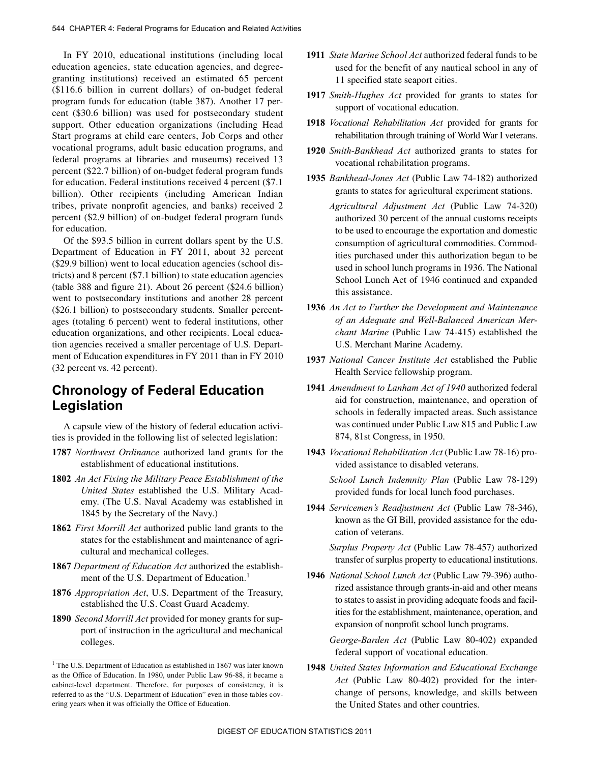In FY 2010, educational institutions (including local education agencies, state education agencies, and degree- granting institutions) received an estimated 65 percent percent (\$22.7 billion) of on-budget federal program funds (\$116.6 billion in current dollars) of on-budget federal program funds for education (table 387). Another 17 percent (\$30.6 billion) was used for postsecondary student support. Other education organizations (including Head Start programs at child care centers, Job Corps and other vocational programs, adult basic education programs, and federal programs at libraries and museums) received 13 for education. Federal institutions received 4 percent (\$7.1 billion). Other recipients (including American Indian tribes, private nonprofit agencies, and banks) received 2 percent (\$2.9 billion) of on-budget federal program funds for education.

 ages (totaling 6 percent) went to federal institutions, other ment of Education expenditures in FY 2011 than in FY 2010 Of the \$93.5 billion in current dollars spent by the U.S. Department of Education in FY 2011, about 32 percent (\$29.9 billion) went to local education agencies (school districts) and 8 percent (\$7.1 billion) to state education agencies (table 388 and figure 21). About 26 percent (\$24.6 billion) went to postsecondary institutions and another 28 percent (\$26.1 billion) to postsecondary students. Smaller percenteducation organizations, and other recipients. Local education agencies received a smaller percentage of U.S. Depart-(32 percent vs. 42 percent).

## **Chronology of Federal Education Legislation**

A capsule view of the history of federal education activities is provided in the following list of selected legislation:

- **1787** *Northwest Ordinance* authorized land grants for the establishment of educational institutions.
- **1802** *An Act Fixing the Military Peace Establishment of the United States* established the U.S. Military Academy. (The U.S. Naval Academy was established in 1845 by the Secretary of the Navy.)
- **1862** *First Morrill Act* authorized public land grants to the states for the establishment and maintenance of agricultural and mechanical colleges.
- **1867** *Department of Education Act* authorized the establishment of the U.S. Department of Education.<sup>1</sup>
- **1876** *Appropriation Act*, U.S. Department of the Treasury, established the U.S. Coast Guard Academy.
- **1890** *Second Morrill Act* provided for money grants for support of instruction in the agricultural and mechanical colleges.
- used for the benefit of any nautical school in any of **1911** *State Marine School Act* authorized federal funds to be 11 specified state seaport cities.
- **1917** *Smith-Hughes Act* provided for grants to states for support of vocational education.
- **1918** *Vocational Rehabilitation Act* provided for grants for rehabilitation through training of World War I veterans.
- **1920** *Smith-Bankhead Act* authorized grants to states for vocational rehabilitation programs.
- **1935** *Bankhead-Jones Act* (Public Law 74-182) authorized grants to states for agricultural experiment stations.

*Agricultural Adjustment Act* (Public Law 74-320) authorized 30 percent of the annual customs receipts to be used to encourage the exportation and domestic consumption of agricultural commodities. Commodities purchased under this authorization began to be used in school lunch programs in 1936. The National School Lunch Act of 1946 continued and expanded this assistance.

- **1936** *An Act to Further the Development and Maintenance of an Adequate and Well-Balanced American Merchant Marine* (Public Law 74-415) established the U.S. Merchant Marine Academy.
- **1937** *National Cancer Institute Act* established the Public Health Service fellowship program.
- **1941** *Amendment to Lanham Act of 1940* authorized federal was continued under Public Law 815 and Public Law aid for construction, maintenance, and operation of schools in federally impacted areas. Such assistance 874, 81st Congress, in 1950.
- **1943** *Vocational Rehabilitation Act* (Public Law 78-16) provided assistance to disabled veterans.

*School Lunch Indemnity Plan* (Public Law 78-129) provided funds for local lunch food purchases.

**1944** *Servicemen's Readjustment Act* (Public Law 78-346), known as the GI Bill, provided assistance for the education of veterans.

*Surplus Property Act* (Public Law 78-457) authorized transfer of surplus property to educational institutions.

**1946** *National School Lunch Act* (Public Law 79-396) authorized assistance through grants-in-aid and other means to states to assist in providing adequate foods and facilities for the establishment, maintenance, operation, and expansion of nonprofit school lunch programs.

*George-Barden Act* (Public Law 80-402) expanded federal support of vocational education.

**1948** *United States Information and Educational Exchange Act* (Public Law 80-402) provided for the interchange of persons, knowledge, and skills between the United States and other countries.

<sup>&</sup>lt;sup>1</sup> The U.S. Department of Education as established in 1867 was later known as the Office of Education. In 1980, under Public Law 96-88, it became a cabinet-level department. Therefore, for purposes of consistency, it is referred to as the "U.S. Department of Education" even in those tables covering years when it was officially the Office of Education.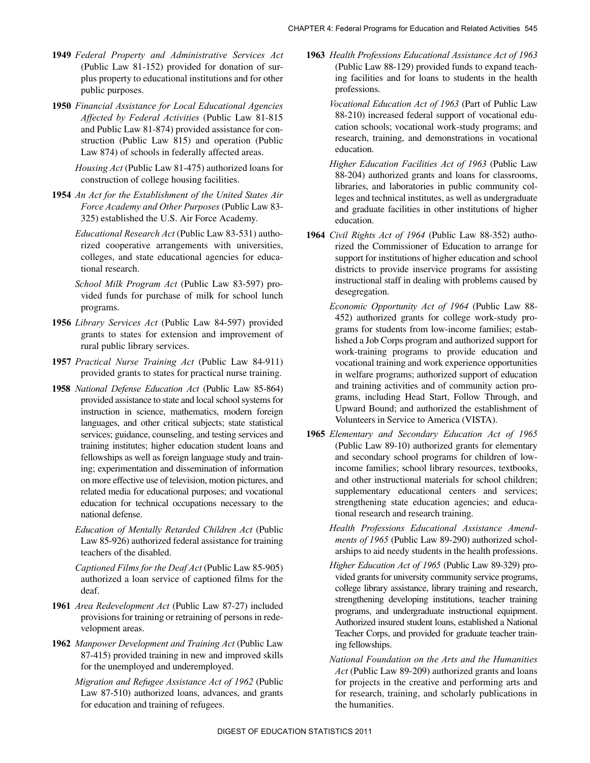- **1949** *Federal Property and Administrative Services Act*  (Public Law 81-152) provided for donation of surplus property to educational institutions and for other public purposes.
- struction (Public Law 815) and operation (Public **1950** *Financial Assistance for Local Educational Agencies Affected by Federal Activities* (Public Law 81-815 and Public Law 81-874) provided assistance for con-Law 874) of schools in federally affected areas.

*Housing Act* (Public Law 81-475) authorized loans for construction of college housing facilities.

**1954** *An Act for the Establishment of the United States Air Force Academy and Other Purposes* (Public Law 83- 325) established the U.S. Air Force Academy.

*Educational Research Act* (Public Law 83-531) authorized cooperative arrangements with universities, colleges, and state educational agencies for educational research.

*School Milk Program Act* (Public Law 83-597) provided funds for purchase of milk for school lunch programs.

- **1956** *Library Services Act* (Public Law 84-597) provided grants to states for extension and improvement of rural public library services.
- **1957** *Practical Nurse Training Act* (Public Law 84-911) provided grants to states for practical nurse training.
- **1958** *National Defense Education Act* (Public Law 85-864) provided assistance to state and local school systems for instruction in science, mathematics, modern foreign languages, and other critical subjects; state statistical services; guidance, counseling, and testing services and training institutes; higher education student loans and fellowships as well as foreign language study and training; experimentation and dissemination of information on more effective use of television, motion pictures, and related media for educational purposes; and vocational education for technical occupations necessary to the national defense.
	- *Education of Mentally Retarded Children Act* (Public Law 85-926) authorized federal assistance for training teachers of the disabled.

*Captioned Films for the Deaf Act* (Public Law 85-905) authorized a loan service of captioned films for the deaf.

- **1961** *Area Redevelopment Act* (Public Law 87-27) included provisions for training or retraining of persons in redevelopment areas.
- 87-415) provided training in new and improved skills **1962** *Manpower Development and Training Act* (Public Law for the unemployed and underemployed.
	- *Migration and Refugee Assistance Act of 1962* (Public Law 87-510) authorized loans, advances, and grants for education and training of refugees.
- ing facilities and for loans to students in the health **1963** *Health Professions Educational Assistance Act of 1963*  (Public Law 88-129) provided funds to expand teachprofessions.
	- *Vocational Education Act of 1963* (Part of Public Law 88-210) increased federal support of vocational education schools; vocational work-study programs; and research, training, and demonstrations in vocational education.
	- and graduate facilities in other institutions of higher *Higher Education Facilities Act of 1963* (Public Law 88-204) authorized grants and loans for classrooms, libraries, and laboratories in public community colleges and technical institutes, as well as undergraduate education.
- **1964** *Civil Rights Act of 1964* (Public Law 88-352) authorized the Commissioner of Education to arrange for support for institutions of higher education and school districts to provide inservice programs for assisting instructional staff in dealing with problems caused by desegregation.
	- *Economic Opportunity Act of 1964* (Public Law 88- Upward Bound; and authorized the establishment of 452) authorized grants for college work-study programs for students from low-income families; established a Job Corps program and authorized support for work-training programs to provide education and vocational training and work experience opportunities in welfare programs; authorized support of education and training activities and of community action programs, including Head Start, Follow Through, and Volunteers in Service to America (VISTA).
- **1965** *Elementary and Secondary Education Act of 1965*  (Public Law 89-10) authorized grants for elementary and secondary school programs for children of lowincome families; school library resources, textbooks, and other instructional materials for school children; supplementary educational centers and services; strengthening state education agencies; and educational research and research training.
	- *Health Professions Educational Assistance Amendments of 1965* (Public Law 89-290) authorized scholarships to aid needy students in the health professions.
	- vided grants for university community service programs, *Higher Education Act of 1965* (Public Law 89-329) procollege library assistance, library training and research, strengthening developing institutions, teacher training programs, and undergraduate instructional equipment. Authorized insured student loans, established a National Teacher Corps, and provided for graduate teacher training fellowships.
	- *National Foundation on the Arts and the Humanities Act* (Public Law 89-209) authorized grants and loans for projects in the creative and performing arts and for research, training, and scholarly publications in the humanities.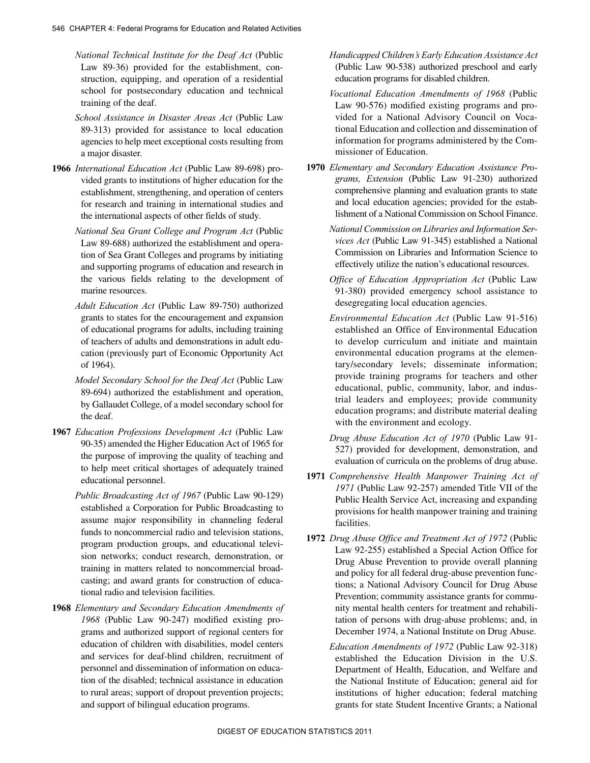*National Technical Institute for the Deaf Act* (Public Law 89-36) provided for the establishment, construction, equipping, and operation of a residential school for postsecondary education and technical training of the deaf.

- 89-313) provided for assistance to local education *School Assistance in Disaster Areas Act* (Public Law agencies to help meet exceptional costs resulting from a major disaster.
- for research and training in international studies and **1966** *International Education Act* (Public Law 89-698) provided grants to institutions of higher education for the establishment, strengthening, and operation of centers the international aspects of other fields of study.
	- *National Sea Grant College and Program Act* (Public Law 89-688) authorized the establishment and operation of Sea Grant Colleges and programs by initiating and supporting programs of education and research in the various fields relating to the development of marine resources.
	- *Adult Education Act* (Public Law 89-750) authorized grants to states for the encouragement and expansion of educational programs for adults, including training of teachers of adults and demonstrations in adult education (previously part of Economic Opportunity Act of 1964).
	- *Model Secondary School for the Deaf Act* (Public Law 89-694) authorized the establishment and operation, by Gallaudet College, of a model secondary school for the deaf.
- **1967** *Education Professions Development Act* (Public Law 90-35) amended the Higher Education Act of 1965 for the purpose of improving the quality of teaching and to help meet critical shortages of adequately trained educational personnel.
	- *Public Broadcasting Act of 1967* (Public Law 90-129) established a Corporation for Public Broadcasting to assume major responsibility in channeling federal funds to noncommercial radio and television stations, program production groups, and educational television networks; conduct research, demonstration, or training in matters related to noncommercial broadcasting; and award grants for construction of educational radio and television facilities.
- tion of the disabled; technical assistance in education **1968** *Elementary and Secondary Education Amendments of 1968* (Public Law 90-247) modified existing programs and authorized support of regional centers for education of children with disabilities, model centers and services for deaf-blind children, recruitment of personnel and dissemination of information on educato rural areas; support of dropout prevention projects; and support of bilingual education programs.

*Handicapped Children's Early Education Assistance Act*  (Public Law 90-538) authorized preschool and early education programs for disabled children.

*Vocational Education Amendments of 1968* (Public Law 90-576) modified existing programs and provided for a National Advisory Council on Vocational Education and collection and dissemination of information for programs administered by the Commissioner of Education.

- lishment of a National Commission on School Finance. **1970** *Elementary and Secondary Education Assistance Programs, Extension* (Public Law 91-230) authorized comprehensive planning and evaluation grants to state and local education agencies; provided for the estab-
	- *National Commission on Libraries and Information Services Act* (Public Law 91-345) established a National Commission on Libraries and Information Science to effectively utilize the nation's educational resources.
	- *Office of Education Appropriation Act* (Public Law 91-380) provided emergency school assistance to desegregating local education agencies.
	- *Environmental Education Act* (Public Law 91-516) established an Office of Environmental Education to develop curriculum and initiate and maintain environmental education programs at the elementary/secondary levels; disseminate information; provide training programs for teachers and other educational, public, community, labor, and industrial leaders and employees; provide community education programs; and distribute material dealing with the environment and ecology.

*Drug Abuse Education Act of 1970* (Public Law 91- 527) provided for development, demonstration, and evaluation of curricula on the problems of drug abuse.

- **1971** *Comprehensive Health Manpower Training Act of 1971* (Public Law 92-257) amended Title VII of the Public Health Service Act, increasing and expanding provisions for health manpower training and training facilities.
- Drug Abuse Prevention to provide overall planning December 1974, a National Institute on Drug Abuse. **1972** *Drug Abuse Office and Treatment Act of 1972* (Public Law 92-255) established a Special Action Office for and policy for all federal drug-abuse prevention functions; a National Advisory Council for Drug Abuse Prevention; community assistance grants for community mental health centers for treatment and rehabilitation of persons with drug-abuse problems; and, in
	- the National Institute of Education; general aid for *Education Amendments of 1972* (Public Law 92-318) established the Education Division in the U.S. Department of Health, Education, and Welfare and institutions of higher education; federal matching grants for state Student Incentive Grants; a National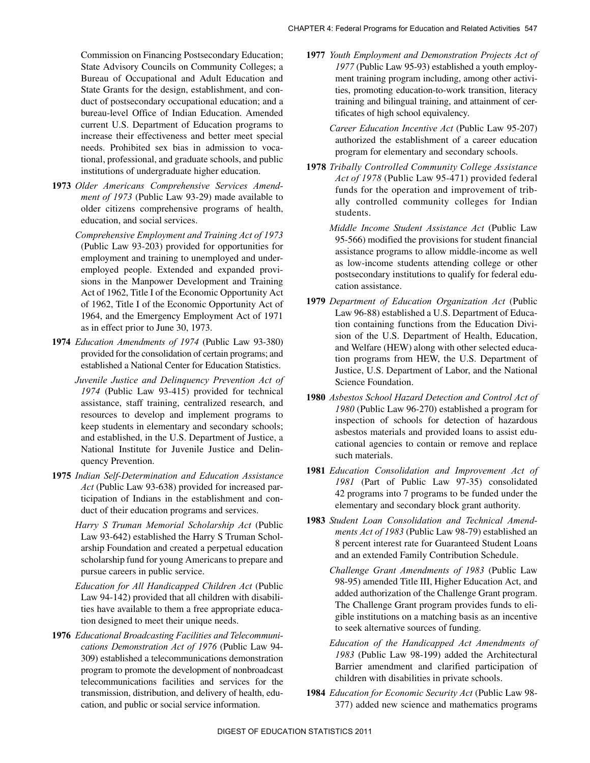Commission on Financing Postsecondary Education; State Advisory Councils on Community Colleges; a Bureau of Occupational and Adult Education and State Grants for the design, establishment, and conduct of postsecondary occupational education; and a bureau-level Office of Indian Education. Amended current U.S. Department of Education programs to increase their effectiveness and better meet special needs. Prohibited sex bias in admission to vocational, professional, and graduate schools, and public institutions of undergraduate higher education.

- *ment of 1973* (Public Law 93-29) made available to **1973** *Older Americans Comprehensive Services Amend*older citizens comprehensive programs of health, education, and social services.
	- of 1962, Title I of the Economic Opportunity Act of *Comprehensive Employment and Training Act of 1973*  (Public Law 93-203) provided for opportunities for employment and training to unemployed and underemployed people. Extended and expanded provisions in the Manpower Development and Training Act of 1962, Title I of the Economic Opportunity Act 1964, and the Emergency Employment Act of 1971 as in effect prior to June 30, 1973.
- **1974** *Education Amendments of 1974* (Public Law 93-380) provided for the consolidation of certain programs; and established a National Center for Education Statistics.
	- *Juvenile Justice and Delinquency Prevention Act of 1974* (Public Law 93-415) provided for technical assistance, staff training, centralized research, and resources to develop and implement programs to keep students in elementary and secondary schools; and established, in the U.S. Department of Justice, a National Institute for Juvenile Justice and Delinquency Prevention.
- **1975** *Indian Self-Determination and Education Assistance Act* (Public Law 93-638) provided for increased participation of Indians in the establishment and conduct of their education programs and services.
	- *Harry S Truman Memorial Scholarship Act* (Public Law 93-642) established the Harry S Truman Scholarship Foundation and created a perpetual education scholarship fund for young Americans to prepare and pursue careers in public service.
	- *Education for All Handicapped Children Act* (Public Law 94-142) provided that all children with disabilities have available to them a free appropriate education designed to meet their unique needs.
- **1976** *Educational Broadcasting Facilities and Telecommunications Demonstration Act of 1976* (Public Law 94- 309) established a telecommunications demonstration program to promote the development of nonbroadcast telecommunications facilities and services for the transmission, distribution, and delivery of health, education, and public or social service information.
- **1977** *Youth Employment and Demonstration Projects Act of 1977* (Public Law 95-93) established a youth employment training program including, among other activities, promoting education-to-work transition, literacy training and bilingual training, and attainment of certificates of high school equivalency.
	- *Career Education Incentive Act* (Public Law 95-207) authorized the establishment of a career education program for elementary and secondary schools.
- **1978** *Tribally Controlled Community College Assistance Act of 1978* (Public Law 95-471) provided federal funds for the operation and improvement of tribally controlled community colleges for Indian students.
	- *Middle Income Student Assistance Act* (Public Law 95-566) modified the provisions for student financial assistance programs to allow middle-income as well as low-income students attending college or other postsecondary institutions to qualify for federal education assistance.
- sion of the U.S. Department of Health, Education, tion programs from HEW, the U.S. Department of **1979** *Department of Education Organization Act* (Public Law 96-88) established a U.S. Department of Education containing functions from the Education Diviand Welfare (HEW) along with other selected educa-Justice, U.S. Department of Labor, and the National Science Foundation.
- **1980** *Asbestos School Hazard Detection and Control Act of 1980* (Public Law 96-270) established a program for inspection of schools for detection of hazardous asbestos materials and provided loans to assist educational agencies to contain or remove and replace such materials.
- *1981* (Part of Public Law 97-35) consolidated **1981** *Education Consolidation and Improvement Act of*  42 programs into 7 programs to be funded under the elementary and secondary block grant authority.
- **1983** *Student Loan Consolidation and Technical Amendments Act of 1983* (Public Law 98-79) established an 8 percent interest rate for Guaranteed Student Loans and an extended Family Contribution Schedule.
	- added authorization of the Challenge Grant program. gible institutions on a matching basis as an incentive *Challenge Grant Amendments of 1983* (Public Law 98-95) amended Title III, Higher Education Act, and The Challenge Grant program provides funds to elito seek alternative sources of funding.
	- *Education of the Handicapped Act Amendments of 1983* (Public Law 98-199) added the Architectural Barrier amendment and clarified participation of children with disabilities in private schools.
- **1984** *Education for Economic Security Act* (Public Law 98- 377) added new science and mathematics programs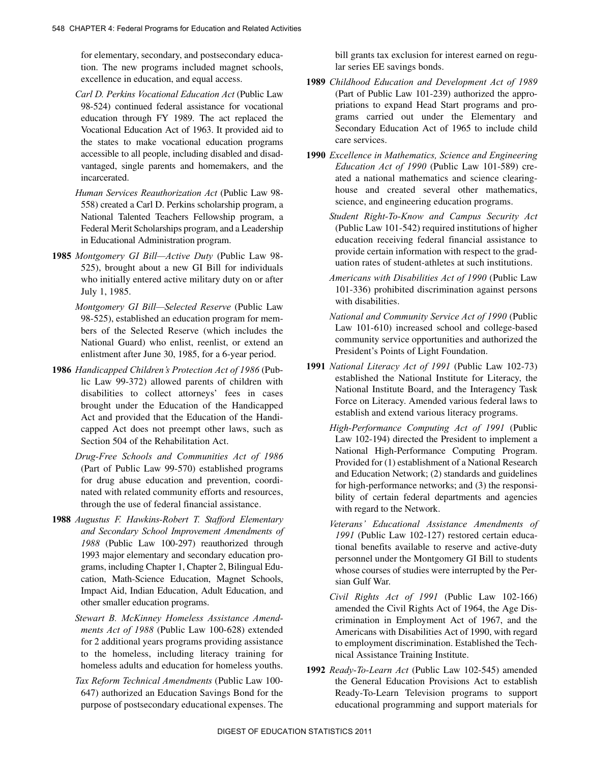for elementary, secondary, and postsecondary education. The new programs included magnet schools, excellence in education, and equal access.

- *Carl D. Perkins Vocational Education Act* (Public Law 98-524) continued federal assistance for vocational education through FY 1989. The act replaced the Vocational Education Act of 1963. It provided aid to the states to make vocational education programs accessible to all people, including disabled and disadvantaged, single parents and homemakers, and the incarcerated.
- *Human Services Reauthorization Act* (Public Law 98- 558) created a Carl D. Perkins scholarship program, a National Talented Teachers Fellowship program, a Federal Merit Scholarships program, and a Leadership in Educational Administration program.
- **1985** *Montgomery GI Bill—Active Duty* (Public Law 98- 525), brought about a new GI Bill for individuals who initially entered active military duty on or after July 1, 1985.
	- *Montgomery GI Bill—Selected Reserve* (Public Law 98-525), established an education program for members of the Selected Reserve (which includes the National Guard) who enlist, reenlist, or extend an enlistment after June 30, 1985, for a 6-year period.
- **1986** *Handicapped Children's Protection Act of 1986* (Public Law 99-372) allowed parents of children with disabilities to collect attorneys' fees in cases brought under the Education of the Handicapped Act and provided that the Education of the Handicapped Act does not preempt other laws, such as Section 504 of the Rehabilitation Act.
	- *Drug-Free Schools and Communities Act of 1986*  (Part of Public Law 99-570) established programs for drug abuse education and prevention, coordinated with related community efforts and resources, through the use of federal financial assistance.
- Impact Aid, Indian Education, Adult Education, and **1988** *Augustus F. Hawkins-Robert T. Stafford Elementary and Secondary School Improvement Amendments of 1988* (Public Law 100-297) reauthorized through 1993 major elementary and secondary education programs, including Chapter 1, Chapter 2, Bilingual Education, Math-Science Education, Magnet Schools, other smaller education programs.
	- *Stewart B. McKinney Homeless Assistance Amendments Act of 1988* (Public Law 100-628) extended for 2 additional years programs providing assistance to the homeless, including literacy training for homeless adults and education for homeless youths.
	- *Tax Reform Technical Amendments* (Public Law 100- 647) authorized an Education Savings Bond for the purpose of postsecondary educational expenses. The

bill grants tax exclusion for interest earned on regular series EE savings bonds.

- **1989** *Childhood Education and Development Act of 1989*  (Part of Public Law 101-239) authorized the appropriations to expand Head Start programs and programs carried out under the Elementary and Secondary Education Act of 1965 to include child care services.
- **1990** *Excellence in Mathematics, Science and Engineering Education Act of 1990* (Public Law 101-589) created a national mathematics and science clearinghouse and created several other mathematics, science, and engineering education programs.
	- provide certain information with respect to the grad-*Student Right-To-Know and Campus Security Act*  (Public Law 101-542) required institutions of higher education receiving federal financial assistance to uation rates of student-athletes at such institutions.
	- *Americans with Disabilities Act of 1990* (Public Law 101-336) prohibited discrimination against persons with disabilities.
	- *National and Community Service Act of 1990* (Public Law 101-610) increased school and college-based community service opportunities and authorized the President's Points of Light Foundation.
- **1991** *National Literacy Act of 1991* (Public Law 102-73) established the National Institute for Literacy, the National Institute Board, and the Interagency Task Force on Literacy. Amended various federal laws to establish and extend various literacy programs.
	- *High-Performance Computing Act of 1991* (Public Law 102-194) directed the President to implement a National High-Performance Computing Program. Provided for (1) establishment of a National Research and Education Network; (2) standards and guidelines for high-performance networks; and (3) the responsibility of certain federal departments and agencies with regard to the Network.
	- *Veterans' Educational Assistance Amendments of 1991* (Public Law 102-127) restored certain educational benefits available to reserve and active-duty personnel under the Montgomery GI Bill to students whose courses of studies were interrupted by the Persian Gulf War.
	- amended the Civil Rights Act of 1964, the Age Dis-*Civil Rights Act of 1991* (Public Law 102-166) crimination in Employment Act of 1967, and the Americans with Disabilities Act of 1990, with regard to employment discrimination. Established the Technical Assistance Training Institute.
- **1992** *Ready-To-Learn Act* (Public Law 102-545) amended the General Education Provisions Act to establish Ready-To-Learn Television programs to support educational programming and support materials for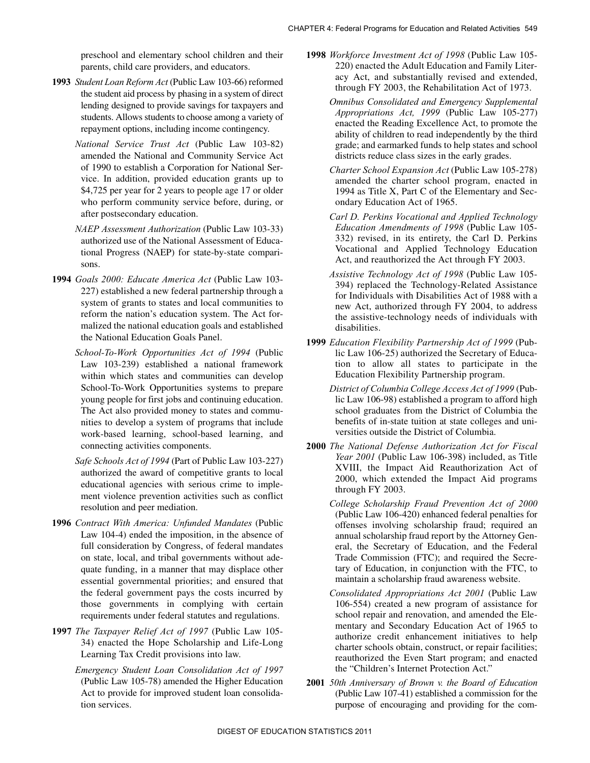preschool and elementary school children and their parents, child care providers, and educators.

- lending designed to provide savings for taxpayers and **1993** *Student Loan Reform Act* (Public Law 103-66) reformed the student aid process by phasing in a system of direct students. Allows students to choose among a variety of repayment options, including income contingency.
	- of 1990 to establish a Corporation for National Ser-*National Service Trust Act* (Public Law 103-82) amended the National and Community Service Act vice. In addition, provided education grants up to \$4,725 per year for 2 years to people age 17 or older who perform community service before, during, or after postsecondary education.
	- *NAEP Assessment Authorization* (Public Law 103-33) authorized use of the National Assessment of Educational Progress (NAEP) for state-by-state comparisons.
- **1994** *Goals 2000: Educate America Act* (Public Law 103- 227) established a new federal partnership through a system of grants to states and local communities to reform the nation's education system. The Act formalized the national education goals and established the National Education Goals Panel.
	- young people for first jobs and continuing education. *School-To-Work Opportunities Act of 1994* (Public Law 103-239) established a national framework within which states and communities can develop School-To-Work Opportunities systems to prepare The Act also provided money to states and communities to develop a system of programs that include work-based learning, school-based learning, and connecting activities components.
	- *Safe Schools Act of 1994* (Part of Public Law 103-227) authorized the award of competitive grants to local educational agencies with serious crime to implement violence prevention activities such as conflict resolution and peer mediation.
- quate funding, in a manner that may displace other **1996** *Contract With America: Unfunded Mandates* (Public Law 104-4) ended the imposition, in the absence of full consideration by Congress, of federal mandates on state, local, and tribal governments without adeessential governmental priorities; and ensured that the federal government pays the costs incurred by those governments in complying with certain requirements under federal statutes and regulations.
- **1997** *The Taxpayer Relief Act of 1997* (Public Law 105- 34) enacted the Hope Scholarship and Life-Long Learning Tax Credit provisions into law.
	- *Emergency Student Loan Consolidation Act of 1997*  (Public Law 105-78) amended the Higher Education Act to provide for improved student loan consolidation services.
- **1998** *Workforce Investment Act of 1998* (Public Law 105- 220) enacted the Adult Education and Family Literacy Act, and substantially revised and extended, through FY 2003, the Rehabilitation Act of 1973.
	- ability of children to read independently by the third grade; and earmarked funds to help states and school *Omnibus Consolidated and Emergency Supplemental Appropriations Act, 1999* (Public Law 105-277) enacted the Reading Excellence Act, to promote the districts reduce class sizes in the early grades.
	- *Charter School Expansion Act* (Public Law 105-278) amended the charter school program, enacted in 1994 as Title X, Part C of the Elementary and Secondary Education Act of 1965.
	- *Carl D. Perkins Vocational and Applied Technology Education Amendments of 1998* (Public Law 105- 332) revised, in its entirety, the Carl D. Perkins Vocational and Applied Technology Education Act, and reauthorized the Act through FY 2003.
	- for Individuals with Disabilities Act of 1988 with a *Assistive Technology Act of 1998* (Public Law 105- 394) replaced the Technology-Related Assistance new Act, authorized through FY 2004, to address the assistive-technology needs of individuals with disabilities.
- **1999** *Education Flexibility Partnership Act of 1999* (Public Law 106-25) authorized the Secretary of Education to allow all states to participate in the Education Flexibility Partnership program.
	- *District of Columbia College Access Act of 1999* (Public Law 106-98) established a program to afford high school graduates from the District of Columbia the benefits of in-state tuition at state colleges and universities outside the District of Columbia.
- **2000** *The National Defense Authorization Act for Fiscal Year 2001* (Public Law 106-398) included, as Title XVIII, the Impact Aid Reauthorization Act of 2000, which extended the Impact Aid programs through FY 2003.
	- offenses involving scholarship fraud; required an *College Scholarship Fraud Prevention Act of 2000*  (Public Law 106-420) enhanced federal penalties for annual scholarship fraud report by the Attorney General, the Secretary of Education, and the Federal Trade Commission (FTC); and required the Secretary of Education, in conjunction with the FTC, to maintain a scholarship fraud awareness website.
	- *Consolidated Appropriations Act 2001* (Public Law 106-554) created a new program of assistance for school repair and renovation, and amended the Elementary and Secondary Education Act of 1965 to authorize credit enhancement initiatives to help charter schools obtain, construct, or repair facilities; reauthorized the Even Start program; and enacted the "Children's Internet Protection Act."
- **2001** *50th Anniversary of Brown v. the Board of Education*  (Public Law 107-41) established a commission for the purpose of encouraging and providing for the com-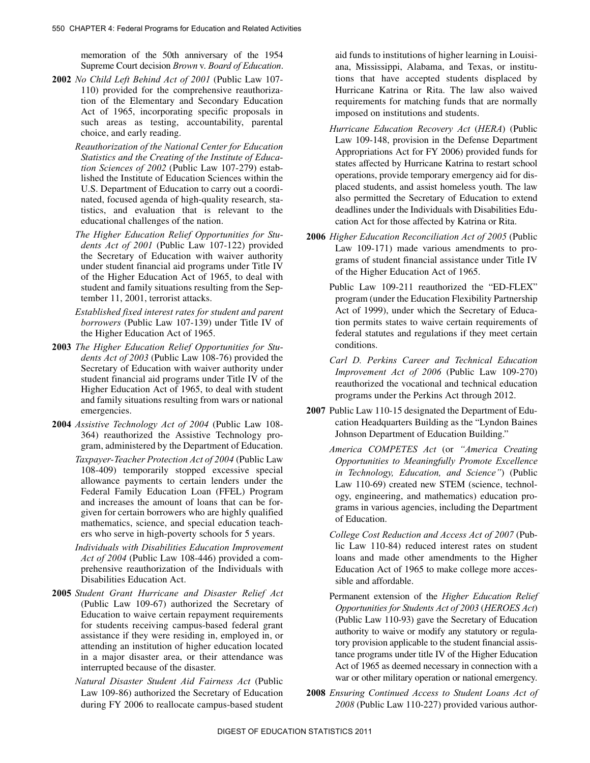memoration of the 50th anniversary of the 1954 Supreme Court decision *Brown* v. *Board of Education*.

- **2002** *No Child Left Behind Act of 2001* (Public Law 107- 110) provided for the comprehensive reauthorization of the Elementary and Secondary Education Act of 1965, incorporating specific proposals in such areas as testing, accountability, parental choice, and early reading.
	- tistics, and evaluation that is relevant to the *Reauthorization of the National Center for Education Statistics and the Creating of the Institute of Education Sciences of 2002* (Public Law 107-279) established the Institute of Education Sciences within the U.S. Department of Education to carry out a coordinated, focused agenda of high-quality research, staeducational challenges of the nation.
	- under student financial aid programs under Title IV *The Higher Education Relief Opportunities for Students Act of 2001* (Public Law 107-122) provided the Secretary of Education with waiver authority of the Higher Education Act of 1965, to deal with student and family situations resulting from the September 11, 2001, terrorist attacks.
	- *Established fixed interest rates for student and parent borrowers* (Public Law 107-139) under Title IV of the Higher Education Act of 1965.
- **2003** *The Higher Education Relief Opportunities for Students Act of 2003* (Public Law 108-76) provided the Secretary of Education with waiver authority under student financial aid programs under Title IV of the Higher Education Act of 1965, to deal with student and family situations resulting from wars or national emergencies.
- **2004** *Assistive Technology Act of 2004* (Public Law 108- 364) reauthorized the Assistive Technology program, administered by the Department of Education.
	- *Taxpayer-Teacher Protection Act of 2004* (Public Law 108-409) temporarily stopped excessive special allowance payments to certain lenders under the Federal Family Education Loan (FFEL) Program and increases the amount of loans that can be forgiven for certain borrowers who are highly qualified mathematics, science, and special education teachers who serve in high-poverty schools for 5 years.
	- prehensive reauthorization of the Individuals with *Individuals with Disabilities Education Improvement Act of 2004* (Public Law 108-446) provided a com-Disabilities Education Act.
- in a major disaster area, or their attendance was **2005** *Student Grant Hurricane and Disaster Relief Act*  (Public Law 109-67) authorized the Secretary of Education to waive certain repayment requirements for students receiving campus-based federal grant assistance if they were residing in, employed in, or attending an institution of higher education located interrupted because of the disaster.
	- *Natural Disaster Student Aid Fairness Act* (Public Law 109-86) authorized the Secretary of Education during FY 2006 to reallocate campus-based student

aid funds to institutions of higher learning in Louisiana, Mississippi, Alabama, and Texas, or institutions that have accepted students displaced by Hurricane Katrina or Rita. The law also waived requirements for matching funds that are normally imposed on institutions and students.

- cation Act for those affected by Katrina or Rita. *Hurricane Education Recovery Act* (*HERA*) (Public Law 109-148, provision in the Defense Department Appropriations Act for FY 2006) provided funds for states affected by Hurricane Katrina to restart school operations, provide temporary emergency aid for displaced students, and assist homeless youth. The law also permitted the Secretary of Education to extend deadlines under the Individuals with Disabilities Edu-
- **2006** *Higher Education Reconciliation Act of 2005* (Public Law 109-171) made various amendments to programs of student financial assistance under Title IV of the Higher Education Act of 1965.
	- Public Law 109-211 reauthorized the "ED-FLEX" program (under the Education Flexibility Partnership Act of 1999), under which the Secretary of Education permits states to waive certain requirements of federal statutes and regulations if they meet certain conditions.
	- *Carl D. Perkins Career and Technical Education Improvement Act of 2006* (Public Law 109-270) reauthorized the vocational and technical education programs under the Perkins Act through 2012.
- **2007** Public Law 110-15 designated the Department of Education Headquarters Building as the "Lyndon Baines Johnson Department of Education Building."
	- *America COMPETES Act* (or *"America Creating Opportunities to Meaningfully Promote Excellence in Technology, Education, and Science"*) (Public Law 110-69) created new STEM (science, technology, engineering, and mathematics) education programs in various agencies, including the Department of Education.
	- *College Cost Reduction and Access Act of 2007* (Public Law 110-84) reduced interest rates on student loans and made other amendments to the Higher Education Act of 1965 to make college more accessible and affordable.
	- Permanent extension of the *Higher Education Relief Opportunities for Students Act of 2003* (*HEROES Act*) (Public Law 110-93) gave the Secretary of Education authority to waive or modify any statutory or regulatory provision applicable to the student financial assistance programs under title IV of the Higher Education Act of 1965 as deemed necessary in connection with a war or other military operation or national emergency.
- **2008** *Ensuring Continued Access to Student Loans Act of 2008* (Public Law 110-227) provided various author-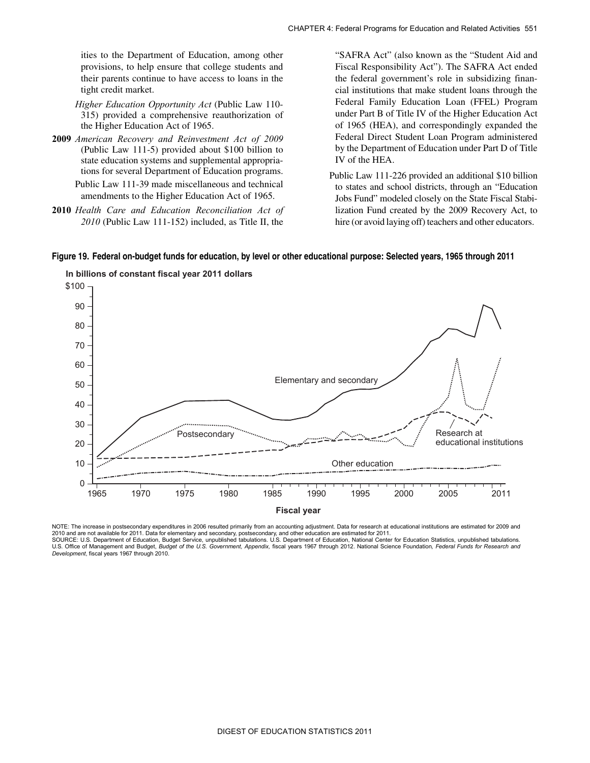provisions, to help ensure that college students and ities to the Department of Education, among other their parents continue to have access to loans in the tight credit market.

- *Higher Education Opportunity Act* (Public Law 110- 315) provided a comprehensive reauthorization of the Higher Education Act of 1965.
- tions for several Department of Education programs. **2009** *American Recovery and Reinvestment Act of 2009*  (Public Law 111-5) provided about \$100 billion to state education systems and supplemental appropria-

Public Law 111-39 made miscellaneous and technical amendments to the Higher Education Act of 1965.

**2010** *Health Care and Education Reconciliation Act of 2010* (Public Law 111-152) included, as Title II, the

 the federal government's role in subsidizing finan- by the Department of Education under Part D of Title "SAFRA Act" (also known as the "Student Aid and Fiscal Responsibility Act"). The SAFRA Act ended cial institutions that make student loans through the Federal Family Education Loan (FFEL) Program under Part B of Title IV of the Higher Education Act of 1965 (HEA), and correspondingly expanded the Federal Direct Student Loan Program administered IV of the HEA.

 Public Law 111-226 provided an additional \$10 billion hire (or avoid laying off) teachers and other educators. to states and school districts, through an "Education Jobs Fund" modeled closely on the State Fiscal Stabilization Fund created by the 2009 Recovery Act, to

#### **Figure 19. Federal on-budget funds for education, by level or other educational purpose: Selected years, 1965 through 2011**



**In billions of constant fiscal year 2011 dollars** 

*Development*, fiscal years 1967 through 2010.

NOTE: The increase in postsecondary expenditures in 2006 resulted primarily from an accounting adjustment. Data for research at educational institutions are estimated for 2009 and 2010 and are not available for 2011. Data for elementary and secondary, postsecondary, and other education are estimated for 2011.<br>SOURCE: U.S. Department of Education, Budget Service, unpublished tabulations. U.S. Departm U.S. Office of Management and Budget, *Budget of the U.S. Government, Appendix,* fiscal years 1967 through 2012. National Science Foundation*, Federal Funds for Research and*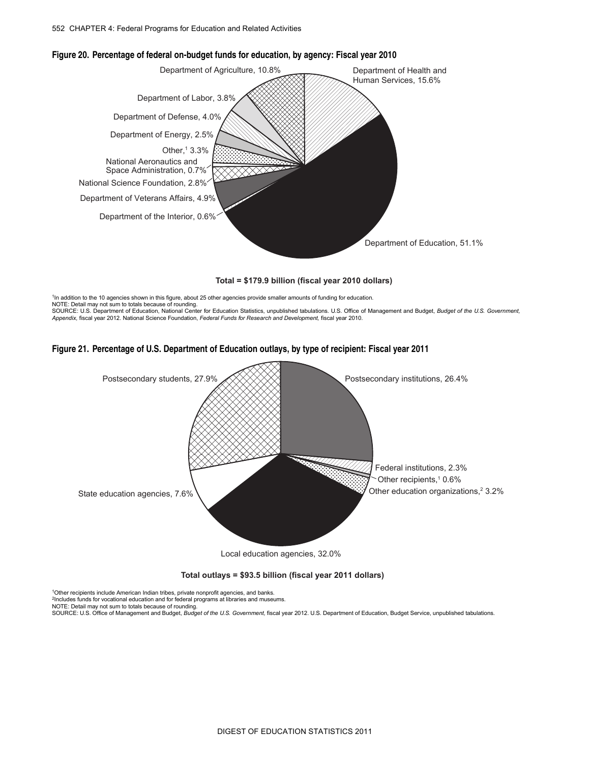

#### **Figure 20. Percentage of federal on-budget funds for education, by agency: Fiscal year 2010**

**Total = \$179.9 billion (fiscal year 2010 dollars)** 

<sup>1</sup>In addition to the 10 agencies shown in this figure, about 25 other agencies provide smaller amounts of funding for education.

NOTE: Detail may not sum to totals because of rounding. SOURCE: U.S. Department of Education, National Center for Education Statistics, unpublished tabulations. U.S. Office of Management and Budget, *Budget of the U.S. Government,*<br>Appendix, fiscal year 2012. National Science F





Local education agencies, 32.0%

**Total outlays = \$93.5 billion (fiscal year 2011 dollars)** 

<sup>1</sup>Other recipients include American Indian tribes, private nonprofit agencies, and banks.<br><sup>2</sup>Includes funds for vocational education and for federal programs at libraries and museums.

NOTE: Detail may not sum to totals because of rounding.

SOURCE: U.S. Office of Management and Budget, *Budget of the U.S. Government,* fiscal year 2012. U.S. Department of Education, Budget Service, unpublished tabulations.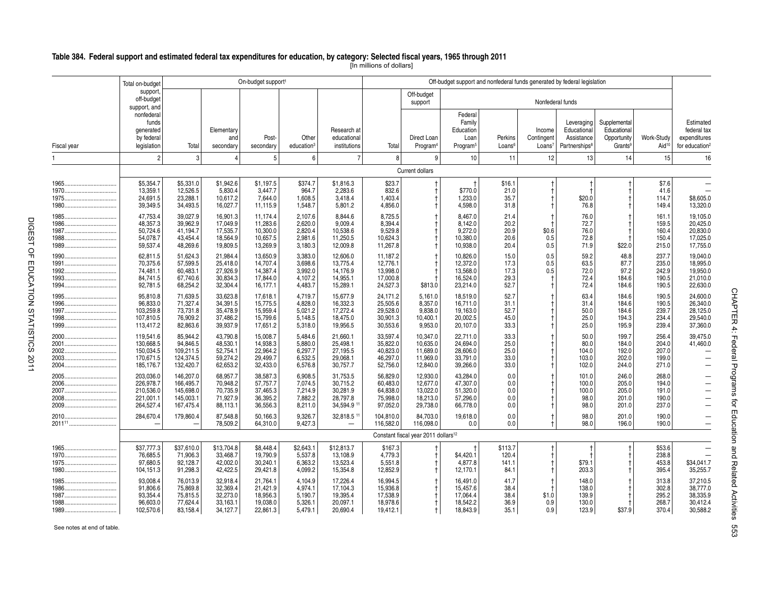|                      | Total on-budget                                                | On-budget support <sup>1</sup>                                |                                                          |                                                          |                                                     |                                                            | Off-budget support and nonfederal funds generated by federal legislation |                                                          |                                                                |                                      |                                            |                                                                      |                                                                   |                                           |                                                                              |                                    |
|----------------------|----------------------------------------------------------------|---------------------------------------------------------------|----------------------------------------------------------|----------------------------------------------------------|-----------------------------------------------------|------------------------------------------------------------|--------------------------------------------------------------------------|----------------------------------------------------------|----------------------------------------------------------------|--------------------------------------|--------------------------------------------|----------------------------------------------------------------------|-------------------------------------------------------------------|-------------------------------------------|------------------------------------------------------------------------------|------------------------------------|
|                      | support,<br>off-budget<br>support, and                         |                                                               |                                                          |                                                          |                                                     |                                                            |                                                                          | Off-budget<br>support                                    |                                                                |                                      |                                            | Nonfederal funds                                                     |                                                                   |                                           |                                                                              |                                    |
| Fiscal year          | nonfederal<br>funds<br>generated<br>by federal<br>legislation  | Total                                                         | Elementary<br>and<br>secondary                           | Post-<br>secondary                                       | Other<br>education <sup>3</sup>                     | Research at<br>educational<br>institutions                 | Total                                                                    | Direct Loan<br>Program <sup>4</sup>                      | Federal<br>Family<br>Education<br>Loan<br>Program <sup>5</sup> | Perkins<br>Loans <sup>6</sup>        | Income<br>Contingent<br>Loans <sup>7</sup> | Leveraging<br>Educational<br>Assistance<br>Partnerships <sup>8</sup> | Supplemental<br>Educational<br>Opportunity<br>Grants <sup>9</sup> | Work-Study<br>Aid <sup>10</sup>           | Estimated<br>federal tax<br>expenditures<br>for education <sup>2</sup>       |                                    |
|                      | $\overline{2}$                                                 | 3                                                             | $\overline{4}$                                           | 5                                                        | 6                                                   | $\overline{7}$                                             | 8                                                                        | 9                                                        | 10                                                             | 11                                   | 12                                         | 13                                                                   | 14                                                                | 15                                        | 16                                                                           |                                    |
|                      |                                                                |                                                               |                                                          |                                                          |                                                     |                                                            |                                                                          | Current dollars                                          |                                                                |                                      |                                            |                                                                      |                                                                   |                                           |                                                                              |                                    |
| 1965<br>1970<br>1980 | \$5,354.7<br>13,359.1<br>24,691.5<br>39,349.5                  | \$5,331.0<br>12,526.5<br>23,288.1<br>34,493.5                 | \$1,942.6<br>5,830.4<br>10,617.2<br>16,027.7             | \$1,197.5<br>3,447.7<br>7,644.0<br>11,115.9              | \$374.7<br>964.7<br>1,608.5<br>1,548.7              | \$1,816.3<br>2,283.6<br>3.418.4<br>5,801.2                 | \$23.7<br>832.6<br>1,403.4<br>4,856.0                                    |                                                          | \$770.0<br>1,233.0<br>4,598.0                                  | \$16.1<br>21.0<br>35.7<br>31.8       |                                            | \$20.0<br>76.8                                                       |                                                                   | \$7.6<br>41.6<br>114.7<br>149.4           | \$8,605.0<br>13,320.0                                                        |                                    |
| 1985<br>1986         | 47,753.4<br>48,357.3<br>50,724.6<br>54,078.7<br>59,537.4       | 39,027.9<br>39,962.9<br>41,194.7<br>43.454.4<br>48,269.6      | 16,901.3<br>17,049.9<br>17,535.7<br>18,564.9<br>19,809.5 | 11,174.4<br>11,283.6<br>10,300.0<br>10,657.5<br>13,269.9 | 2,107.6<br>2,620.0<br>2,820.4<br>2,981.6<br>3,180.3 | 8,844.6<br>9,009.4<br>10,538.6<br>11,250.5<br>12,009.8     | 8,725.5<br>8,394.4<br>9,529.8<br>10,624.3<br>11,267.8                    |                                                          | 8,467.0<br>8,142.0<br>9,272.0<br>10,380.0<br>10,938.0          | 21.4<br>20.2<br>20.9<br>20.6<br>20.4 | \$0.6<br>0.5<br>0.5                        | 76.0<br>72.7<br>76.0<br>72.8<br>71.9                                 | \$22.0                                                            | 161.1<br>159.5<br>160.4<br>150.4<br>215.0 | 19,105.0<br>20,425.0<br>20,830.0<br>17.025.0<br>17,755.0                     |                                    |
|                      | 62,811.5<br>70,375.6<br>74,481.1<br>84,741.5<br>92,781.5       | 51.624.3<br>57.599.5<br>60,483.1<br>67,740.6<br>68,254.2      | 21.984.4<br>25.418.0<br>27,926.9<br>30,834.3<br>32,304.4 | 13.650.9<br>14,707.4<br>14,387.4<br>17,844.0<br>16,177.1 | 3,383.0<br>3,698.6<br>3,992.0<br>4,107.2<br>4,483.7 | 12.606.0<br>13,775.4<br>14,176.9<br>14,955.1<br>15,289.1   | 11,187.2<br>12,776.1<br>13,998.0<br>17,000.8<br>24,527.3                 | \$813.0                                                  | 10.826.0<br>12,372.0<br>13,568.0<br>16,524.0<br>23,214.0       | 15.0<br>17.3<br>17.3<br>29.3<br>52.7 | 0.5<br>0.5<br>0.5                          | 59.2<br>63.5<br>72.0<br>72.4<br>72.4                                 | 48.8<br>87.7<br>97.2<br>184.6<br>184.6                            | 237.7<br>235.0<br>242.9<br>190.5<br>190.5 | 19.040.0<br>18.995.0<br>19,950.0<br>21,010.0<br>22,630.0                     |                                    |
|                      | 95,810.8<br>96,833.0<br>103,259.8<br>107,810.5<br>113,417.2    | 71,639.5<br>71,327.4<br>73,731.8<br>76,909.2<br>82,863.6      | 33,623.8<br>34,391.5<br>35,478.9<br>37,486.2<br>39,937.9 | 17,618.1<br>15,775.5<br>15,959.4<br>15,799.6<br>17,651.2 | 4,719.7<br>4,828.0<br>5,021.2<br>5,148.5<br>5,318.0 | 15,677.9<br>16,332.3<br>17,272.4<br>18,475.0<br>19,956.5   | 24,171.2<br>25,505.6<br>29,528.0<br>30,901.3<br>30,553.6                 | 5,161.0<br>8,357.0<br>9,838.0<br>10,400.1<br>9,953.0     | 18,519.0<br>16,711.0<br>19,163.0<br>20.002.5<br>20,107.0       | 52.7<br>31.1<br>52.7<br>45.0<br>33.3 |                                            | 63.4<br>31.4<br>50.0<br>25.0<br>25.0                                 | 184.6<br>184.6<br>184.6<br>194.3<br>195.9                         | 190.5<br>190.5<br>239.7<br>234.4<br>239.4 | 24,600.0<br>26,340.0<br>28,125.0<br>29,540.0<br>37,360.0                     | CHAPTER 4:                         |
|                      | 119,541.6<br>130,668.5<br>150,034.5<br>170,671.5<br>185, 176.7 | 85,944.2<br>94,846.5<br>109,211.5<br>124,374.5<br>132,420.7   | 43,790.8<br>48,530.1<br>52,754.1<br>59,274.2<br>62,653.2 | 15,008.7<br>14,938.3<br>22,964.2<br>29,499.7<br>32,433.0 | 5,484.6<br>5,880.0<br>6,297.7<br>6,532.5<br>6,576.8 | 21,660.1<br>25,498.1<br>27,195.5<br>29,068.1<br>30,757.7   | 33,597.4<br>35,822.0<br>40,823.0<br>46,297.0<br>52,756.0                 | 10,347.0<br>10,635.0<br>11,689.0<br>11,969.0<br>12,840.0 | 22,711.0<br>24,694.0<br>28,606.0<br>33,791.0<br>39,266.0       | 33.3<br>25.0<br>25.0<br>33.0<br>33.0 |                                            | 50.0<br>80.0<br>104.0<br>103.0<br>102.0                              | 199.7<br>184.0<br>192.0<br>202.0<br>244.0                         | 256.4<br>204.0<br>207.0<br>199.0<br>271.0 | 39,475.0<br>41,460.0<br>$\overline{\phantom{0}}$<br>$\overline{\phantom{0}}$ | Federal Programs                   |
|                      | 203,036.0<br>226,978.7<br>210,536.0<br>221,001.1<br>264,527.4  | 146,207.0<br>166,495.7<br>145,698.0<br>145,003.1<br>167,475.4 | 68,957.7<br>70,948.2<br>70,735.9<br>71,927.9<br>88,113.1 | 38,587.3<br>57,757.7<br>37,465.3<br>36,395.2<br>36,556.3 | 6,908.5<br>7,074.5<br>7,214.9<br>7,882.2<br>8,211.0 | 31,753.5<br>30,715.2<br>30,281.9<br>28,797.8<br>34,594.9 1 | 56,829.0<br>60,483.0<br>64,838.0<br>75,998.0<br>97,052.0                 | 12,930.0<br>12,677.0<br>13,022.0<br>18,213.0<br>29,738.0 | 43,284.0<br>47,307.0<br>51,320.0<br>57,296.0<br>66,778.0       | 0.0<br>0.0<br>0.0<br>0.0<br>0.0      |                                            | 101.0<br>100.0<br>100.0<br>98.0<br>98.0                              | 246.0<br>205.0<br>205.0<br>201.0<br>201.0                         | 268.0<br>194.0<br>191.0<br>190.0<br>237.0 | ÷.                                                                           |                                    |
|                      | 284,670.4                                                      | 179,860.4                                                     | 87,548.8<br>78,509.2                                     | 50,166.3<br>64,310.0                                     | 9,326.7<br>9,427.3                                  | 32,818.5 11                                                | 104,810.0<br>116,582.0                                                   | 84,703.0<br>116,098.0                                    | 19,618.0<br>0.0                                                | 0.0<br>0.0                           |                                            | 98.0<br>98.0                                                         | 201.0<br>196.0                                                    | 190.0<br>190.0                            | -                                                                            |                                    |
|                      |                                                                |                                                               |                                                          |                                                          |                                                     |                                                            |                                                                          | Constant fiscal year 2011 dollars <sup>12</sup>          |                                                                |                                      |                                            |                                                                      |                                                                   |                                           |                                                                              |                                    |
| 1970<br>1980         | \$37,777.3<br>76.685.5<br>97,680.5<br>104,151.3                | \$37,610.0<br>71.906.3<br>92,128.7<br>91,298.3                | \$13,704.8<br>33,468.7<br>42,002.0<br>42,422.5           | \$8,448.4<br>19.790.9<br>30,240.1<br>29,421.8            | \$2,643.1<br>5,537.8<br>6,363.2<br>4,099.2          | \$12,813.7<br>13.108.9<br>13,523.4<br>15,354.8             | \$167.3<br>4.779.3<br>5,551.8<br>12,852.9                                |                                                          | \$4,420.1<br>4,877.8<br>12,170.1                               | \$113.7<br>120.4<br>141.1<br>84.1    |                                            | \$79.1<br>203.3                                                      |                                                                   | \$53.6<br>238.8<br>453.8<br>395.4         | \$34,041.7<br>35,255.7                                                       |                                    |
| 1986                 | 93,008.4<br>91,806.6<br>93,354.4<br>96,603.0<br>102,570.6      | 76,013.9<br>75,869.8<br>75,815.5<br>77,624.4<br>83,158.4      | 32,918.4<br>32,369.4<br>32,273.0<br>33,163.1<br>34,127.7 | 21,764.1<br>21,421.9<br>18,956.3<br>19,038.0<br>22,861.3 | 4,104.9<br>4,974.1<br>5,190.7<br>5,326.1<br>5,479.1 | 17,226.4<br>17,104.3<br>19,395.4<br>20,097.1<br>20,690.4   | 16,994.5<br>15,936.8<br>17,538.9<br>18,978.6<br>19,412.1                 | $^{\dagger}$                                             | 16,491.0<br>15,457.6<br>17,064.4<br>18,542.2<br>18,843.9       | 41.7<br>38.4<br>38.4<br>36.9<br>35.1 | \$1.0<br>0.9<br>0.9                        | 148.0<br>138.0<br>139.9<br>130.0<br>123.9                            | \$37.9                                                            | 313.8<br>302.8<br>295.2<br>268.7<br>370.4 | 37,210.5<br>38,777.0<br>38,335.9<br>30,412.4<br>30,588.2                     | for materian and Related Activitie |

#### **Table 384. Federal support and estimated federal tax expenditures for education, by category: Selected fiscal years, 1965 through 2011**

[In millions of dollars]

CHAPTER 4: Federal Programs for Education and Related Activities 553 CHAPTER 4: Federal Programs for Education and Related Activities 553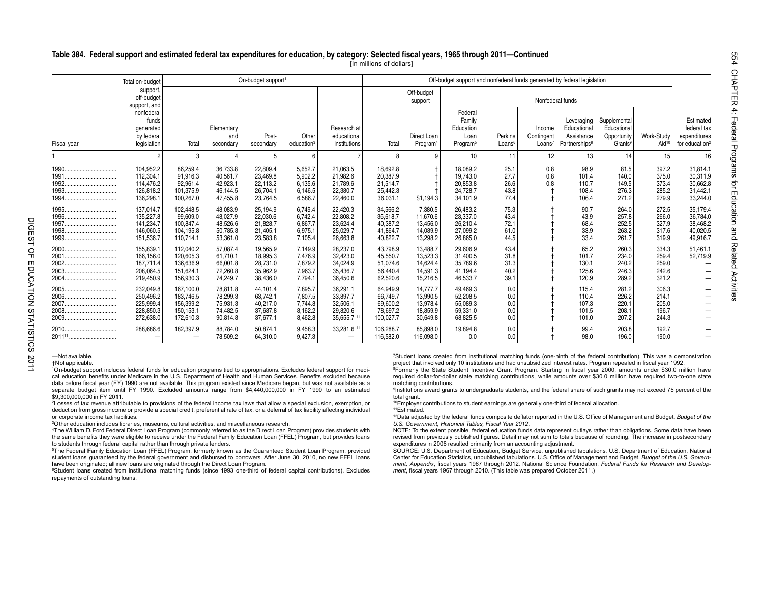#### **Table 384. Federal support and estimated federal tax expenditures for education, by category: Selected fiscal years, 1965 through 2011—Continued**

[In millions of dollars]

|                                | Total on-budget                                               |                                                               |                                                          | On-budget support <sup>1</sup>                           |                                                     |                                                          |                                                           |                                                          | Off-budget support and nonfederal funds generated by federal legislation |                                      |                                            |                                                                      |                                                                   |                                           |                                                                        |
|--------------------------------|---------------------------------------------------------------|---------------------------------------------------------------|----------------------------------------------------------|----------------------------------------------------------|-----------------------------------------------------|----------------------------------------------------------|-----------------------------------------------------------|----------------------------------------------------------|--------------------------------------------------------------------------|--------------------------------------|--------------------------------------------|----------------------------------------------------------------------|-------------------------------------------------------------------|-------------------------------------------|------------------------------------------------------------------------|
|                                | support,<br>off-budget<br>support, and                        |                                                               |                                                          |                                                          |                                                     |                                                          |                                                           | Off-budget<br>support                                    |                                                                          |                                      |                                            |                                                                      |                                                                   |                                           |                                                                        |
| Fiscal year                    | nonfederal<br>funds<br>generated<br>by federal<br>legislation | Total                                                         | Elementary<br>and<br>secondary                           | Post-<br>secondary                                       | Other<br>education <sup>3</sup>                     | Research at<br>educational<br>institutions               | Total                                                     | Direct Loan<br>Program                                   | Federal<br>Family<br>Education<br>Loan<br>Program <sup>5</sup>           | Perkins<br>Loans <sup>6</sup>        | Income<br>Contingent<br>Loans <sup>7</sup> | Leveraging<br>Educational<br>Assistance<br>Partnerships <sup>8</sup> | Supplemental<br>Educational<br>Opportunity<br>Grants <sup>9</sup> | Work-Study<br>Aid <sup>1</sup>            | Estimated<br>federal tax<br>expenditures<br>for education <sup>2</sup> |
|                                |                                                               | 3                                                             |                                                          |                                                          | 6                                                   |                                                          | 8                                                         | q                                                        | 10                                                                       | 11                                   | 12                                         | 13                                                                   |                                                                   | 15                                        | 16                                                                     |
| 1990<br>1991<br>1992.<br>1993. | 104,952.2<br>112,304.1<br>114.476.2<br>126,818.2<br>136,298.  | 86,259.4<br>91,916.3<br>92,961.4<br>101,375.9<br>100,267.0    | 36,733.8<br>40,561.7<br>42.923.1<br>46.144.5<br>47,455.8 | 22,809.4<br>23,469.8<br>22,113.2<br>26,704.1<br>23,764.5 | 5,652.7<br>5,902.2<br>6,135.6<br>6,146.5<br>6,586.7 | 21,063.5<br>21,982.6<br>21,789.6<br>22,380.7<br>22,460.0 | 18.692.8<br>20,387.9<br>21.514.7<br>25,442.3<br>36,031.1  | \$1,194.3                                                | 18,089.2<br>19.743.0<br>20,853.8<br>24,728.7<br>34,101.9                 | 25.1<br>27.7<br>26.6<br>43.8<br>77.4 | 0.8<br>0.8<br>0.8                          | 98.9<br>101.4<br>110.7<br>108.4<br>106.4                             | 81.5<br>140.0<br>149.5<br>276.3<br>271.2                          | 397.2<br>375.0<br>373.4<br>285.2<br>279.9 | 31,814.1<br>30,311.9<br>30.662.8<br>31,442.1<br>33,244.0               |
| 1997<br>1998.<br>              | 137.014.7<br>135,227.8<br>141.234.7<br>146,060.5<br>151,536.7 | 102,448.5<br>99,609.0<br>100.847.4<br>104,195.8<br>110,714.1  | 48.083.9<br>48,027.9<br>48.526.6<br>50,785.8<br>53,361.0 | 25,194.9<br>22,030.6<br>21.828.7<br>21,405.1<br>23,583.8 | 6,749.4<br>6,742.4<br>6.867.7<br>6,975.1<br>7,105.4 | 22.420.3<br>22,808.2<br>23.624.4<br>25,029.7<br>26,663.8 | 34,566.2<br>35.618.7<br>40.387.2<br>41,864.7<br>40,822.7  | 7.380.5<br>11.670.6<br>13.456.0<br>14,089.9<br>13,298.2  | 26.483.2<br>23,337.0<br>26.210.4<br>27,099.2<br>26,865.0                 | 75.3<br>43.4<br>72.1<br>61.0<br>44.5 |                                            | 90.7<br>43.9<br>68.4<br>33.9<br>33.4                                 | 264.0<br>257.8<br>252.5<br>263.2<br>261.7                         | 272.5<br>266.0<br>327.9<br>317.6<br>319.9 | 35.179.4<br>36.784.0<br>38.468.2<br>40,020.5<br>49,916.7               |
|                                | 155,839.<br>166,156.0<br>187.711.4<br>208,064.5<br>219,450.9  | 112,040.2<br>120,605.3<br>136,636.9<br>151,624.1<br>156,930.3 | 57,087.4<br>61,710.1<br>66,001.8<br>72.260.8<br>74.249.7 | 19,565.9<br>18,995.3<br>28,731.0<br>35,962.9<br>38,436.0 | 7,149.9<br>7,476.9<br>7,879.2<br>7,963.7<br>7.794.1 | 28,237.0<br>32,423.0<br>34,024.9<br>35,436.7<br>36,450.6 | 43,798.9<br>45,550.7<br>51,074.6<br>56,440.4<br>62,520.6  | 13,488.7<br>13,523.3<br>14,624.4<br>14,591.3<br>15,216.5 | 29,606.9<br>31,400.5<br>35,789.6<br>41,194.4<br>46,533.7                 | 43.4<br>31.8<br>31.3<br>40.2<br>39.1 |                                            | 65.2<br>101.7<br>130.1<br>125.6<br>120.9                             | 260.3<br>234.0<br>240.2<br>246.3<br>289.2                         | 334.3<br>259.4<br>259.0<br>242.6<br>321.2 | 51,461.1<br>52,719.9                                                   |
| 2006.<br>2008.                 | 232,049.8<br>250,496.2<br>225,999.4<br>228.850.3<br>272,638.0 | 167,100.0<br>183.746.5<br>156.399.2<br>150.153.1<br>172,610.3 | 78.811.8<br>78,299.3<br>75.931.3<br>74.482.5<br>90,814.8 | 44,101.4<br>63,742.1<br>40,217.0<br>37.687.8<br>37.677.1 | 7,895.7<br>7,807.5<br>7.744.8<br>8,162.2<br>8,462.8 | 36,291.1<br>33,897.7<br>32,506.1<br>29.820.6<br>35,655.7 | 64,949.9<br>66.749.7<br>69,600.2<br>78.697.2<br>100,027.7 | 14.777.7<br>13,990.5<br>13,978.4<br>18,859.9<br>30,649.8 | 49.469.3<br>52.208.5<br>55.089.3<br>59.331.0<br>68,825.5                 | 0.0<br>0.0<br>0.0<br>0.0<br>0.0      |                                            | 115.4<br>110.4<br>107.3<br>101.5<br>101.0                            | 281.2<br>226.2<br>220.7<br>208.<br>207.2                          | 306.3<br>214.1<br>205.0<br>196.7<br>244.3 |                                                                        |
|                                | 288,686.6                                                     | 182,397.9<br>$\overline{\phantom{0}}$                         | 88,784.0<br>78,509.2                                     | 50.874.1<br>64.310.0                                     | 9,458.3<br>9.427.3                                  | 33,281.6<br>$\qquad \qquad \blacksquare$                 | 106.288.7<br>116,582.0                                    | 85.898.0<br>116,098.0                                    | 19,894.8<br>0.0                                                          | 0.0<br>0.0                           |                                            | 99.4<br>98.0                                                         | 203.8<br>196.0                                                    | 192.7<br>190.0                            |                                                                        |

—Not available.

†Not applicable.

1On-budget support includes federal funds for education programs tied to appropriations. Excludes federal support for medical education benefits under Medicare in the U.S. Department of Health and Human Services. Benefits excluded because data before fiscal year (FY) 1990 are not available. This program existed since Medicare began, but was not available as a separate budget item until FY 1990. Excluded amounts range from \$4,440,000,000 in FY 1990 to an estimated \$9,300,000,000 in FY 2011.

2Losses of tax revenue attributable to provisions of the federal income tax laws that allow a special exclusion, exemption, or deduction from gross income or provide a special credit, preferential rate of tax, or a deferral of tax liability affecting individual or corporate income tax liabilities.

3Other education includes libraries, museums, cultural activities, and miscellaneous research.

4The William D. Ford Federal Direct Loan Program (commonly referred to as the Direct Loan Program) provides students with the same benefits they were eligible to receive under the Federal Family Education Loan (FFEL) Program, but provides loans to students through federal capital rather than through private lenders.

5The Federal Family Education Loan (FFEL) Program, formerly known as the Guaranteed Student Loan Program, provided student loans guaranteed by the federal government and disbursed to borrowers. After June 30, 2010, no new FFEL loans have been originated; all new loans are originated through the Direct Loan Program.

6Student loans created from institutional matching funds (since 1993 one-third of federal capital contributions). Excludes repayments of outstanding loans.

7Student loans created from institutional matching funds (one-ninth of the federal contribution). This was a demonstration project that involved only 10 institutions and had unsubsidized interest rates. Program repealed in fiscal year 1992.

8Formerly the State Student Incentive Grant Program. Starting in fiscal year 2000, amounts under \$30.0 million have required dollar-for-dollar state matching contributions, while amounts over \$30.0 million have required two-to-one state matching contributions.

9Institutions award grants to undergraduate students, and the federal share of such grants may not exceed 75 percent of the total grant.

10Employer contributions to student earnings are generally one-third of federal allocation.

11Estimated.

 12Data adjusted by the federal funds composite deflator reported in the U.S. Office of Management and Budget, *Budget of the U.S. Government, Historical Tables, Fiscal Year 2012*.

NOTE: To the extent possible, federal education funds data represent outlays rather than obligations. Some data have been revised from previously published figures. Detail may not sum to totals because of rounding. The increase in postsecondary expenditures in 2006 resulted primarily from an accounting adjustment.

SOURCE: U.S. Department of Education, Budget Service, unpublished tabulations. U.S. Department of Education, National Center for Education Statistics, unpublished tabulations. U.S. Office of Management and Budget, *Budget of the U.S. Government, Appendix*, fiscal years 1967 through 2012. National Science Foundation, *Federal Funds for Research and Development*, fiscal years 1967 through 2010. (This table was prepared October 2011.)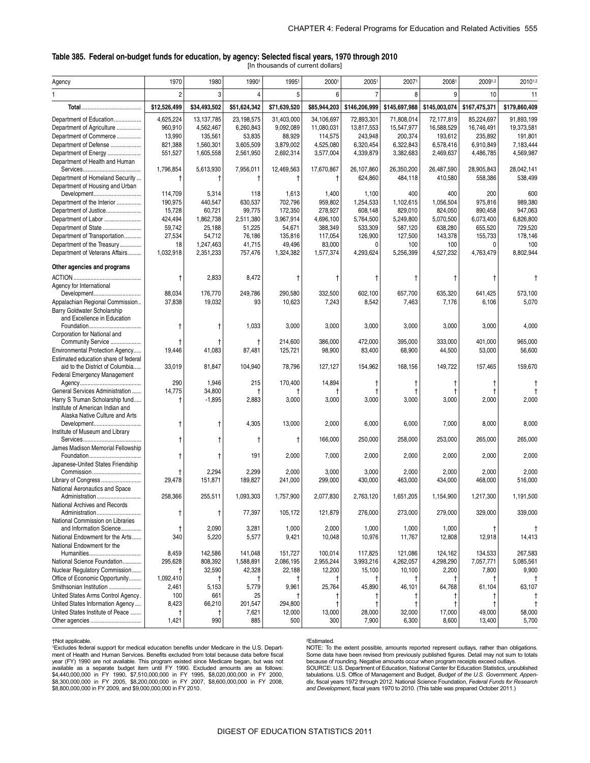#### **Table 385. Federal on-budget funds for education, by agency: Selected fiscal years, 1970 through 2010**  [In thousands of current dollars]

| Agency                               | 1970           | 1980         | 19901        | 1995         | 20001        | 2005           | 20071         | 20081         | 20091,2       | 20101,2       |
|--------------------------------------|----------------|--------------|--------------|--------------|--------------|----------------|---------------|---------------|---------------|---------------|
|                                      | $\overline{c}$ | 3            | $\Delta$     | 5            | 6            | $\overline{7}$ | 8             |               | 10            | 11            |
|                                      | \$12,526,499   | \$34,493,502 | \$51,624,342 | \$71,639,520 | \$85,944,203 | \$146,206,999  | \$145,697,988 | \$145,003,074 | \$167,475,371 | \$179,860,409 |
|                                      |                |              |              |              |              |                |               |               |               |               |
| Department of Education              | 4,625,224      | 13, 137, 785 | 23, 198, 575 | 31,403,000   | 34,106,697   | 72,893,301     | 71,808,014    | 72,177,819    | 85,224,697    | 91,893,199    |
| Department of Agriculture            | 960,910        | 4,562,467    | 6,260,843    | 9,092,089    | 11,080,031   | 13,817,553     | 15,547,977    | 16,588,529    | 16,746,491    | 19,373,581    |
| Department of Commerce               | 13,990         | 135,561      | 53,835       | 88,929       | 114,575      | 243,948        | 200,374       | 193,612       | 235,892       | 191,801       |
| Department of Defense                | 821,388        | 1,560,301    | 3,605,509    | 3,879,002    | 4,525,080    | 6,320,454      | 6,322,843     | 6,578,416     | 6,910,849     | 7,183,444     |
| Department of Energy                 | 551,527        | 1,605,558    | 2,561,950    | 2,692,314    | 3,577,004    | 4,339,879      | 3,382,683     | 2,469,637     | 4,486,785     | 4,569,987     |
| Department of Health and Human       |                |              |              |              |              |                |               |               |               |               |
|                                      | 1,796,854      | 5,613,930    | 7,956,011    | 12,469,563   | 17,670,867   | 26,107,860     | 26,350,200    | 26,487,590    | 28,905,843    | 28,042,141    |
| Department of Homeland Security      | Ť              | t            | -1           | t            | Ť            | 624,860        | 484,118       | 410,580       | 558,386       | 538,499       |
| Department of Housing and Urban      |                |              |              |              |              |                |               |               |               |               |
| Development                          | 114,709        | 5,314        | 118          | 1,613        | 1,400        | 1,100          | 400           | 400           | 200           | 600           |
| Department of the Interior           | 190,975        | 440,547      | 630,537      | 702,796      | 959,802      | 1,254,533      | 1,102,615     | 1,056,504     | 975,816       | 989,380       |
| Department of Justice                | 15,728         | 60,721       | 99,775       | 172,350      | 278,927      | 608,148        | 829,010       | 824,050       | 890,458       | 947,063       |
| Department of Labor                  | 424,494        | 1,862,738    | 2,511,380    | 3,967,914    | 4,696,100    | 5,764,500      | 5,249,800     | 5,070,500     | 6,073,400     | 6,826,800     |
| Department of State                  | 59,742         | 25,188       | 51,225       | 54,671       | 388,349      | 533,309        | 587,120       | 638,280       | 655,520       | 729,520       |
|                                      |                |              |              |              |              |                |               |               |               |               |
| Department of Transportation         | 27,534         | 54,712       | 76,186       | 135,816      | 117,054      | 126,900        | 127,500       | 143,378       | 155,733       | 178,146       |
| Department of the Treasury           | 18             | 1,247,463    | 41,715       | 49,496       | 83,000       | $\Omega$       | 100           | 100           | $\Omega$      | 100           |
| Department of Veterans Affairs       | 1,032,918      | 2,351,233    | 757,476      | 1,324,382    | 1,577,374    | 4,293,624      | 5,256,399     | 4,527,232     | 4,763,479     | 8,802,944     |
| Other agencies and programs          |                |              |              |              |              |                |               |               |               |               |
|                                      | $\ddagger$     | 2,833        | 8,472        | t            | t            | t              |               | Ť             | t             | $\mathsf{t}$  |
| Agency for International             |                |              |              |              |              |                |               |               |               |               |
| Development                          | 88,034         | 176,770      | 249,786      | 290,580      | 332,500      | 602,100        | 657,700       | 635,320       | 641,425       | 573,100       |
| Appalachian Regional Commission      | 37,838         | 19,032       | 93           | 10,623       | 7,243        | 8,542          | 7,463         | 7,176         | 6,106         | 5,070         |
| <b>Barry Goldwater Scholarship</b>   |                |              |              |              |              |                |               |               |               |               |
| and Excellence in Education          |                |              |              |              |              |                |               |               |               |               |
|                                      | t              | t            | 1,033        | 3,000        | 3,000        | 3,000          | 3,000         | 3,000         | 3,000         | 4,000         |
| Corporation for National and         |                |              |              |              |              |                |               |               |               |               |
| Community Service                    |                |              | $\ddagger$   | 214,600      | 386,000      | 472,000        | 395,000       | 333,000       | 401,000       | 965,000       |
| Environmental Protection Agency      | 19,446         | 41,083       | 87,481       | 125,721      | 98,900       | 83,400         | 68,900        | 44,500        | 53,000        | 56,600        |
| Estimated education share of federal |                |              |              |              |              |                |               |               |               |               |
| aid to the District of Columbia      | 33,019         | 81,847       | 104,940      | 78,796       | 127,127      | 154,962        | 168,156       | 149,722       | 157,465       | 159,670       |
|                                      |                |              |              |              |              |                |               |               |               |               |
| <b>Federal Emergency Management</b>  |                |              |              |              |              |                |               |               |               |               |
|                                      | 290            | 1,946        | 215          | 170,400      | 14,894       | Ť              |               |               | Ť             |               |
| General Services Administration      | 14,775         | 34,800       |              |              |              | $\mathsf{t}$   |               |               | t             |               |
| Harry S Truman Scholarship fund      | t              | $-1,895$     | 2,883        | 3,000        | 3,000        | 3,000          | 3,000         | 3,000         | 2,000         | 2,000         |
| Institute of American Indian and     |                |              |              |              |              |                |               |               |               |               |
| Alaska Native Culture and Arts       |                |              |              |              |              |                |               |               |               |               |
| Development                          | t              | t            | 4,305        | 13,000       | 2,000        | 6,000          | 6,000         | 7,000         | 8,000         | 8,000         |
| Institute of Museum and Library      |                |              |              |              |              |                |               |               |               |               |
|                                      | t              | t            | f.           | $\mathsf{t}$ | 166,000      | 250,000        | 258,000       | 253,000       | 265,000       | 265,000       |
| James Madison Memorial Fellowship    |                |              |              |              |              |                |               |               |               |               |
|                                      | t              | t            | 191          | 2,000        | 7,000        | 2,000          | 2,000         | 2,000         | 2,000         | 2,000         |
| Japanese-United States Friendship    |                |              |              |              |              |                |               |               |               |               |
| Commission                           |                | 2,294        | 2,299        | 2,000        | 3,000        | 3,000          | 2,000         | 2,000         | 2,000         | 2,000         |
| Library of Congress                  | 29,478         | 151,871      | 189,827      | 241,000      | 299,000      | 430,000        | 463,000       | 434,000       | 468,000       | 516,000       |
| National Aeronautics and Space       |                |              |              |              |              |                |               |               |               |               |
|                                      | 258,366        | 255,511      | 1,093,303    | 1,757,900    | 2,077,830    | 2,763,120      | 1,651,205     | 1,154,900     | 1,217,300     | 1,191,500     |
| National Archives and Records        |                |              |              |              |              |                |               |               |               |               |
| Administration                       | t              | t            | 77,397       | 105,172      | 121,879      | 276,000        | 273,000       | 279,000       | 329,000       | 339,000       |
| National Commission on Libraries     |                |              |              |              |              |                |               |               |               |               |
| and Information Science              | $\ddagger$     | 2,090        | 3,281        | 1,000        | 2,000        | 1,000          | 1,000         | 1,000         |               |               |
| National Endowment for the Arts      | 340            | 5,220        | 5,577        | 9,421        | 10,048       | 10,976         | 11,767        | 12,808        | 12,918        | 14,413        |
|                                      |                |              |              |              |              |                |               |               |               |               |
| National Endowment for the           |                |              |              |              |              |                |               |               |               |               |
|                                      | 8,459          | 142,586      | 141,048      | 151,727      | 100,014      | 117,825        | 121,086       | 124,162       | 134,533       | 267,583       |
| National Science Foundation          | 295,628        | 808,392      | 1,588,891    | 2,086,195    | 2,955,244    | 3,993,216      | 4,262,057     | 4,298,290     | 7,057,771     | 5,085,561     |
| Nuclear Regulatory Commission        | Ť              | 32,590       | 42,328       | 22,188       | 12,200       | 15,100         | 10,100        | 2,200         | 7,800         | 9,900         |
| Office of Economic Opportunity       | 1,092,410      | t            | $\ddagger$   |              | t            | $\mathsf{t}$   |               |               | $\ddagger$    | $^{\dagger}$  |
| Smithsonian Institution              | 2,461          | 5,153        | 5,779        | 9,961        | 25,764       | 45,890         | 46,101        | 64,768        | 61,104        | 63,107        |
| United States Arms Control Agency.   | 100            | 661          | 25           |              | Ť            | Ť              |               |               | $\ddagger$    | Ť             |
| United States Information Agency     | 8,423          | 66,210       | 201,547      | 294,800      | t            | t              |               |               | $\ddagger$    | $\ddagger$    |
| United States Institute of Peace     | $^\dagger$     | t            | 7,621        | 12,000       | 13,000       | 28,000         | 32,000        | 17,000        | 49,000        | 58,000        |
| Other agencies                       | 1,421          | 990          | 885          | 500          | 300          | 7,900          | 6,300         | 8,600         | 13,400        | 5,700         |
|                                      |                |              |              |              |              |                |               |               |               |               |

 year (FY) 1990 are not available. This program existed since Medicare began, but was not †Not applicable. 1Excludes federal support for medical education benefits under Medicare in the U.S. Department of Health and Human Services. Benefits excluded from total because data before fiscal available as a separate budget item until FY 1990. Excluded amounts are as follows:<br>\$4,440,000,000 in FY 1990, \$7,510,000,000 in FY 1995, \$8,020,000,000 in FY 2000,<br>\$8,300,000,000 in FY 2005, \$8,200,000,000 in FY 2007, \$8, \$8,800,000,000 in FY 2009, and \$9,000,000,000 in FY 2010.

#### 2Estimated.

NOTE: To the extent possible, amounts reported represent outlays, rather than obligations.<br>Some data have been revised from previously published figures. Detail may not sum to totals<br>because of rounding. Negative amounts o SOURCE: U.S. Department of Education, National Center for Education Statistics, unpublished<br>tabulations. U.S. Office of Management and Budget, *Budget of the U.S. Government, Appen-*<br>*dix,* fiscal years 1972 through 2012. *and Development*, fiscal years 1970 to 2010. (This table was prepared October 2011.)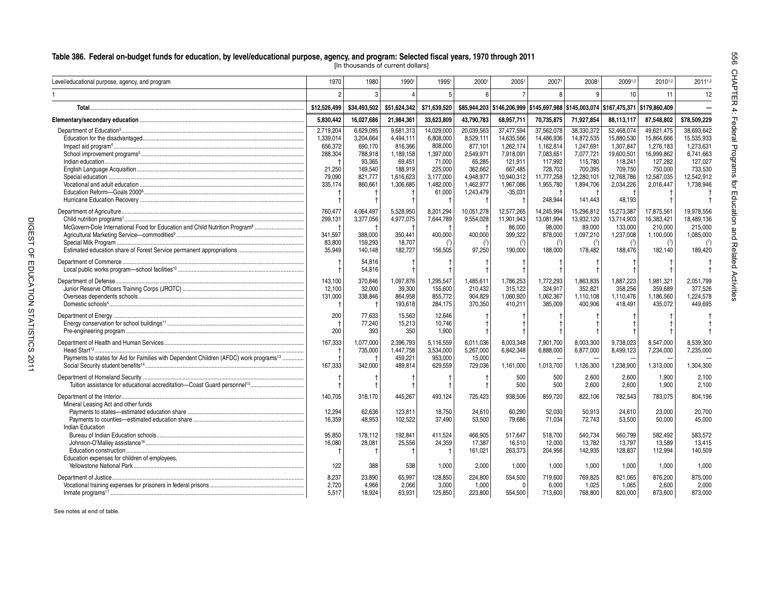[In thousands of current dollars]

| Level/educational purpose, agency, and program                                                     | 1970                    | 1980                      | 19901                     | 19951                       | 20001                       | 2005                 | 20071                       | 20081                                                                 | 20091,2                     | 20101,2                     | 20111,2              |
|----------------------------------------------------------------------------------------------------|-------------------------|---------------------------|---------------------------|-----------------------------|-----------------------------|----------------------|-----------------------------|-----------------------------------------------------------------------|-----------------------------|-----------------------------|----------------------|
|                                                                                                    | $\mathfrak{p}$          | 3                         |                           | 5                           | 6                           |                      | R                           | q                                                                     | 10                          | 11                          | 12                   |
| Total.                                                                                             | \$12,526,499            | \$34,493,502              | \$51,624,342              | \$71,639,520                | \$85,944,203                |                      |                             | \$146,206,999 \$145,697,988 \$145,003,074 \$167,475,371 \$179,860,409 |                             |                             |                      |
|                                                                                                    | 5,830,442               | 16,027,686                | 21,984,361                | 33,623,809                  | 43,790,783                  | 68,957,711           | 70,735,875                  | 71,927,854                                                            | 88,113,117                  | 87,548,802                  | \$78,509,229         |
|                                                                                                    | 2,719,204               | 6,629,095                 | 9,681,313                 | 14,029,000                  | 20,039,563                  | 37,477,594           | 37,562,078                  | 38,330,372                                                            | 52,468,074                  | 49,621,475                  | 38,693,642           |
|                                                                                                    | 1,339,014               | 3,204,664                 | 4.494.111                 | 6,808,000                   | 8,529,111                   | 14.635.566           | 14.486.936                  | 14,872,535                                                            | 15,880,530                  | 15.864.666                  | 15.535.933           |
|                                                                                                    | 656,372                 | 690,170                   | 816,366                   | 808,000                     | 877,101                     | 1,262,174            | 1,162,814                   | 1,247,691                                                             | 1,307,847                   | 1,276,183                   | 1,273,631            |
|                                                                                                    | 288,304                 | 788,918                   | 1,189,158                 | 1,397,000                   | 2.549.971                   | 7.918.091            | 7,083,651                   | 7.077.721                                                             | 19,600,501                  | 16,999,862                  | 6,741,663            |
|                                                                                                    |                         | 93,365                    | 69,451                    | 71,000                      | 65,285                      | 121,911              | 117,992                     | 115,780                                                               | 118,241                     | 127,282                     | 127,027              |
|                                                                                                    | 21.250                  | 169,540                   | 188.919                   | 225.000                     | 362.662                     | 667.485              | 728,703                     | 700.395                                                               | 709.750                     | 750.000                     | 733.530              |
|                                                                                                    | 79,090                  | 821,777                   | 1,616,623                 | 3.177.000                   | 4.948.977                   | 10.940.312           | 11,777,258                  | 12,280,101                                                            | 12,768,786                  | 12,587,035                  | 12.542.912           |
|                                                                                                    | 335,174                 | 860,661                   | 1,306,685                 | 1,482,000                   | 1,462,977                   | 1,967,086            | 1,955,780                   | 1,894,706                                                             | 2,034,226                   | 2,016,447                   | 1,738,946            |
|                                                                                                    |                         |                           |                           | 61,000                      | 1,243,479                   | $-35,031$            |                             |                                                                       |                             |                             |                      |
|                                                                                                    |                         |                           |                           |                             |                             |                      | 248,944                     | 141.443                                                               | 48,193                      |                             |                      |
|                                                                                                    | 760,477                 | 4,064,497                 | 5,528,950                 | 8,201,294                   | 10,051,278                  | 12,577,265           | 14,245,994                  | 15,296,812                                                            | 15,273,387                  | 17,875,561                  | 19,978,556           |
|                                                                                                    | 299.131                 | 3,377,056                 | 4,977,075                 | 7,644,789                   | 9.554.028                   | 11.901.943           | 13.081.994                  | 13.932.120                                                            | 13.714.903                  | 16.383.421                  | 18.489.136           |
| McGovern-Dole International Food for Education and Child Nutrition Program <sup>8</sup>            |                         |                           |                           |                             |                             | 86,000               | 98,000                      | 89,000                                                                | 133.000                     | 210.000                     | 215.000              |
|                                                                                                    | 341,597                 | 388,000                   | 350,441                   | 400,000                     | 400,000                     | 399,322              | 878,000                     | 1,097,210                                                             | 1,237,008                   | 1,100,000                   | 1,085,000            |
|                                                                                                    | 83.800                  | 159.293                   |                           | (7)                         |                             |                      |                             |                                                                       |                             |                             |                      |
|                                                                                                    | 35,949                  | 140,148                   | 18.707<br>182,727         | 156,505                     | (7)<br>97,250               | (7)<br>190,000       | $7$<br>188,000              | (7)<br>178,482                                                        | (7)<br>188,476              | (7)<br>182,140              | 189,420              |
|                                                                                                    |                         | 54,816                    |                           |                             |                             |                      |                             |                                                                       |                             |                             |                      |
|                                                                                                    |                         | 54,816                    |                           |                             |                             |                      |                             |                                                                       |                             |                             |                      |
|                                                                                                    | 143.100                 | 370.846                   | 1,097,876                 | 1,295,547                   | 1,485,61                    | 1,786,253            | 1.772.293                   | 1,863,835                                                             | 1,887,223                   | 1.981.321                   | 2.051.799            |
|                                                                                                    | 12,100                  | 32,000                    | 39,300                    | 155,600                     | 210,432                     | 315,122              | 324.917                     | 352,821                                                               | 358,256                     | 359,689                     | 377,526              |
|                                                                                                    |                         |                           |                           |                             |                             |                      |                             |                                                                       |                             |                             |                      |
|                                                                                                    | 131,000<br>$\mathbf t$  | 338,846                   | 864,958<br>193.618        | 855,772<br>284,175          | 904,829<br>370.350          | 1,060,920<br>410.211 | 1,062,367<br>385,009        | 1,110,108<br>400.906                                                  | 1,110,476<br>418.491        | 1,186,560<br>435.072        | 1,224,578<br>449.695 |
|                                                                                                    | 200                     | 77.633                    | 15.563                    | 12.646                      |                             |                      |                             |                                                                       |                             |                             |                      |
|                                                                                                    |                         | 77.240                    | 15,213                    | 10.746                      |                             |                      |                             |                                                                       |                             |                             |                      |
|                                                                                                    | 200                     | 393                       | 350                       | 1,900                       |                             |                      |                             |                                                                       |                             |                             |                      |
|                                                                                                    | 167,333                 | 1.077.000                 | 2.396.793                 | 5.116.559                   | 6.011.036                   | 8.003.348            | 7.901.700                   | 8.003.300                                                             | 9.738.023                   | 8.547.000                   | 8.539.300            |
|                                                                                                    |                         | 735,000                   | 1,447,758                 | 3,534,000                   | 5,267,000                   | 6,842,348            | 6.888.000                   | 6,877,000                                                             | 8,499,123                   | 7,234,000                   | 7.235.000            |
| Payments to states for Aid for Families with Dependent Children (AFDC) work programs <sup>13</sup> |                         |                           | 459.221                   | 953,000                     | 15,000                      |                      |                             |                                                                       |                             |                             |                      |
|                                                                                                    | 167,333                 | 342,000                   | 489,814                   | 629,559                     | 729,036                     | 1,161,000            | 1,013,700                   | 1,126,300                                                             | 1,238,900                   | 1,313,000                   | 1,304,300            |
|                                                                                                    |                         |                           |                           |                             |                             | 500                  | 500                         | 2,600                                                                 | 2,600                       | 1,900                       | 2,100                |
|                                                                                                    |                         |                           |                           |                             |                             | 500                  | 500                         | 2,600                                                                 | 2,600                       | 1,900                       | 2,100                |
| Department of the Interior                                                                         | 140.705                 | 318.170                   | 445,267                   | 493.124                     | 725,423                     | 938.506              | 859.720                     | 822.106                                                               | 782.543                     | 783.075                     | 804,196              |
| Mineral Leasing Act and other funds                                                                |                         |                           |                           |                             |                             |                      |                             |                                                                       |                             |                             |                      |
|                                                                                                    | 12.294                  | 62.636                    | 123.811                   | 18,750                      | 24.610                      | 60.290               | 52.030                      | 50.913                                                                | 24.610                      | 23.000                      | 20.700               |
|                                                                                                    | 16.359                  | 48.953                    | 102.522                   | 37,490                      | 53,500                      | 79.686               | 71.034                      | 72.743                                                                | 53.500                      | 50.000                      | 45.000               |
| Indian Education                                                                                   |                         |                           |                           |                             |                             |                      |                             |                                                                       |                             |                             |                      |
|                                                                                                    | 95,850                  | 178,112                   | 192,841                   | 411,524                     | 466,905                     | 517.647              | 518.700                     | 540.734                                                               | 560.799                     | 582.492                     | 583.572              |
|                                                                                                    | 16,080                  | 28,081                    | 25,556                    | 24,359                      | 17,387                      | 16,510               | 12,000                      | 13,782                                                                | 13,797                      | 13,589                      | 13,415               |
|                                                                                                    | f                       |                           |                           |                             | 161,021                     | 263,373              | 204,956                     | 142,935                                                               | 128,837                     | 112,994                     | 140,509              |
| Education expenses for children of employees,                                                      |                         |                           |                           |                             |                             |                      |                             |                                                                       |                             |                             |                      |
|                                                                                                    | 122                     | 388                       | 538                       | 1,000                       | 2,000                       | 1,000                | 1,000                       | 1,000                                                                 | 1,000                       | 1,000                       | 1,000                |
|                                                                                                    |                         |                           |                           |                             |                             |                      |                             |                                                                       |                             |                             | 875,000              |
|                                                                                                    |                         |                           |                           |                             |                             |                      |                             |                                                                       |                             |                             |                      |
|                                                                                                    |                         |                           |                           |                             |                             |                      |                             |                                                                       |                             |                             |                      |
| Inmate programs <sup>17</sup>                                                                      | 8,237<br>2,720<br>5.517 | 23,890<br>4.966<br>18,924 | 65,997<br>2,066<br>63,931 | 128,850<br>3,000<br>125,850 | 224,800<br>1,000<br>223,800 | 554,500<br>554,500   | 719.600<br>6,000<br>713,600 | 769,825<br>1,025<br>768,800                                           | 821.065<br>1,065<br>820.000 | 876,200<br>2,600<br>873,600 | 2,000<br>873,000     |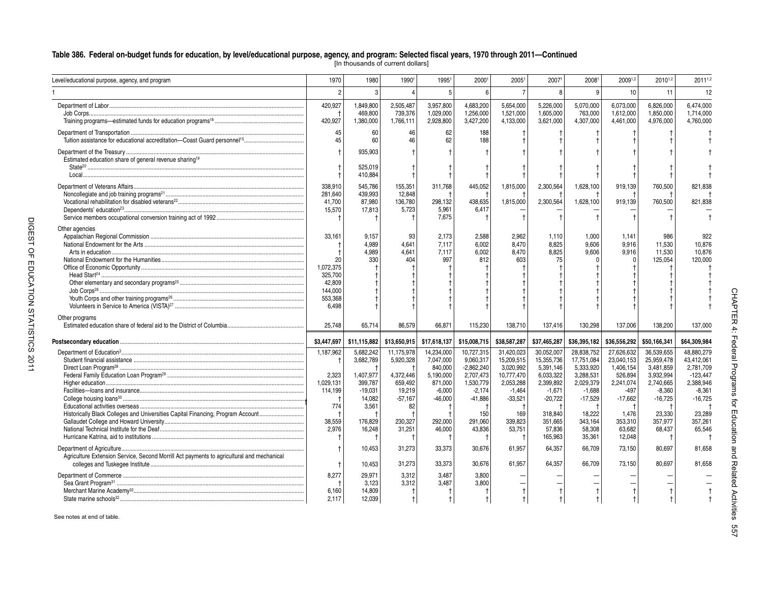[In thousands of current dollars]

| Level/educational purpose, agency, and program                                            | 1970                 | 1980                 | 1990                 | 19951                | 20001                  | 20051                   | 20071                  | 20081                  | 20091,2                | 20101,2                | 20111,2                 |                             |
|-------------------------------------------------------------------------------------------|----------------------|----------------------|----------------------|----------------------|------------------------|-------------------------|------------------------|------------------------|------------------------|------------------------|-------------------------|-----------------------------|
|                                                                                           | $\mathfrak{p}$       | 3                    |                      | 5                    |                        |                         | R                      | q                      | 10                     | 11                     | 12                      |                             |
|                                                                                           | 420,927              | 1,849,800            | 2,505,487            | 3.957.800            | 4.683.200              | 5.654.000               | 5.226.000              | 5.070.000              | 6.073.000              | 6.826.000              | 6.474.000               |                             |
| Job Corps                                                                                 | 420,927              | 469,800              | 739,376              | 1,029,000            | 1,256,000              | 1,521,000<br>4,133,000  | 1.605.000<br>3,621,000 | 763,000<br>4,307,000   | 1,612,000<br>4,461,000 | 1,850,000<br>4,976,000 | 1.714.000<br>4,760,000  |                             |
|                                                                                           |                      | 1,380,000            | 1,766,111            | 2,928,800            | 3,427,200              |                         |                        |                        |                        |                        |                         |                             |
|                                                                                           | 45                   | 60                   | 46                   | 62                   | 188                    |                         |                        |                        |                        |                        |                         |                             |
|                                                                                           | 45                   | 60                   | 46                   | 62                   | 188                    |                         |                        |                        |                        |                        |                         |                             |
| Estimated education share of general revenue sharing <sup>19</sup>                        |                      | 935,903<br>525,019   |                      |                      |                        |                         |                        |                        |                        |                        |                         |                             |
|                                                                                           |                      | 410,884              |                      |                      |                        |                         |                        |                        |                        |                        |                         |                             |
|                                                                                           | 338,910              | 545,786              | 155,351              | 311.768              | 445,052                | 1,815,000               | 2,300,564              | 1,628,100              | 919.139                | 760,500                | 821.838                 |                             |
|                                                                                           | 281,640              | 439,993              | 12,848               |                      |                        |                         |                        |                        |                        |                        |                         |                             |
|                                                                                           | 41.700               | 87.980               | 136,780              | 298.132              | 438,635                | 1,815,000               | 2,300,564              | 1,628,100              | 919,139                | 760,500                | 821.838                 |                             |
| Dependents' education <sup>23</sup>                                                       | 15,570               | 17,813               | 5,723                | 5,961                | 6,417                  |                         |                        |                        |                        |                        |                         |                             |
|                                                                                           | $\mathsf{t}$         |                      |                      | 7,675                |                        |                         |                        |                        |                        |                        |                         |                             |
| Other agencies                                                                            |                      |                      |                      |                      |                        |                         |                        |                        |                        |                        |                         |                             |
|                                                                                           | 33.161               | 9,157                | 93                   | 2,173                | 2,588                  | 2.962                   | 1.110                  | 1.000                  | 1.141                  | 986                    | 922                     |                             |
|                                                                                           |                      | 4.989                | 4.641                | 7.117                | 6.002                  | 8.470                   | 8.825                  | 9.606                  | 9.916                  | 11.530                 | 10.876                  |                             |
|                                                                                           |                      | 4.989                | 4.641                | 7.117                | 6.002                  | 8.470                   | 8.825                  | 9.606                  | 9.916                  | 11.530                 | 10.876                  |                             |
|                                                                                           | 20                   | 330                  | 404                  | 997                  | 812                    | 603                     | 75                     |                        |                        | 125,054                | 120.000                 |                             |
|                                                                                           | 1,072,375<br>325,700 |                      |                      |                      |                        |                         |                        |                        |                        |                        |                         |                             |
|                                                                                           | 42,809               |                      |                      |                      |                        |                         |                        |                        |                        |                        |                         |                             |
|                                                                                           | 144,000              |                      |                      |                      |                        |                         |                        |                        |                        |                        |                         |                             |
|                                                                                           | 553,368              |                      |                      |                      |                        |                         |                        |                        |                        |                        |                         |                             |
|                                                                                           | 6,498                |                      |                      |                      |                        |                         |                        |                        |                        |                        |                         |                             |
| Other programs                                                                            |                      |                      |                      |                      |                        |                         |                        |                        |                        |                        |                         |                             |
|                                                                                           | 25.748               | 65.714               | 86.579               | 66.871               | 115.230                | 138.710                 | 137.416                | 130.298                | 137.006                | 138.200                | 137.000                 |                             |
|                                                                                           |                      |                      |                      |                      |                        |                         |                        |                        |                        |                        |                         | CHAPTER 4: Federal Programs |
|                                                                                           | \$3,447,697          | \$11.115.882         | \$13,650,915         | \$17,618,137         | \$15,008,715           | \$38,587,287            | \$37,465,287           | \$36,395,182           | \$36,556,292           | \$50,166,341           | \$64,309,984            |                             |
|                                                                                           | 1,187,962            | 5.682.242            | 11,175,978           | 14,234,000           | 10,727,315             | 31,420,023              | 30,052,007             | 28,838,752             | 27,626,632             | 36,539,655             | 48.880.279              |                             |
|                                                                                           | $\overline{1}$       | 3,682,789            | 5,920,328            | 7.047.000            | 9.060.317              | 15.209.515              | 15,355,736             | 17.751.084             | 23.040.153             | 25.959.478             | 43.412.061              |                             |
|                                                                                           |                      |                      |                      | 840,000              | $-2,862,240$           | 3,020,992               | 5,391,146              | 5,333,920              | 1,406,154              | 3,481,859              | 2,781,709               |                             |
|                                                                                           | 2,323<br>1,029,131   | 1,407,977<br>399,787 | 4,372,446<br>659.492 | 5,190,000<br>871,000 | 2.707.473<br>1,530,779 | 10.777.470<br>2,053,288 | 6.033.322<br>2,399,892 | 3,288,531<br>2,029,379 | 526.894<br>2.241.074   | 3.932.994<br>2.740.665 | $-123.447$<br>2.388.946 |                             |
|                                                                                           | 114,199              | $-19,031$            | 19,219               | $-6,000$             | $-2,174$               | $-1,464$                | $-1,671$               | $-1,688$               | $-497$                 | $-8,360$               | $-8,361$                |                             |
|                                                                                           |                      | 14,082               | $-57,167$            | $-46,000$            | $-41.886$              | $-33,521$               | $-20.722$              | $-17.529$              | $-17.662$              | $-16.725$              | $-16.725$               |                             |
|                                                                                           | 774                  | 3,561                | 82                   |                      |                        |                         |                        |                        |                        |                        |                         | ਰ੍ਰੇ                        |
| Historically Black Colleges and Universities Capital Financing, Program Account           |                      |                      |                      |                      | 150                    | 169                     | 318.840                | 18.222                 | 1.476                  | 23.330                 | 23.289                  |                             |
|                                                                                           | 38,559               | 176,829              | 230,327              | 292,000              | 291,060                | 339,823                 | 351,665                | 343,164                | 353,310                | 357.977                | 357,261                 |                             |
|                                                                                           | 2,976                | 16,248               | 31,251               | 46,000               | 43,836                 | 53,751                  | 57,836                 | 58,308                 | 63,682                 | 68,437                 | 65,546                  |                             |
|                                                                                           |                      |                      |                      |                      |                        |                         | 165,963                | 35,361                 | 12,048                 |                        |                         |                             |
|                                                                                           |                      | 10,453               | 31,273               | 33,373               | 30,676                 | 61,957                  | 64,357                 | 66,709                 | 73,150                 | 80,697                 | 81,658                  |                             |
| Agriculture Extension Service, Second Morrill Act payments to agricultural and mechanical |                      |                      |                      |                      |                        |                         |                        |                        |                        |                        |                         |                             |
|                                                                                           | $\ddagger$           | 10,453               | 31,273               | 33,373               | 30,676                 | 61.957                  | 64,357                 | 66,709                 | 73,150                 | 80,697                 | 81,658                  | <b>Facebook Book</b>        |
|                                                                                           | 8,277                | 29,971               | 3.312                | 3,487                | 3,800                  |                         |                        |                        |                        |                        |                         |                             |
|                                                                                           |                      | 3,123                | 3,312                | 3,487                | 3,800                  |                         |                        |                        |                        |                        |                         |                             |
|                                                                                           | 6,160                | 14,809               |                      |                      |                        |                         |                        |                        |                        |                        |                         |                             |
|                                                                                           | 2,117                | 12,039               | $\uparrow$           | $^{\dagger}$         |                        |                         |                        |                        |                        |                        |                         | Activ                       |

See notes at end of table.

DIGEST OF EDUCATION STATISTICS 2011

DIGEST OF EDUCATION STATISTICS 2011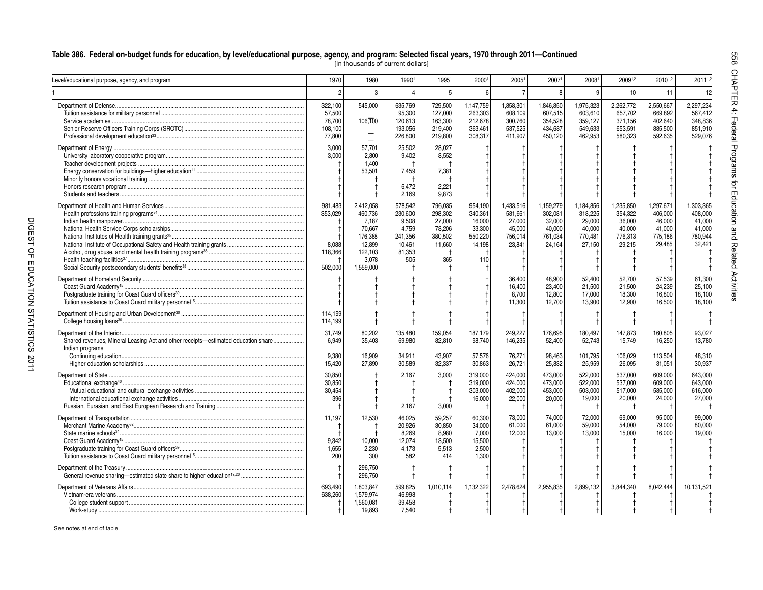[In thousands of current dollars]

| Level/educational purpose, agency, and program                                                       | 1970                                              | 1980                                                                                          | 19901                                                                      | 19951                                                              | 20001                                                              | 2005                                                          | 20071                                                         | 20081                                                         | 20091,2                                                       | 20101,2                                                       | 20111,2                                                       | <b>HAPTER</b>                        |
|------------------------------------------------------------------------------------------------------|---------------------------------------------------|-----------------------------------------------------------------------------------------------|----------------------------------------------------------------------------|--------------------------------------------------------------------|--------------------------------------------------------------------|---------------------------------------------------------------|---------------------------------------------------------------|---------------------------------------------------------------|---------------------------------------------------------------|---------------------------------------------------------------|---------------------------------------------------------------|--------------------------------------|
|                                                                                                      | $\overline{2}$                                    | 3 <sup>1</sup>                                                                                | $\Delta$                                                                   | 5                                                                  | 6                                                                  |                                                               | $\mathsf{R}$                                                  | 9                                                             | 10                                                            | 11                                                            | 12                                                            |                                      |
|                                                                                                      | 322.100<br>57,500<br>78.700<br>108,100<br>77,800  | 545.000<br>106.100<br>$\overline{\phantom{0}}$                                                | 635.769<br>95,300<br>120.613<br>193,056<br>226,800                         | 729.500<br>127,000<br>163.300<br>219,400<br>219,800                | 1.147.759<br>263,303<br>212.678<br>363,461<br>308,317              | 1.858.301<br>608,109<br>300.760<br>537,525<br>411.907         | 1.846.850<br>607,515<br>354.528<br>434,687<br>450.120         | 1.975.323<br>603,610<br>359.127<br>549,633<br>462,953         | 2.262.772<br>657,702<br>371.156<br>653,591<br>580,323         | 2.550.667<br>669,892<br>402.640<br>885,500<br>592,635         | 2.297.234<br>567,412<br>348.836<br>851,910<br>529.076         |                                      |
|                                                                                                      | 3,000<br>3,000                                    | 57.701<br>2.800<br>1,400<br>53,501                                                            | 25,502<br>9,402<br>7,459<br>6,472<br>2,169                                 | 28,027<br>8,552<br>7,381<br>2,221<br>9,873                         |                                                                    |                                                               |                                                               |                                                               |                                                               |                                                               |                                                               | 4: Federal Programs                  |
|                                                                                                      | 981,483<br>353.029<br>8,088<br>118.366<br>502,000 | 2,412,058<br>460.736<br>7,187<br>70,667<br>176,388<br>12,899<br>122.103<br>3.078<br>1,559,000 | 578,542<br>230.600<br>9,508<br>4,759<br>241,356<br>10,461<br>81.353<br>505 | 796,035<br>298,302<br>27,000<br>78,206<br>380,502<br>11,660<br>365 | 954,190<br>340.361<br>16.000<br>33,300<br>550,220<br>14,198<br>110 | 1,433,516<br>581.661<br>27.000<br>45,000<br>756,014<br>23,841 | 1,159,279<br>302.081<br>32.000<br>40.000<br>761,034<br>24,164 | 1,184,856<br>318.225<br>29.000<br>40.000<br>770,481<br>27,150 | 1,235,850<br>354.322<br>36.000<br>40.000<br>776,313<br>29,215 | 1,297,671<br>406.000<br>46.000<br>41.000<br>775,186<br>29,485 | 1,303,365<br>408.000<br>41.000<br>41.000<br>780,944<br>32.421 | tor Education and Related Activities |
|                                                                                                      |                                                   |                                                                                               |                                                                            |                                                                    |                                                                    | 36,400<br>16.400<br>8,700<br>11,300                           | 48,900<br>23.400<br>12,800<br>12.700                          | 52,400<br>21.500<br>17,000<br>13.900                          | 52,700<br>21.500<br>18,300<br>12.900                          | 57,539<br>24.239<br>16,800<br>16.500                          | 61,300<br>25.100<br>18,100<br>18.100                          |                                      |
|                                                                                                      | 114,199<br>114.199                                |                                                                                               |                                                                            |                                                                    |                                                                    |                                                               |                                                               |                                                               |                                                               |                                                               |                                                               |                                      |
| Shared revenues, Mineral Leasing Act and other receipts-estimated education share<br>Indian programs | 31,749<br>6.949<br>9,380                          | 80,202<br>35,403<br>16,909                                                                    | 135,480<br>69,980<br>34,911                                                | 159,054<br>82,810<br>43,907                                        | 187,179<br>98,740<br>57,576                                        | 249,227<br>146,235<br>76,271                                  | 176,695<br>52,400<br>98,463                                   | 180.497<br>52.743<br>101,795                                  | 147.873<br>15.749<br>106,029                                  | 160.805<br>16.250<br>113,504                                  | 93.027<br>13.780<br>48,310                                    |                                      |
|                                                                                                      | 15.420                                            | 27.890                                                                                        | 30.589                                                                     | 32,337                                                             | 30.863                                                             | 26.721                                                        | 25,832                                                        | 25,959                                                        | 26,095                                                        | 31,051                                                        | 30,937                                                        |                                      |
| Department of State.                                                                                 | 30.850<br>30,850<br>30,454<br>396<br>ŧ            |                                                                                               | 2,167<br>2,167                                                             | 3,000<br>3,000                                                     | 319,000<br>319,000<br>303,000<br>16,000<br>- †                     | 424.000<br>424,000<br>402,000<br>22,000                       | 473.000<br>473,000<br>453,000<br>20,000<br>L.                 | 522.000<br>522,000<br>503.000<br>19,000<br>$\mathbf t$        | 537.000<br>537,000<br>517,000<br>20.000<br>- †                | 609.000<br>609,000<br>585,000<br>24,000                       | 643.000<br>643.000<br>616.000<br>27,000                       |                                      |
|                                                                                                      | 11,197<br>ŧ<br>9,342<br>1.655<br>200              | 12,530<br>10,000<br>2.230<br>300                                                              | 46,025<br>20,926<br>8.269<br>12,074<br>4.173<br>582                        | 59,257<br>30,850<br>8.980<br>13,500<br>5,513<br>414                | 60,300<br>34,000<br>7.000<br>15,500<br>2.500<br>1.300              | 73,000<br>61,000<br>12.000                                    | 74.000<br>61.000<br>13.000                                    | 72.000<br>59.000<br>13,000                                    | 69.000<br>54.000<br>15.000                                    | 95.000<br>79,000<br>16.000                                    | 99.000<br>80.000<br>19.000                                    |                                      |
|                                                                                                      |                                                   | 296,750<br>296,750                                                                            |                                                                            |                                                                    |                                                                    |                                                               |                                                               |                                                               |                                                               |                                                               |                                                               |                                      |
|                                                                                                      | 693.490<br>638,260<br>t                           | 1,803,847<br>1,579,974<br>1,560,081<br>19.893                                                 | 599,825<br>46,998<br>39,458<br>7.540                                       | 1,010,114                                                          | 1,132,322                                                          | 2,478,624                                                     | 2,955,835                                                     | 2,899,132                                                     | 3.844.340                                                     | 8.042.444                                                     | 10.131.521                                                    |                                      |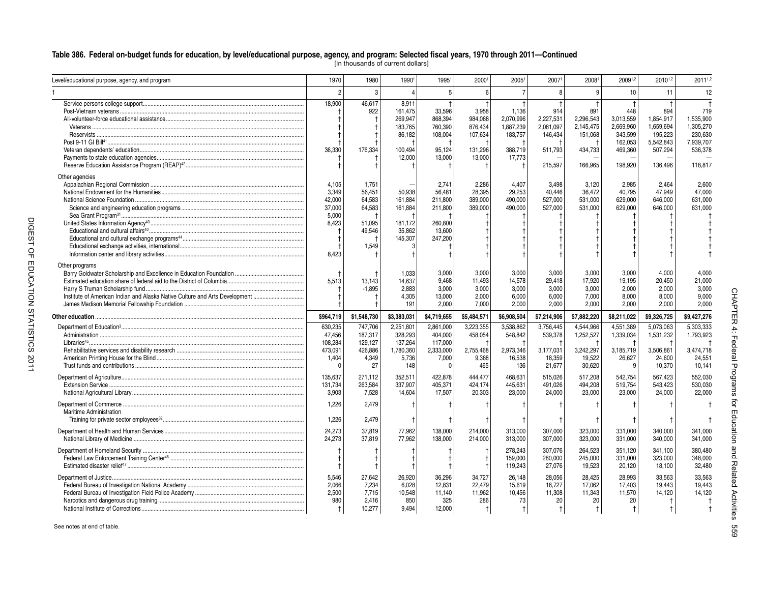[In thousands of current dollars]

| Level/educational purpose, agency, and program                                                | 1970                                                                          | 1980                                                             | 19901                                                                 | 19951                                                                 | 20001                                                       | 20051                                                           | 20071                                                          | 20081                                                          | 20091,2                                                                   | 20101,2                                                                     | 20111,2                                                                     |                             |
|-----------------------------------------------------------------------------------------------|-------------------------------------------------------------------------------|------------------------------------------------------------------|-----------------------------------------------------------------------|-----------------------------------------------------------------------|-------------------------------------------------------------|-----------------------------------------------------------------|----------------------------------------------------------------|----------------------------------------------------------------|---------------------------------------------------------------------------|-----------------------------------------------------------------------------|-----------------------------------------------------------------------------|-----------------------------|
|                                                                                               | $\overline{2}$                                                                | 3                                                                | $\Delta$                                                              | 5                                                                     | ĥ                                                           |                                                                 | R                                                              | q                                                              | 10                                                                        | 11                                                                          | 12                                                                          |                             |
|                                                                                               | 18,900<br>36,330                                                              | 46,617<br>922<br>176,334                                         | 8,911<br>161,475<br>269.947<br>183,765<br>86,182<br>100.494<br>12.000 | 33,596<br>868.394<br>760,390<br>108,004<br>95.124<br>13,000           | 3,958<br>984.068<br>876.434<br>107,634<br>131,296<br>13.000 | 1,136<br>2.070.996<br>1.887.239<br>183,757<br>388.719<br>17.773 | 914<br>2.227.531<br>2.081.097<br>146,434<br>511.793<br>215,597 | 891<br>2.296.543<br>2.145.475<br>151,068<br>434.733<br>166,965 | 448<br>3.013.559<br>2.669.960<br>343,599<br>162,053<br>469.360<br>198,920 | 894<br>1.854.917<br>1.659.694<br>195,223<br>5,542,843<br>507.294<br>136,496 | 719<br>1.535.900<br>1.305.270<br>230,630<br>7,939,707<br>536.378<br>118,817 |                             |
| Other agencies<br>Sea Grant Program <sup>31</sup>                                             | 4.105<br>3,349<br>42,000<br>37.000<br>5,000<br>8,423<br>$\mathbf{f}$<br>8,423 | 1.751<br>56,451<br>64,583<br>64,583<br>51,095<br>49,546<br>1.549 | 50,938<br>161.884<br>161.884<br>181,172<br>35.862<br>145,307          | 2.741<br>56,481<br>211,800<br>211,800<br>260,800<br>13.600<br>247,200 | 2.286<br>28,395<br>389,000<br>389,000                       | 4.407<br>29,253<br>490.000<br>490.000                           | 3.498<br>40,446<br>527,000<br>527.000                          | 3.120<br>36,472<br>531,000<br>531,000                          | 2.985<br>40,795<br>629.000<br>629.000                                     | 2.464<br>47,949<br>646.000<br>646.000                                       | 2.600<br>47,000<br>631.000<br>631.000                                       |                             |
| Other programs<br>Institute of American Indian and Alaska Native Culture and Arts Development | 5,513                                                                         | 13,143<br>$-1,895$                                               | 1.033<br>14,637<br>2,883<br>4.305<br>191                              | 3.000<br>9,468<br>3.000<br>13,000<br>2.000                            | 3.000<br>11,493<br>3.000<br>2.000<br>7.000                  | 3.000<br>14,578<br>3.000<br>6.000<br>2.000                      | 3.000<br>29,418<br>3.000<br>6.000<br>2.000                     | 3.000<br>17,920<br>3.000<br>7.000<br>2.000                     | 3.000<br>19,195<br>2.000<br>8.000<br>2.000                                | 4.000<br>20,450<br>2.000<br>8.000<br>2.000                                  | 4.000<br>21,000<br>3,000<br>9.000<br>2.000                                  |                             |
| Other education                                                                               | \$964,719                                                                     | \$1,548,730                                                      | \$3,383,031                                                           | \$4,719,655                                                           | \$5,484,571                                                 | \$6,908,504                                                     | \$7,214,906                                                    | \$7,882,220                                                    | \$8,211,022                                                               | \$9,326,725                                                                 | \$9,427,276                                                                 |                             |
|                                                                                               | 630.235<br>47,456<br>108,284<br>473,091<br>1.404<br>0                         | 747,706<br>187,317<br>129,127<br>426,886<br>4,349<br>27          | 2.251.801<br>328,293<br>137,264<br>1,780,360<br>5,736<br>148          | 2.861.000<br>404,000<br>117,000<br>2,333,000<br>7,000<br>$^{\circ}$   | 3.223.355<br>458,054<br>2,755,468<br>9,368<br>465           | 3.538.862<br>548,842<br>2,973,346<br>16,538<br>136              | 3.756.445<br>539,378<br>3,177,031<br>18.359<br>21,677          | 4.544.966<br>1,252,527<br>3.242.297<br>19.522<br>30,620        | 4.551.389<br>1,339,034<br>3,185,719<br>26.627<br>9                        | 5.073.063<br>1,531,232<br>3,506,861<br>24.600<br>10,370                     | 5.303.333<br>1,793,923<br>3,474,718<br>24.551<br>10,141                     | CHAPTER 4: Federal Programs |
|                                                                                               | 135,637<br>131,734<br>3.903                                                   | 271.112<br>263,584<br>7.528                                      | 352.511<br>337,907<br>14.604                                          | 422.878<br>405,371<br>17.507                                          | 444.477<br>424.174<br>20.303                                | 468.631<br>445,631<br>23.000                                    | 515.026<br>491,026<br>24.000                                   | 517.208<br>494,208<br>23.000                                   | 542.754<br>519,754<br>23.000                                              | 567.423<br>543,423<br>24.000                                                | 552.030<br>530.030<br>22.000                                                |                             |
| Maritime Administration                                                                       | 1,226<br>1,226                                                                | 2,479<br>2,479                                                   |                                                                       |                                                                       |                                                             |                                                                 |                                                                |                                                                |                                                                           |                                                                             |                                                                             | ਰ੍ਹੇ                        |
|                                                                                               | 24,273<br>24,273                                                              | 37,819<br>37,819                                                 | 77,962<br>77,962                                                      | 138,000<br>138,000                                                    | 214,000<br>214,000                                          | 313,000<br>313,000                                              | 307,000<br>307,000                                             | 323,000<br>323,000                                             | 331,000<br>331,000                                                        | 340.000<br>340,000                                                          | 341,000<br>341,000                                                          | Education                   |
|                                                                                               |                                                                               |                                                                  |                                                                       |                                                                       |                                                             |                                                                 |                                                                |                                                                |                                                                           |                                                                             |                                                                             |                             |
|                                                                                               | -1                                                                            |                                                                  |                                                                       |                                                                       |                                                             | 278.243<br>159,000<br>119,243                                   | 307.076<br>280,000<br>27,076                                   | 264.523<br>245,000<br>19,523                                   | 351.120<br>331,000<br>20,120                                              | 341.100<br>323,000<br>18,100                                                | 380.480<br>348,000<br>32,480                                                | and<br>Related Activiti     |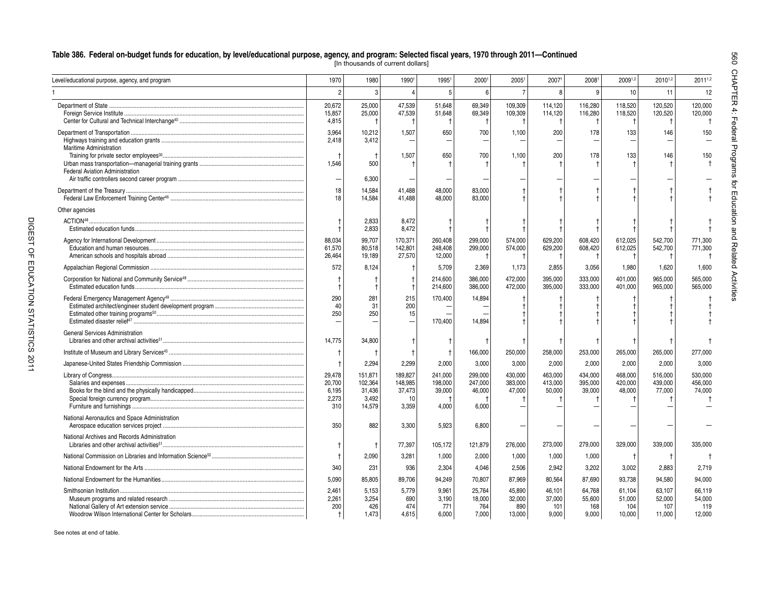[In thousands of current dollars]

| Level/educational purpose, agency, and program                                         | 1970                                      | 1980                                            | 19901                                       | 19951                                 | 20001                                 | 20051                             | 20071                            | 20081                            | 20091,2                           | 20101,2                           | 20111,2                           |                                      |
|----------------------------------------------------------------------------------------|-------------------------------------------|-------------------------------------------------|---------------------------------------------|---------------------------------------|---------------------------------------|-----------------------------------|----------------------------------|----------------------------------|-----------------------------------|-----------------------------------|-----------------------------------|--------------------------------------|
|                                                                                        |                                           | 3                                               |                                             | 5                                     | $6\overline{6}$                       |                                   | 8                                | g                                | 10                                | 11                                | 12                                |                                      |
|                                                                                        | 20,672<br>15,857<br>4,815                 | 25,000<br>25,000                                | 47,539<br>47,539                            | 51.648<br>51,648                      | 69,349<br>69,349<br>$\ddagger$        | 109,309<br>109,309                | 114.120<br>114,120<br>-1         | 116.280<br>116,280<br>-1         | 118,520<br>118,520                | 120,520<br>120,520<br>$^+$        | 120,000<br>120,000<br>$\pm$       | <b>CHAPTER 4: Federal Programs</b>   |
| <b>Maritime Administration</b>                                                         | 3,964<br>2.418                            | 10,212<br>3.412                                 | 1,507                                       | 650                                   | 700                                   | 1,100                             | 200                              | 178                              | 133                               | 146                               | 150                               |                                      |
| Federal Aviation Administration                                                        | 1,546                                     | 500                                             | 1,507                                       | 650                                   | 700                                   | 1,100                             | 200                              | 178                              | 133                               | 146                               | 150                               |                                      |
|                                                                                        |                                           | 6,300                                           |                                             |                                       |                                       |                                   |                                  |                                  |                                   |                                   |                                   |                                      |
|                                                                                        | 18<br>18                                  | 14,584<br>14,584                                | 41.488<br>41,488                            | 48.000<br>48.000                      | 83.000<br>83.000                      |                                   |                                  |                                  |                                   |                                   |                                   |                                      |
| Other agencies                                                                         |                                           |                                                 |                                             |                                       |                                       |                                   |                                  |                                  |                                   |                                   |                                   |                                      |
|                                                                                        |                                           | 2,833<br>2,833                                  | 8,472<br>8,472                              |                                       |                                       |                                   |                                  |                                  |                                   |                                   |                                   |                                      |
|                                                                                        | 88,034<br>61,570<br>26,464                | 99,707<br>80,518<br>19,189                      | 170,371<br>142,801<br>27,570                | 260,408<br>248.408<br>12,000          | 299,000<br>299,000                    | 574,000<br>574,000                | 629,200<br>629,200               | 608,420<br>608,420               | 612,025<br>612,025                | 542,700<br>542,700<br>- †         | 771,300<br>771,300                | for matcation and Related Activities |
|                                                                                        | 572                                       | 8,124                                           |                                             | 5,709                                 | 2,369                                 | 1,173                             | 2,855                            | 3,056                            | 1,980                             | 1,620                             | 1,600                             |                                      |
|                                                                                        |                                           |                                                 |                                             | 214,600<br>214,600                    | 386,000<br>386,000                    | 472,000<br>472.000                | 395,000<br>395.000               | 333,000<br>333.000               | 401,000<br>401.000                | 965,000<br>965,000                | 565,000<br>565.000                |                                      |
|                                                                                        | 290<br>40<br>250                          | 281<br>31<br>250                                | 215<br>200<br>15                            | 170,400<br>170.400                    | 14,894<br>14.894                      |                                   |                                  |                                  |                                   |                                   |                                   |                                      |
| <b>General Services Administration</b>                                                 | 14,775                                    | 34,800                                          |                                             | Ť                                     |                                       |                                   |                                  |                                  |                                   |                                   |                                   |                                      |
|                                                                                        |                                           |                                                 | .1                                          | $\mathsf{t}$                          | 166,000                               | 250,000                           | 258,000                          | 253,000                          | 265,000                           | 265,000                           | 277,000                           |                                      |
|                                                                                        |                                           | 2,294                                           | 2,299                                       | 2,000                                 | 3,000                                 | 3,000                             | 2,000                            | 2,000                            | 2,000                             | 2,000                             | 3,000                             |                                      |
|                                                                                        | 29,478<br>20.700<br>6,195<br>2,273<br>310 | 151,871<br>102,364<br>31,436<br>3,492<br>14.579 | 189,827<br>148,985<br>37,473<br>10<br>3,359 | 241,000<br>198,000<br>39,000<br>4.000 | 299,000<br>247,000<br>46,000<br>6.000 | 430,000<br>383,000<br>47,000      | 463,000<br>413,000<br>50,000     | 434,000<br>395.000<br>39,000     | 468,000<br>420.000<br>48,000      | 516,000<br>439.000<br>77,000      | 530,000<br>456.000<br>74,000      |                                      |
| National Aeronautics and Space Administration<br>Aerospace education services project. | 350                                       | 882                                             | 3,300                                       | 5.923                                 | 6,800                                 |                                   |                                  |                                  |                                   |                                   |                                   |                                      |
| National Archives and Records Administration                                           |                                           |                                                 | 77,397                                      | 105,172                               | 121,879                               | 276,000                           | 273,000                          | 279,000                          | 329,000                           | 339,000                           | 335,000                           |                                      |
|                                                                                        |                                           | 2,090                                           | 3,281                                       | 1,000                                 | 2,000                                 | 1,000                             | 1,000                            | 1,000                            |                                   |                                   |                                   |                                      |
|                                                                                        | 340                                       | 231                                             | 936                                         | 2,304                                 | 4.046                                 | 2,506                             | 2.942                            | 3.202                            | 3,002                             | 2,883                             | 2,719                             |                                      |
|                                                                                        | 5.090                                     | 85,805                                          | 89,706                                      | 94,249                                | 70,807                                | 87,969                            | 80,564                           | 87.690                           | 93.738                            | 94,580                            | 94,000                            |                                      |
|                                                                                        | 2.461<br>2,261<br>200                     | 5,153<br>3,254<br>426<br>1.473                  | 5.779<br>690<br>474<br>4.615                | 9.961<br>3,190<br>771<br>6,000        | 25.764<br>18,000<br>764<br>7.000      | 45.890<br>32,000<br>890<br>13.000 | 46.101<br>37,000<br>101<br>9.000 | 64.768<br>55,600<br>168<br>9.000 | 61.104<br>51,000<br>104<br>10.000 | 63.107<br>52,000<br>107<br>11.000 | 66.119<br>54,000<br>119<br>12.000 |                                      |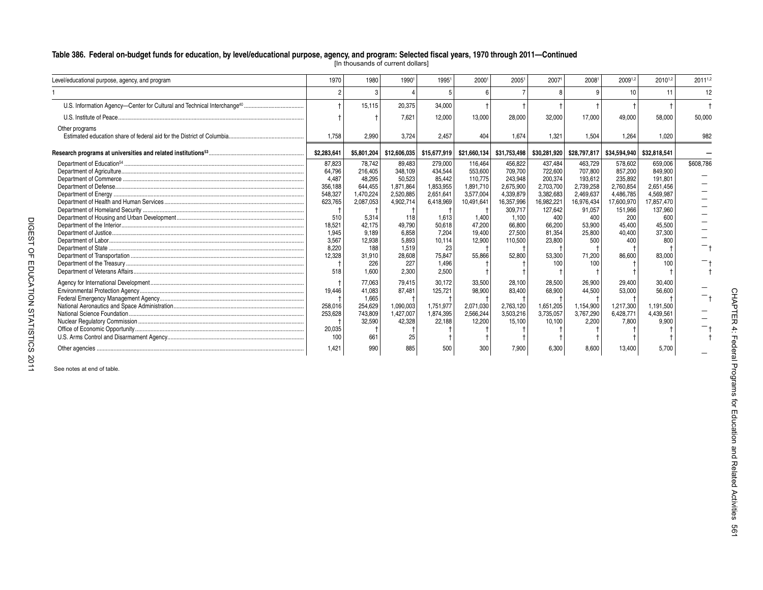| Level/educational purpose, agency, and program | 1970                                                                                                                    | 1980                                                                                                                                    | 1990                                                                                                                                     | 1995                                                                                                                                        | 2000                                                                                                                   | 2005                                                                                                                               | 2007                                                                                                                                   | 2008                                                                                                                               | 20091,2                                                                                                                      | 20101,2                                                                                                                             | 20111,2   |                                          |
|------------------------------------------------|-------------------------------------------------------------------------------------------------------------------------|-----------------------------------------------------------------------------------------------------------------------------------------|------------------------------------------------------------------------------------------------------------------------------------------|---------------------------------------------------------------------------------------------------------------------------------------------|------------------------------------------------------------------------------------------------------------------------|------------------------------------------------------------------------------------------------------------------------------------|----------------------------------------------------------------------------------------------------------------------------------------|------------------------------------------------------------------------------------------------------------------------------------|------------------------------------------------------------------------------------------------------------------------------|-------------------------------------------------------------------------------------------------------------------------------------|-----------|------------------------------------------|
|                                                |                                                                                                                         |                                                                                                                                         |                                                                                                                                          |                                                                                                                                             |                                                                                                                        |                                                                                                                                    |                                                                                                                                        |                                                                                                                                    | 10                                                                                                                           | 11                                                                                                                                  | 12        |                                          |
|                                                |                                                                                                                         | 15.115                                                                                                                                  | 20,375                                                                                                                                   | 34.000                                                                                                                                      |                                                                                                                        |                                                                                                                                    |                                                                                                                                        |                                                                                                                                    |                                                                                                                              |                                                                                                                                     |           |                                          |
|                                                |                                                                                                                         |                                                                                                                                         | 7,621                                                                                                                                    | 12,000                                                                                                                                      | 13,000                                                                                                                 | 28,000                                                                                                                             | 32,000                                                                                                                                 | 17.000                                                                                                                             | 49.000                                                                                                                       | 58,000                                                                                                                              | 50,000    |                                          |
| Other programs                                 | 1.758                                                                                                                   | 2.990                                                                                                                                   | 3.724                                                                                                                                    | 2.457                                                                                                                                       | 404                                                                                                                    | 1.674                                                                                                                              | 1.321                                                                                                                                  | 1.504                                                                                                                              | 1.264                                                                                                                        | 1.020                                                                                                                               | 982       |                                          |
|                                                | \$2,283,641                                                                                                             | \$5,801,204                                                                                                                             | \$12,606,035                                                                                                                             | \$15,677,919                                                                                                                                | \$21,660,134                                                                                                           | \$31,753,498                                                                                                                       | \$30,281,920                                                                                                                           | \$28,797,817                                                                                                                       | \$34,594,940 \$32,818,541                                                                                                    |                                                                                                                                     |           |                                          |
|                                                | 87,823<br>64,796<br>4.487<br>356,188<br>548,327<br>623,765<br>510<br>18,521<br>1.945<br>3,567<br>8,220<br>12,328<br>518 | 78,742<br>216,405<br>48.295<br>644,455<br>1,470,224<br>2,087,053<br>5,314<br>42,175<br>9.189<br>12,938<br>188<br>31,910<br>226<br>1.600 | 89,483<br>348,109<br>50,523<br>1,871,864<br>2.520.885<br>4,902,714<br>118<br>49,790<br>6.858<br>5,893<br>1,519<br>28,608<br>227<br>2.300 | 279,000<br>434.544<br>85.442<br>1,853,955<br>2.651.641<br>6,418,969<br>1,613<br>50,618<br>7.204<br>10,114<br>23<br>75,847<br>1.496<br>2.500 | 116,464<br>553.600<br>110.775<br>1,891,710<br>3.577.004<br>10,491,641<br>1,400<br>47,200<br>19.400<br>12,900<br>55,866 | 456,822<br>709.700<br>243.948<br>2,675,900<br>4.339.879<br>16,357,996<br>309,717<br>1,100<br>66,800<br>27.500<br>110,500<br>52,800 | 437,484<br>722.600<br>200.374<br>2,703,700<br>3.382.683<br>16,982,221<br>127,642<br>400<br>66,200<br>81,354<br>23,800<br>53,300<br>100 | 463,729<br>707.800<br>193.612<br>2,739,258<br>2,469,637<br>16,976,434<br>91,057<br>400<br>53,900<br>25,800<br>500<br>71,200<br>100 | 578,602<br>857.200<br>235.892<br>2,760,854<br>4,486,785<br>17,600,970<br>151,966<br>200<br>45,400<br>40,400<br>400<br>86,600 | 659,006<br>849.900<br>191.801<br>2,651,456<br>4.569.987<br>17,857,470<br>137.960<br>600<br>45,500<br>37,300<br>800<br>83,000<br>100 | \$608,786 |                                          |
|                                                | 19,446<br>258,016<br>253,628<br>20,035<br>100<br>1,421                                                                  | 77,063<br>41,083<br>1.665<br>254,629<br>743,809<br>32,590<br>661<br>990                                                                 | 79,415<br>87,481<br>1,090,003<br>1,427,007<br>42,328<br>25<br>885                                                                        | 30.172<br>125,721<br>1,751,977<br>1,874,395<br>22,188<br>500                                                                                | 33,500<br>98,900<br>2,071,030<br>2,566,244<br>12.200<br>300                                                            | 28,100<br>83.400<br>2,763,120<br>3,503,216<br>15,100<br>7,900                                                                      | 28,500<br>68,900<br>1,651,205<br>3,735,057<br>10,100<br>6,300                                                                          | 26,900<br>44,500<br>1,154,900<br>3,767,290<br>2,200<br>8,600                                                                       | 29,400<br>53,000<br>1.217.300<br>6,428,771<br>7.800<br>13.400                                                                | 30.400<br>56,600<br>1.191.500<br>4.439.561<br>9.900<br>5.700                                                                        |           | <b>CHAP</b><br>낙<br>刀<br>4.<br><b>CD</b> |

[In thousands of current dollars]

See notes at end of table.

—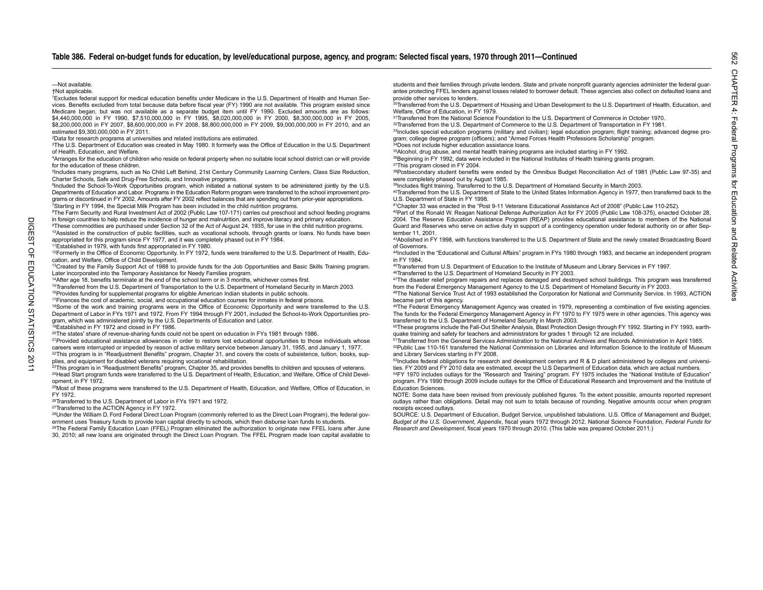#### —Not available.

+Not annlicable

<sup>1</sup>Excludes federal support for medical education benefits under Medicare in the U.S. Department of Health and Human Services. Benefits excluded from total because data before fiscal year (FY) 1990 are not available. This program existed since Medicare began, but was not available as a separate budget item until FY 1990. Excluded amounts are as follows: \$4,440,000,000 in FY 1990, \$7,510,000,000 in FY 1995, \$8,020,000,000 in FY 2000, \$8,300,000,000 in FY 2005, \$8,200,000,000 in FY 2007, \$8,600,000,000 in FY 2008, \$8,800,000,000 in FY 2009, \$9,000,000,000 in FY 2010, and an estimated \$9,300,000,000 in FY 2011.

2Data for research programs at universities and related institutions are estimated.

3The U.S. Department of Education was created in May 1980. It formerly was the Office of Education in the U.S. Department of Health, Education, and Welfare.

4Arranges for the education of children who reside on federal property when no suitable local school district can or will provide for the education of these children.

 5Includes many programs, such as No Child Left Behind, 21st Century Community Learning Centers, Class Size Reduction, Charter Schools, Safe and Drug-Free Schools, and Innovative programs.

<sup>6</sup>Included the School-To-Work Opportunities program, which initiated a national system to be administered jointly by the U.S. Departments of Education and Labor. Programs in the Education Reform program were transferred to the school improvement programs or discontinued in FY 2002. Amounts after FY 2002 reflect balances that are spending out from prior-year appropriations.<br>7Starting in FY 1994, the Special Milk Program has been included in the child nutrition program

8The Farm Security and Rural Investment Act of 2002 (Public Law 107-171) carries out preschool and school feeding programs in foreign countries to help reduce the incidence of hunger and malnutrition, and improve literacy and primary education.

9These commodities are purchased under Section 32 of the Act of August 24, 1935, for use in the child nutrition programs. 10Assisted in the construction of public facilities, such as vocational schools, through grants or loans. No funds have been appropriated for this program since FY 1977, and it was completely phased out in FY 1984.

11Established in 1979, with funds first appropriated in FY 1980.

<sup>12</sup>Formerly in the Office of Economic Opportunity. In FY 1972, funds were transferred to the U.S. Department of Health, Education, and Welfare, Office of Child Development.

<sup>13</sup>Created by the Family Support Act of 1988 to provide funds for the Job Opportunities and Basic Skills Training program. Later incorporated into the Temporary Assistance for Needy Families program.

14After age 18, benefits terminate at the end of the school term or in 3 months, whichever comes first.

15Transferred from the U.S. Department of Transportation to the U.S. Department of Homeland Security in March 2003. 16Provides funding for supplemental programs for eligible American Indian students in public schools.

17Finances the cost of academic, social, and occupational education courses for inmates in federal prisons.

18Some of the work and training programs were in the Office of Economic Opportunity and were transferred to the U.S. Department of Labor in FYs 1971 and 1972. From FY 1994 through FY 2001, included the School-to-Work Opportunities program, which was administered jointly by the U.S. Departments of Education and Labor.

<sup>19</sup>Established in FY 1972 and closed in FY 1986.

20The states' share of revenue-sharing funds could not be spent on education in FYs 1981 through 1986.

21Provided educational assistance allowances in order to restore lost educational opportunities to those individuals whose careers were interrupted or impeded by reason of active military service between January 31, 1955, and January 1, 1977.

<sup>22</sup>This program is in "Readjustment Benefits" program, Chapter 31, and covers the costs of subsistence, tuition, books, supplies, and equipment for disabled veterans requiring vocational rehabilitation.

<sup>23</sup>This program is in "Readiustment Benefits" program, Chapter 35, and provides benefits to children and spouses of veterans. 24Head Start program funds were transferred to the U.S. Department of Health, Education, and Welfare, Office of Child Development, in FY 1972.

25Most of these programs were transferred to the U.S. Department of Health, Education, and Welfare, Office of Education, in FY 1972.

26Transferred to the U.S. Department of Labor in FYs 1971 and 1972.

27Transferred to the ACTION Agency in FY 1972.

<sup>28</sup>Under the William D. Ford Federal Direct Loan Program (commonly referred to as the Direct Loan Program), the federal government uses Treasury funds to provide loan capital directly to schools, which then disburse loan funds to students.

29The Federal Family Education Loan (FFEL) Program eliminated the authorization to originate new FFEL loans after June 30, 2010; all new loans are originated through the Direct Loan Program. The FFEL Program made loan capital available to students and their families through private lenders. State and private nonprofit guaranty agencies administer the federal guarantee protecting FFEL lenders against losses related to borrower default. These agencies also collect on defaulted loans and provide other services to lenders.

<sup>30</sup>Transferred from the U.S. Department of Housing and Urban Development to the U.S. Department of Health. Education, and Welfare, Office of Education, in FY 1979.

31Transferred from the National Science Foundation to the U.S. Department of Commerce in October 1970.

32Transferred from the U.S. Department of Commerce to the U.S. Department of Transportation in FY 1981.

33Includes special education programs (military and civilian); legal education program; flight training; advanced degree program; college degree program (officers); and "Armed Forces Health Professions Scholarship" program.

34Does not include higher education assistance loans.

<sup>35</sup>Alcohol, drug abuse, and mental health training programs are included starting in FY 1992. 36Beginning in FY 1992, data were included in the National Institutes of Health training grants program. 37This program closed in FY 2004.

38Postsecondary student benefits were ended by the Omnibus Budget Reconciliation Act of 1981 (Public Law 97-35) and were completely phased out by August 1985.

39Includes flight training. Transferred to the U.S. Department of Homeland Security in March 2003.

40Transferred from the U.S. Department of State to the United States Information Agency in 1977, then transferred back to the U.S. Department of State in FY 1998.

41Chapter 33 was enacted in the "Post 9-11 Veterans Educational Assistance Act of 2008" (Public Law 110-252). 42Part of the Ronald W. Reagan National Defense Authorization Act for FY 2005 (Public Law 108-375), enacted October 28,

 2004. The Reserve Education Assistance Program (REAP) provides educational assistance to members of the National Guard and Reserves who serve on active duty in support of a contingency operation under federal authority on or after September 11, 2001.

43Abolished in FY 1998, with functions transferred to the U.S. Department of State and the newly created Broadcasting Board of Governors.

 44Included in the "Educational and Cultural Affairs" program in FYs 1980 through 1983, and became an independent program in FY 1984.

45Transferred from U.S. Department of Education to the Institute of Museum and Library Services in FY 1997.

46Transferred to the U.S. Department of Homeland Security in FY 2003.

47The disaster relief program repairs and replaces damaged and destroyed school buildings. This program was transferred from the Federal Emergency Management Agency to the U.S. Department of Homeland Security in FY 2003.

48The National Service Trust Act of 1993 established the Corporation for National and Community Service. In 1993, ACTION became part of this agency.

49The Federal Emergency Management Agency was created in 1979, representing a combination of five existing agencies. The funds for the Federal Emergency Management Agency in FY 1970 to FY 1975 were in other agencies. This agency was transferred to the U.S. Department of Homeland Security in March 2003.

50These programs include the Fall-Out Shelter Analysis, Blast Protection Design through FY 1992. Starting in FY 1993, earthquake training and safety for teachers and administrators for grades 1 through 12 are included.

51Transferred from the General Services Administration to the National Archives and Records Administration in April 1985. 52Public Law 110-161 transferred the National Commission on Libraries and Information Science to the Institute of Museum and Library Services starting in FY 2008.

53Includes federal obligations for research and development centers and R & D plant administered by colleges and universities. FY 2009 and FY 2010 data are estimated, except the U.S Department of Education data, which are actual numbers.

54FY 1970 includes outlays for the "Research and Training" program. FY 1975 includes the "National Institute of Education" program. FYs 1990 through 2009 include outlays for the Office of Educational Research and Improvement and the Institute of Education Sciences.

 NOTE: Some data have been revised from previously published figures. To the extent possible, amounts reported represent outlays rather than obligations. Detail may not sum to totals because of rounding. Negative amounts occur when program receipts exceed outlays.

SOURCE: U.S. Department of Education, Budget Service, unpublished tabulations. U.S. Office of Management and Budget, *Budget of the U.S. Government, Appendix*, fiscal years 1972 through 2012. National Science Foundation, *Federal Funds for Research and Development*, fiscal years 1970 through 2010. (This table was prepared October 2011.)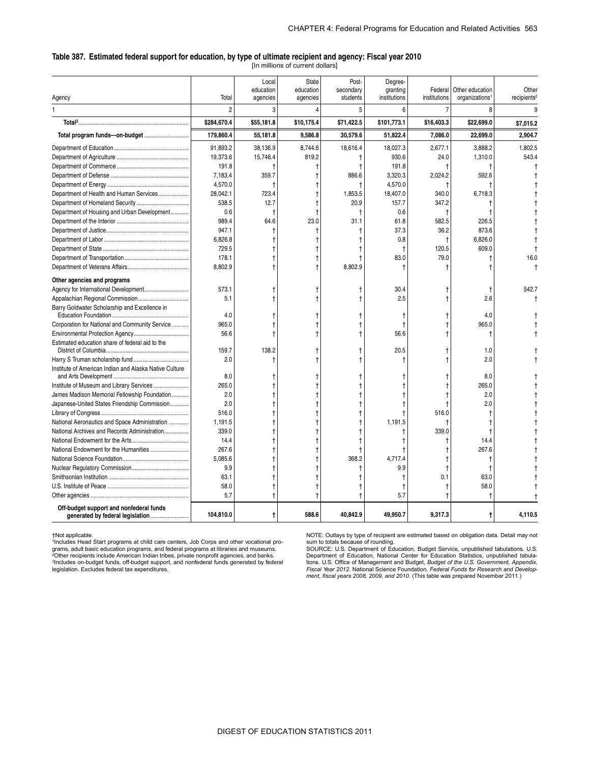#### **Table 387. Estimated federal support for education, by type of ultimate recipient and agency: Fiscal year 2010**

[In millions of current dollars]

|                                                        |             | Local<br>education | <b>State</b><br>education | Post-<br>secondary | Degree-<br>granting | Federal       | Other education            | Other                   |
|--------------------------------------------------------|-------------|--------------------|---------------------------|--------------------|---------------------|---------------|----------------------------|-------------------------|
| Agency                                                 | Total       | agencies           | agencies                  | students           | institutions        | institutions  | organizations <sup>1</sup> | recipients <sup>2</sup> |
| 1                                                      | 2           | 3                  | 4                         | 5                  | 6                   | 7             | 8                          |                         |
|                                                        | \$284,670.4 | \$55,181.8         | \$10,175.4                | \$71,422.5         | \$101,773.1         | \$16,403.3    | \$22,699.0                 | \$7,015.2               |
|                                                        | 179,860.4   | 55,181.8           | 9,586.8                   | 30,579.6           | 51,822.4            | 7,086.0       | 22,699.0                   | 2,904.7                 |
|                                                        | 91.893.2    | 38,136.9           | 8.744.6                   | 18,616.4           | 18,027.3            | 2.677.1       | 3,888.2                    | 1.802.5                 |
|                                                        | 19.373.6    | 15,746.4           | 819.2                     | Ť                  | 930.6               | 24.0          | 1,310.0                    | 543.4                   |
|                                                        | 191.8       |                    |                           | t                  | 191.8               |               |                            |                         |
|                                                        | 7,183.4     | 359.7              |                           | 886.6              | 3,320.3             | 2,024.2       | 592.6                      |                         |
|                                                        | 4,570.0     | 1                  |                           |                    | 4,570.0             |               |                            |                         |
| Department of Health and Human Services                | 28,042.1    | 723.4              |                           | 1,853.5            | 18,407.0            | 340.0         | 6,718.3                    |                         |
|                                                        | 538.5       | 12.7               |                           | 20.9               | 157.7               | 347.2         |                            |                         |
| Department of Housing and Urban Development            | 0.6         | $\ddagger$         |                           | $\ddagger$         | 0.6                 | $\mathsf{t}$  |                            |                         |
|                                                        | 989.4       | 64.6               | 23.0                      | 31.1               | 61.8                | 582.5         | 226.5                      |                         |
|                                                        | 947.1       | $^\mathrm{+}$      |                           | t                  | 37.3                | 36.2          | 873.6                      |                         |
|                                                        | 6.826.8     |                    |                           |                    | 0.8                 | $\ddagger$    | 6.826.0                    |                         |
|                                                        | 729.5       |                    |                           |                    | t                   | 120.5         | 609.0                      |                         |
|                                                        | 178.1       |                    |                           |                    | 83.0                | 79.0          |                            | 16.0                    |
|                                                        | 8,802.9     |                    |                           | 8,802.9            |                     |               |                            |                         |
| Other agencies and programs                            |             |                    |                           |                    |                     |               |                            |                         |
|                                                        | 573.1       |                    |                           |                    | 30.4                |               |                            | 542.7                   |
|                                                        | 5.1         |                    |                           |                    | 2.5                 |               | 2.6                        |                         |
| Barry Goldwater Scholarship and Excellence in          | 4.0         |                    |                           |                    | t                   |               | 4.0                        |                         |
| Corporation for National and Community Service         | 965.0       |                    |                           |                    | t                   |               | 965.0                      |                         |
|                                                        | 56.6        |                    |                           |                    | 56.6                |               |                            |                         |
| Estimated education share of federal aid to the        | 159.7       | 138.2              |                           |                    | 20.5                |               | 1.0                        |                         |
|                                                        | 2.0         | $\mathbf +$        |                           |                    |                     |               | 2.0                        |                         |
| Institute of American Indian and Alaska Native Culture |             |                    |                           |                    |                     |               |                            |                         |
|                                                        | 8.0         |                    |                           |                    |                     |               | 8.0                        |                         |
|                                                        | 265.0       |                    |                           |                    |                     |               | 265.0                      |                         |
| James Madison Memorial Fellowship Foundation           | 2.0         |                    |                           |                    |                     |               | 2.0                        |                         |
| Japanese-United States Friendship Commission           | 2.0         |                    |                           |                    |                     |               | 2.0                        |                         |
|                                                        | 516.0       |                    |                           |                    |                     | 516.0         |                            |                         |
| National Aeronautics and Space Administration          | 1,191.5     |                    |                           |                    | 1,191.5             | $\mathsf{t}$  |                            |                         |
| National Archives and Records Administration           | 339.0       |                    |                           |                    | t                   | 339.0         |                            |                         |
|                                                        | 14.4        |                    |                           |                    | t                   |               | 14.4                       |                         |
|                                                        | 267.6       |                    |                           |                    |                     |               | 267.6                      |                         |
|                                                        | 5.085.6     |                    |                           | 368.2              | 4.717.4             |               |                            |                         |
|                                                        | 9.9         |                    |                           |                    | 9.9                 | $^\mathrm{+}$ |                            |                         |
|                                                        | 63.1        |                    |                           |                    |                     | 0.1           | 63.0                       |                         |
|                                                        | 58.0        |                    |                           |                    | t                   |               | 58.0                       |                         |
|                                                        | 5.7         |                    |                           |                    | 5.7                 |               | t                          |                         |
| Off-budget support and nonfederal funds                | 104,810.0   | t                  | 588.6                     | 40,842.9           | 49,950.7            | 9,317.3       | t                          | 4,110.5                 |

†Not applicable.<br><sup>1</sup>Includes Head Start programs at child care centers, Job Corps and other vocational programs, adult basic education programs, and federal programs at libraries and museums.<br><sup>2</sup>Other recipients include American Indian tribes, private nonprofit agencies, and banks.<br><sup>3</sup>Includes on-budget funds, off-budget supp legislation. Excludes federal tax expenditures.

NOTE: Outlays by type of recipient are estimated based on obligation data. Detail may not sum to totals because of rounding.

SOURCE: U.S. Department of Education, Budget Service, unpublished tabulations. U.S. Department of Education, National Center for Education Statistics, unpublished tabula-tions. U.S. Office of Management and Budget, *Budget of the U.S. Government, Appendix*, *Fiscal Year 2012*. National Science Foundation, *Federal Funds for Research and Develop-ment*, *fiscal years 2008, 2009, and 2010*. (This table was prepared November 2011.)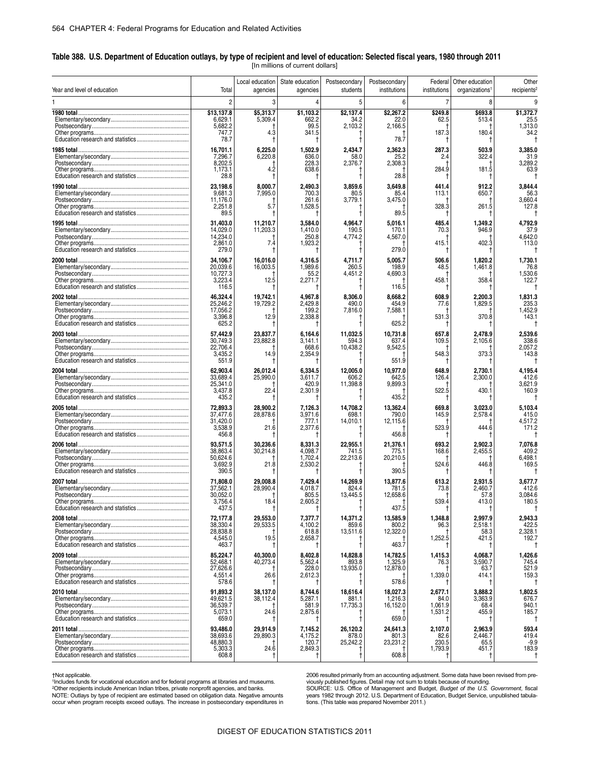#### **Table 388. U.S. Department of Education outlays, by type of recipient and level of education: Selected fiscal years, 1980 through 2011**  [In millions of current dollars]

| Year and level of education<br>Total<br>students<br>institutions<br>institutions<br>organizations <sup>1</sup><br>agencies<br>agencies<br>$\overline{2}$<br>$\overline{7}$<br>3<br>5<br>6<br>8<br>\$5,313.7<br>\$2,137.4<br>\$2,267.2<br>\$13,137.8<br>\$1,103.2<br>\$249.8<br>\$693.8<br>6,629.1<br>5,309.4<br>662.2<br>34.2<br>22.0<br>62.5<br>513.4<br>5,682.2<br>99.5<br>2,103.2<br>2,166.5<br>747.7<br>4.3<br>341.5<br>187.3<br>180.4<br>78.7 | recipients <sup>2</sup><br>\$1,372.7<br>25.5<br>1,313.0<br>34.2<br>3,385.0<br>31.9<br>3,289.2 |
|----------------------------------------------------------------------------------------------------------------------------------------------------------------------------------------------------------------------------------------------------------------------------------------------------------------------------------------------------------------------------------------------------------------------------------------------------|-----------------------------------------------------------------------------------------------|
|                                                                                                                                                                                                                                                                                                                                                                                                                                                    |                                                                                               |
|                                                                                                                                                                                                                                                                                                                                                                                                                                                    |                                                                                               |
|                                                                                                                                                                                                                                                                                                                                                                                                                                                    |                                                                                               |
|                                                                                                                                                                                                                                                                                                                                                                                                                                                    |                                                                                               |
| 78.7<br>t                                                                                                                                                                                                                                                                                                                                                                                                                                          |                                                                                               |
| 16,701.1<br>6,225.0<br>1,502.9<br>2,434.7<br>2,362.3<br>287.3<br>503.9<br>6,220.8<br>322.4<br>25.2                                                                                                                                                                                                                                                                                                                                                 |                                                                                               |
| 7,296.7<br>636.0<br>58.0<br>2.4<br>8,202.5<br>228.3<br>2,376.7<br>2,308.3                                                                                                                                                                                                                                                                                                                                                                          |                                                                                               |
| 4.2<br>638.6<br>284.9<br>1,173.1<br>181.5<br>28.8<br>28.8                                                                                                                                                                                                                                                                                                                                                                                          | 63.9                                                                                          |
| t<br>23.198.6<br>8,000.7<br>2.490.3<br>3.859.6<br>912.2                                                                                                                                                                                                                                                                                                                                                                                            |                                                                                               |
| 3,649.8<br>441.4<br>7,995.0<br>9,681.3<br>700.3<br>80.5<br>85.4<br>113.1<br>650.7                                                                                                                                                                                                                                                                                                                                                                  | 3.844.4<br>56.3                                                                               |
| 261.6<br>11,176.0<br>3,779.1<br>3,475.0<br>1,528.5<br>328.3<br>261.5<br>2,251.8<br>5.7                                                                                                                                                                                                                                                                                                                                                             | 3,660.4<br>127.8                                                                              |
| 89.5<br>89.5                                                                                                                                                                                                                                                                                                                                                                                                                                       |                                                                                               |
| 31,403.0<br>11,210.7<br>3,584.0<br>4,964.7<br>5,016.1<br>1,349.2<br>485.4                                                                                                                                                                                                                                                                                                                                                                          | 4,792.9                                                                                       |
| 14,029.0<br>11,203.3<br>1,410.0<br>190.5<br>170.1<br>946.9<br>70.3<br>14,234.0<br>250.8                                                                                                                                                                                                                                                                                                                                                            | 37.9<br>4.642.0                                                                               |
| 4,567.0<br>4,774.2<br>402.3<br>7.4<br>2,861.0<br>1,923.2<br>415.1                                                                                                                                                                                                                                                                                                                                                                                  | 113.0                                                                                         |
| 279.0<br>279.0<br>Ť                                                                                                                                                                                                                                                                                                                                                                                                                                |                                                                                               |
| 34.106.7<br>16.016.0<br>4,316.5<br>5,005.7<br>506.6<br>1,820.2<br>4,711.7<br>20,039.6<br>16,003.5<br>1,989.6<br>260.5<br>198.9<br>48.5<br>1,461.8                                                                                                                                                                                                                                                                                                  | 1,730.1<br>76.8                                                                               |
| 10,727.3<br>55.2<br>4,451.2<br>4,690.3                                                                                                                                                                                                                                                                                                                                                                                                             | 1,530.6                                                                                       |
| 3,223.4<br>458.1<br>358.4<br>12.5<br>2,271.7<br>116.5<br>116.5<br>t<br>-1                                                                                                                                                                                                                                                                                                                                                                          | 122.7                                                                                         |
| 46.324.4<br>19,742.1<br>8,306.0<br>8,668.2<br>608.9<br>2,200.3<br>4,967.8                                                                                                                                                                                                                                                                                                                                                                          | 1,831.3                                                                                       |
| 454.9<br>25,246.2<br>19.729.2<br>2,429.8<br>490.0<br>1,829.5<br>77.6                                                                                                                                                                                                                                                                                                                                                                               | 235.3                                                                                         |
| 199.2<br>7,588.1<br>17,056.2<br>7.816.0<br>12.9<br>531.3<br>370.8<br>3,396.8<br>2,338.8                                                                                                                                                                                                                                                                                                                                                            | 1,452.9<br>143.1                                                                              |
| 625.2<br>625.2                                                                                                                                                                                                                                                                                                                                                                                                                                     |                                                                                               |
| 57.442.9<br>23,837.7<br>11,032.5<br>10,731.8<br>2,478.9<br>6,164.6<br>657.8                                                                                                                                                                                                                                                                                                                                                                        | 2.539.6                                                                                       |
| 23,882.8<br>30,749.3<br>3,141.1<br>594.3<br>637.4<br>109.5<br>2.105.6<br>10,438.2<br>22,706.4<br>668.6<br>9,542.5                                                                                                                                                                                                                                                                                                                                  | 338.6<br>2,057.2                                                                              |
| 3,435.2<br>14.9<br>548.3<br>373.3<br>2,354.9                                                                                                                                                                                                                                                                                                                                                                                                       | 143.8                                                                                         |
| 551.9<br>551.9                                                                                                                                                                                                                                                                                                                                                                                                                                     |                                                                                               |
| 62,903.4<br>26,012.4<br>12,005.0<br>10,977.0<br>2,730.1<br>6,334.5<br>648.9<br>33,689.4<br>25,990.0<br>3,611.7<br>606.2<br>642.5<br>126.4<br>2,300.0                                                                                                                                                                                                                                                                                               | 4,195.4<br>412.6                                                                              |
| 25,341.0<br>420.9<br>11,398.8<br>9,899.3                                                                                                                                                                                                                                                                                                                                                                                                           | 3,621.9                                                                                       |
| 3,437.8<br>522.5<br>22.4<br>2,301.9<br>430.1<br>435.2<br>435.2                                                                                                                                                                                                                                                                                                                                                                                     | 160.9                                                                                         |
| 72.893.3<br>28,900.2<br>7.126.3<br>14,708.2<br>13.362.4<br>669.8<br>3.023.0                                                                                                                                                                                                                                                                                                                                                                        | 5,103.4                                                                                       |
| 37,477.6<br>28,878.6<br>3,971.6<br>698.1<br>790.0<br>145.9<br>2,578.4                                                                                                                                                                                                                                                                                                                                                                              | 415.0                                                                                         |
| 31,420.0<br>777.1<br>14,010.1<br>12,115.6<br>21.6<br>3,538.9<br>523.9<br>444.6<br>2,377.6                                                                                                                                                                                                                                                                                                                                                          | 4,517.2<br>171.2                                                                              |
| 456.8<br>456.8<br>Ť                                                                                                                                                                                                                                                                                                                                                                                                                                |                                                                                               |
| 93,571.5<br>30,236.6<br>8,331.3<br>22,955.1<br>21,376.1<br>693.2<br>2,902.3                                                                                                                                                                                                                                                                                                                                                                        | 7,076.8                                                                                       |
| 4,098.7<br>38,863.4<br>30,214.8<br>741.5<br>775.1<br>168.6<br>2,455.5<br>50,624.6<br>1,702.4<br>22,213.6<br>20,210.5                                                                                                                                                                                                                                                                                                                               | 409.2<br>6,498.1                                                                              |
| 524.6<br>3,692.9<br>21.8<br>2,530.2<br>446.8<br>390.5<br>390.5<br>Ť                                                                                                                                                                                                                                                                                                                                                                                | 169.5                                                                                         |
| 71.808.0<br>29,008.8<br>7,429.4<br>14,269.9<br>13,877.6<br>613.2<br>2.931.5                                                                                                                                                                                                                                                                                                                                                                        | 3.677.7                                                                                       |
| 37,562.1<br>28,990.4<br>4,018.7<br>781.5<br>2,460.7<br>824.4<br>73.8                                                                                                                                                                                                                                                                                                                                                                               | 412.6                                                                                         |
| 30,052.0<br>805.5<br>13,445.5<br>12,658.6<br>57.8<br>18.4<br>2,605.2<br>539.4<br>3,756.4<br>413.0<br>Ť                                                                                                                                                                                                                                                                                                                                             | 3,084.6<br>180.5                                                                              |
| 437.5<br>437.5                                                                                                                                                                                                                                                                                                                                                                                                                                     |                                                                                               |
| 72,177.8<br>29,553.0<br>7,377.7<br>14,371.2<br>13,585.9<br>1,348.8<br>2,997.9                                                                                                                                                                                                                                                                                                                                                                      | 2,943.3                                                                                       |
| 38,330.4<br>29,533.5<br>4,100.2<br>859.6<br>800.2<br>96.3<br>2,518.1<br>28,838.8<br>618.8<br>13,511.6<br>12,322.0<br>58.3                                                                                                                                                                                                                                                                                                                          | 422.5<br>2,328.1                                                                              |
| 19.5<br>1,252.5<br>4,545.0<br>2,658.7<br>421.5                                                                                                                                                                                                                                                                                                                                                                                                     | 192.7                                                                                         |
| 463.7<br>463.7<br>Ť<br>Ť                                                                                                                                                                                                                                                                                                                                                                                                                           | $\ddagger$                                                                                    |
| 85,224.7<br>40.300.0<br>8,402.8<br>14,828.8<br>14,782.5<br>1,415.3<br>4.068.7<br>52,468.1<br>40,273.4<br>5,562.4<br>1,325.9<br>3,590.7<br>893.8<br>76.3                                                                                                                                                                                                                                                                                            | 1,426.6<br>745.4                                                                              |
| 27,626.6<br>228.0<br>13,935.0<br>12,878.0<br>63.7                                                                                                                                                                                                                                                                                                                                                                                                  | 521.9                                                                                         |
| 4,551.4<br>26.6<br>1,339.0<br>2,612.3<br>414.1<br>578.6<br>578.6<br>t<br>t<br>Ť                                                                                                                                                                                                                                                                                                                                                                    | 159.3<br>Ť                                                                                    |
| 91,893.2<br>8,744.6<br>18,616.4<br>18,027.3<br>2,677.1<br>3,888.2<br>38,137.0                                                                                                                                                                                                                                                                                                                                                                      | 1,802.5                                                                                       |
| 49,621.5<br>1,216.3<br>38,112.4<br>5,287.1<br>881.1<br>84.0<br>3,363.9<br>36,539.7<br>1,061.9<br>581.9                                                                                                                                                                                                                                                                                                                                             | 676.7<br>940.1                                                                                |
| 17,735.3<br>16,152.0<br>68.4<br>24.6<br>5,073.1<br>2,875.6<br>1,531.2<br>455.9                                                                                                                                                                                                                                                                                                                                                                     | 185.7                                                                                         |
| 659.0<br>659.0                                                                                                                                                                                                                                                                                                                                                                                                                                     |                                                                                               |
| 93,486.0<br>29,914.9<br>7,145.2<br>26,120.2<br>24,641.3<br>2,107.0<br>2,963.9<br>38,693.6<br>29,890.3<br>2,446.7<br>4,175.2<br>878.0<br>801.3<br>82.6                                                                                                                                                                                                                                                                                              | 593.4<br>419.4                                                                                |
| 48,880.3<br>25,242.2<br>23,231.2<br>230.5<br>120.7<br>65.5                                                                                                                                                                                                                                                                                                                                                                                         | $-9.9$                                                                                        |
| 24.6<br>5,303.3<br>1,793.9<br>2,849.3<br>451.7<br>608.8<br>608.8<br>t<br>$\ddagger$<br>$^{\dagger}$<br>Ť<br>Ť                                                                                                                                                                                                                                                                                                                                      | 183.9<br>$^\dagger$                                                                           |

For recipients include American Indian tribes, private nonprofit agencies, and banks.<br>NOTE: Outlays by type of recipient are estimated based on obligation data. Negative amounts<br>occur when program receipts exceed outlays.

thot applicable. "Hot applicable to the data have been revised from pre-<br>"Includes funds for vocational education and for federal programs at libraries and museums. "No viously published figures. Detail may not sunding. D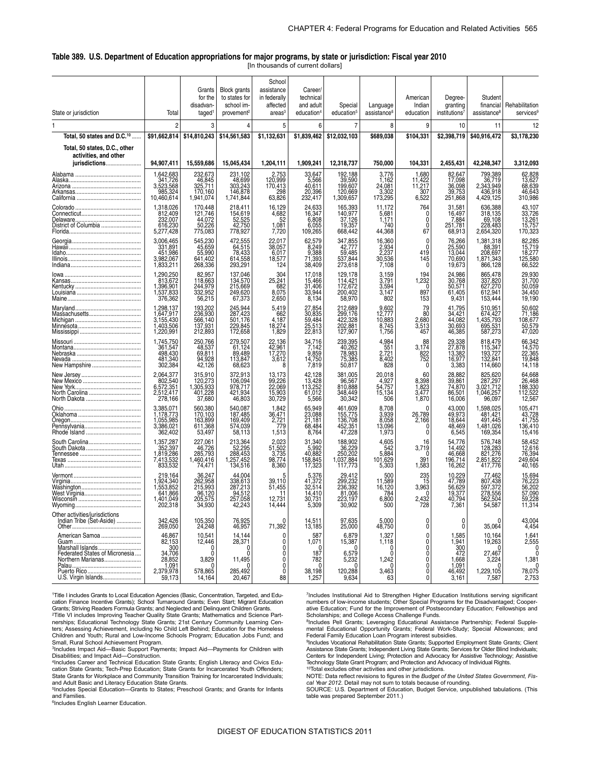#### **Table 389. U.S. Department of Education appropriations for major programs, by state or jurisdiction: Fiscal year 2010**  [In thousands of current dollars]

| State or jurisdiction                              | Total                               | Grants<br>for the<br>disadvan-<br>taged | <b>Block grants</b><br>to states for<br>school im-<br>provement <sup>2</sup> | School<br>assistance<br>in federally<br>affected<br>areas <sup>3</sup> | Career/<br>technical<br>and adult<br>education <sup>4</sup> | Special<br>education <sup>5</sup> | Language<br>assistance <sup>6</sup> | American<br>Indian<br>education | Degree-<br>granting<br>institutions <sup>7</sup> | Student<br>financial<br>assistance <sup>8</sup> | Rehabilitation<br>services <sup>9</sup> |
|----------------------------------------------------|-------------------------------------|-----------------------------------------|------------------------------------------------------------------------------|------------------------------------------------------------------------|-------------------------------------------------------------|-----------------------------------|-------------------------------------|---------------------------------|--------------------------------------------------|-------------------------------------------------|-----------------------------------------|
| 1                                                  | $\overline{2}$                      | 3                                       | 4                                                                            | 5                                                                      | 6                                                           | 7                                 | 8                                   | 9                               | 10                                               | 11                                              | 12                                      |
| Total, 50 states and D.C. <sup>10</sup>            | \$91,662,814                        | \$14,810,243                            | \$14,561,583                                                                 | \$1,132,631                                                            | \$1,839,462                                                 | \$12,032,103                      | \$689,038                           | \$104,331                       | \$2,398,719                                      | \$40,916,472                                    | \$3,178,230                             |
| Total, 50 states, D.C., other                      |                                     |                                         |                                                                              |                                                                        |                                                             |                                   |                                     |                                 |                                                  |                                                 |                                         |
| activities, and other<br>jurisdictions             | 94,907,411                          | 15,559,686                              | 15,045,434                                                                   | 1,204,111                                                              | 1,909,241                                                   | 12,318,737                        | 750,000                             | 104,331                         | 2,455,431                                        | 42,248,347                                      | 3,312,093                               |
|                                                    | 1,642,683                           | 232,673                                 | 231,102                                                                      | 2,753<br>120,999                                                       | 33,647                                                      | 192,188                           | 3,776                               | 1,680                           | 82,647                                           | 799,389                                         | 62,828                                  |
|                                                    | 3,523,568                           | 46,845<br>325,711                       | 48,699<br>303,243                                                            | 170,413                                                                | 5,566<br>40,611                                             | 39,590<br>199,607                 | 1,162<br>24,081                     | 11,422<br>11,217                | 17,098<br>36,098                                 | 36,719<br>2,343,949                             | 13,627<br>68,639                        |
|                                                    | 985,324<br>10,460,614               | 170,160<br>1,941,074                    | 146,878<br>1,741,844                                                         | 298<br>63,826                                                          | 20,396<br>232,417                                           | 120,669<br>1,309,657              | 3,302<br>173,295                    | 307<br>6,522                    | 39,753<br>251,868                                | 436,918<br>4,429,125                            | 46,643<br>310,986                       |
|                                                    | 1,318,026<br>812,409                | 170,448<br>121,746                      | 218,411<br>154,619                                                           | 16,129<br>4,682                                                        | 24,633<br>16,347                                            | 165,393<br>140,977                | 11,172<br>5,681                     | 764<br>$\Omega$                 | 31,581<br>16,497                                 | 636,388<br>318,135                              | 43,107<br>33,726                        |
| District of Columbia                               | 232,007<br>616,230                  | 44,072<br>50,226                        | 52,525<br>42,750                                                             | 52<br>1,081                                                            | 6,808<br>6,055                                              | 37,126<br>19,357                  | 1,171<br>740                        | 0<br>0                          | 7,884<br>251,781                                 | 69,108<br>228,483                               | 13,261<br>15,757                        |
|                                                    | 5,277,428<br>3,006,465              | 775,083<br>545,230                      | 778,927<br>472,555                                                           | 7,720<br>22,017                                                        | 109,265<br>62,579                                           | 668,442<br>347,855                | 44,368<br>16,360                    | 67<br>C                         | 68,913<br>76,266                                 | 2,654,320<br>1,381,318                          | 170,323                                 |
|                                                    | 331,891<br>451,986                  | 45,659<br>55,990                        | 64,515<br>78,433                                                             | 38,057<br>6,017                                                        | 8,249<br>9,388                                              | 42,777<br>59,485                  | 2,934<br>2,237                      | $\Omega$<br>419                 | 25,590<br>13,044                                 | 88,391<br>208,697                               | 82,285<br>15,719<br>18,277              |
|                                                    | 3,982,067<br>1,833,211              | 641,402<br>268,336                      | 614,558<br>293,291                                                           | 18,577<br>124                                                          | 71,393<br>38,409                                            | 537,844<br>273,618                | 30,536<br>7,108                     | 145<br>C                        | 70,690<br>19,673                                 | 1,871,343<br>866,128                            | 125,580<br>66,522                       |
|                                                    | 1,290,250                           | 82,957                                  | 137,046                                                                      | 304                                                                    | 17,018                                                      | 129,178                           | 3,159                               | 194                             | 24,986                                           | 865,478                                         | 29,930                                  |
|                                                    | 813,672<br>1,396,901                | 118,663<br>244,979                      | 134,570<br>215,669                                                           | 25,241<br>682                                                          | 15,466<br>31,406                                            | 114,421<br>172,672                | 3,791<br>3,594                      | 1,232<br>$\mathbf{C}$           | 30,768<br>50,571                                 | 337,820<br>627,270                              | 31,700<br>50,059                        |
|                                                    | 1,537,833<br>376,362                | 332,952<br>56,215                       | 249,620<br>67,373                                                            | 8,075<br>2,650                                                         | 33,944<br>8,134                                             | 200,402<br>58,970                 | 3,147<br>802                        | 897<br>153                      | 61,405<br>9,431                                  | 612,941<br>153,444                              | 34,450<br>19,190                        |
|                                                    | 1,298,137                           | 193,202<br>236,930                      | 245,944<br>287,423                                                           | 5,419<br>662                                                           | 27,854<br>30,835                                            | 212,689<br>299,176                | 9,602<br>12,777                     | 79<br>80                        | 41,795<br>34,421                                 | 510,951<br>674,427                              | 50,602<br>71,186                        |
|                                                    | 1,647,917<br>3,155,430<br>1,403,506 | 566,140<br>137,931                      | 501.176<br>229,845                                                           | 4,187<br>18.274                                                        | 59,484<br>25,513                                            | 422,328<br>202,881                | 10,883<br>8,745                     | 2,680<br>3,513                  | 44,082<br>30,693                                 | 1,435,793<br>695,531                            | 108,677<br>50,579                       |
|                                                    | 1,220,991<br>1,745,750              | 212,893<br>250,766                      | 172,658<br>279.507                                                           | 1,829                                                                  | 22,813<br>34,716                                            | 127,907<br>239.395                | 1,756                               | 457                             | 46,385                                           | 587,273<br>818.479                              | 47,020<br>66,342                        |
|                                                    | 361,547                             | 48,537<br>69,811                        | 61,124<br>89,489                                                             | 22,136<br>42,961<br>17,270                                             | 7.142<br>9,859                                              | 40,262                            | 4,984<br>551<br>2,721               | 3,174                           | 29,338<br>27,878<br>13,382                       | 115,347<br>193,727<br>132,841                   | 14,570<br>22,365                        |
| New Hampshire                                      | 498,430<br>481,340<br>302,384       | 94,928<br>42,126                        | 113,847<br>68,623                                                            | 3,612<br>8                                                             | 14,750<br>7,819                                             | 78,983<br>75,385<br>50,817        | 8,402<br>828                        | 822<br>752<br>$\Omega$          | 16,977<br>3,383                                  | 114,660                                         | 19,848<br>14,118                        |
|                                                    | 2,064,377                           | 315,910                                 | 372,913                                                                      | 13,173                                                                 | 42,128                                                      | 381,005                           | 20,018                              | 60                              | 28.882                                           | 825.620                                         | 64,668                                  |
|                                                    | 802,540<br>6,572,351                | 120,273<br>1,305,933                    | 106,094<br>978,717                                                           | 99,226<br>22,069                                                       | 13,428<br>113,252                                           | 96,567<br>810,888                 | 4,927<br>54,757                     | 8,398<br>1,823                  | 39,861<br>74,870                                 | 287,297<br>3,021,712                            | 26,468<br>188,330                       |
| North Carolina                                     | 2,512,417<br>278,166                | 401,228<br>37,680                       | 421,934<br>46,803                                                            | 15,903<br>30,729                                                       | 61,012<br>5,566                                             | 348,449<br>30,342                 | 15,134<br>506                       | 3,477<br>1,870                  | 86,501<br>16,006                                 | 1,046,257<br>96,097                             | 112,522<br>12,567                       |
|                                                    | 3,385,071<br>1,178,773              | 560,380<br>170,103                      | 540,087<br>187,485                                                           | 1,842<br>36,471                                                        | 65,949<br>23,088                                            | 461,609<br>155,775                | 8,708<br>3,939                      | 26,789                          | 43,000<br>49,973                                 | 1,598,025<br>481,421                            | 105,471<br>43,728                       |
|                                                    | 1,055,985<br>3,386,021              | 163,899<br>611,368                      | 169,409<br>574,039                                                           | 2,721<br>779                                                           | 21,181<br>68,484                                            | 136,708<br>452,351                | 8,058<br>13,096                     | 2,166                           | 18,644<br>48,469                                 | 491,445<br>1,481,026                            | 41,755<br>136,410                       |
| South Carolina                                     | 362,402                             | 53,497<br>227,061                       | 58,113                                                                       | 1,513<br>2,023                                                         | 8,764<br>31,340                                             | 47,228<br>188,902                 | 1,973                               | $\Omega$<br>16                  | 6,545<br>54,776                                  | 169,354<br>576,748                              | 15,416                                  |
| South Dakota                                       | 1,357,287<br>352,397<br>1,819,286   | 46,726<br>285,793                       | 213,364<br>52,295<br>288,453                                                 | 51,502<br>3,735                                                        | 5,992<br>40,882                                             | 36,229<br>250,202                 | 4,605<br>542<br>5,884               | 3,719<br>$\sqrt{ }$             | 14,492<br>46,668                                 | 128,283<br>821,276                              | 58,452<br>12,616<br>76,394              |
|                                                    | 7,413,532<br>833,532                | 1,460,416<br>74,471                     | 1,257,452<br>134,516                                                         | 98,774<br>8,360                                                        | 158,845<br>17,323                                           | 1,037,884<br>117,773              | 101,629<br>5,303                    | 391<br>1,583                    | 196,714<br>16,262                                | 2,851,822<br>417,776                            | 249,604<br>40,165                       |
|                                                    | 219,164                             | 36,247                                  | 44,004                                                                       | 5                                                                      | 5,376                                                       | 29,412                            | 500                                 | 235                             | 10,229                                           | 77,462                                          | 15,694                                  |
|                                                    | 1,924,340<br>1,553,852              | 262,958<br>215,993                      | 338,613<br>287,213                                                           | 39,110<br>51,455                                                       | 41,372<br>32,514                                            | 299,232<br>236,392                | 11,589<br>16,120                    | 15<br>3,963                     | 47,789<br>56,629                                 | 807,438<br>597,372<br>278,556                   | 76,223<br>56,202                        |
|                                                    | 641,866<br>1,401,049                | 96,120<br>205,575                       | 94,512<br>257,058                                                            | 11<br>12,731                                                           | 14.410<br>30,731                                            | 81,006<br>223.197                 | 784<br>6,800                        | -0<br>2,432                     | 19,377<br>40,794                                 | 562,504                                         | 57,090<br>59,228                        |
| Other activities/jurisdictions                     | 202.310                             | 34,930                                  | 42,243                                                                       | 14,444                                                                 | 5,309                                                       | JU,YUZ                            | วบบ                                 | 720                             | ا 30 ا                                           | 54,567                                          | 11,314                                  |
| Indian Tribe (Set-Aside)                           | 342,426<br>269,050                  | 105,350<br>24,248                       | 76,925<br>46,957                                                             | 0<br>71,392                                                            | 14,511<br>13,185                                            | 97,635<br>25,000                  | 5,000<br>48,750                     | 0<br>Ò                          | 0<br>0                                           | $\Omega$<br>35,064                              | 43,004<br>4,454                         |
| American Samoa                                     | 46,867                              | 10,541<br>12,446                        | 14,144<br>28,371                                                             | 0                                                                      | 587<br>1,071                                                | 6,879<br>15,387                   | 1,327<br>1,118                      | 0<br>0                          | 1,585<br>1,941                                   | 10,164<br>19,263                                | 1,641<br>2,555                          |
| Marshall Islands<br>Federated States of Micronesia | 82,153<br>300                       | 0                                       | 0                                                                            | $\overline{0}$                                                         | 0<br>187                                                    | ∩<br>6,579                        | $\Omega$                            | 0<br>0                          | 300<br>472                                       | 27,467                                          | 0<br>$\mathbf{0}$                       |
| Northern Marianas                                  | 34,706<br>28,852<br>1,091           | 3,829                                   | 11,495<br>0                                                                  | $\begin{matrix} 0 \\ 0 \\ 0 \end{matrix}$                              | 782<br>0                                                    | 5,232<br>$\Omega$                 | 1,242<br>$\mathbf{0}$               | Ô<br>Ò                          | 1,668<br>1,091                                   | 3,224<br>0                                      | 1,381<br>0                              |
| Puerto Rico<br>U.S. Virgin Islands                 | 2,379,978<br>59,173                 | 578,865<br>14,164                       | 285,492<br>20,467                                                            | $\ddot{\mathbf{0}}$<br>88                                              | 38,198<br>1,257                                             | 120,288<br>9,634                  | 3,463<br>63                         | $\pmb{0}$<br>0                  | 46,492<br>3,161                                  | 1,229,105<br>7,587                              | 78,075<br>2,753                         |

 1Title I includes Grants to Local Education Agencies (Basic, Concentration, Targeted, and Education Finance Incentive Grants); School Turnaround Grants; Even Start; Migrant Education Grants; Striving Readers Formula Grants; and Neglected and Delinquent Children Grants.

<sup>2</sup>Title VI includes Improving Teacher Quality State Grants; Mathematics and Science Partnerships; Educational Technology State Grants; 21st Century Community Learning Cen-ters; Assessing Achievement, including No Child Left Behind; Education for the Homeless Children and Youth; Rural and Low-Income Schools Program; Education Jobs Fund; and

Small, Rural School Achievement Program. 3Includes Impact Aid—Basic Support Payments; Impact Aid—Payments for Children with Disabilities; and Impact Aid—Construction.

4Includes Career and Technical Education State Grants; English Literacy and Civics Edu-cation State Grants; Tech-Prep Education; State Grants for Incarcerated Youth Offenders; State Grants for Workplace and Community Transition Training for Incarcerated Individuals;

and Adult Basic and Literacy Education State Grants. 5Includes Special Education—Grants to States; Preschool Grants; and Grants for Infants and Families

6Includes English Learner Education.

7Includes Institutional Aid to Strengthen Higher Education Institutions serving significant numbers of low-income students; Other Special Programs for the Disadvantaged; Cooper-ative Education; Fund for the Improvement of Postsecondary Education; Fellowships and Scholarships; and College Access Challenge Funds.

8Includes Pell Grants; Leveraging Educational Assistance Partnership; Federal Supple-mental Educational Opportunity Grants; Federal Work-Study; Special Allowances; and Federal Family Education Loan Program interest subsidies.

9Includes Vocational Rehabilitation State Grants; Supported Employment State Grants; Client Assistance State Grants; Independent Living State Grants; Services for Older Blind Individuals; Centers for Independent Living; Protection and Advocacy for Assistive Technology; Assistive Technology State Grant Program; and Protection and Advocacy of Individual Rights. 10Total excludes other activities and other jurisdictions.

NOTE: Data reflect revisions to figures in the *Budget of the United States Government, Fiscal Year 2012*. Detail may not sum to totals because of rounding. SOURCE: U.S. Department of Education, Budget Service, unpublished tabulations. (This table was prepared September 2011.)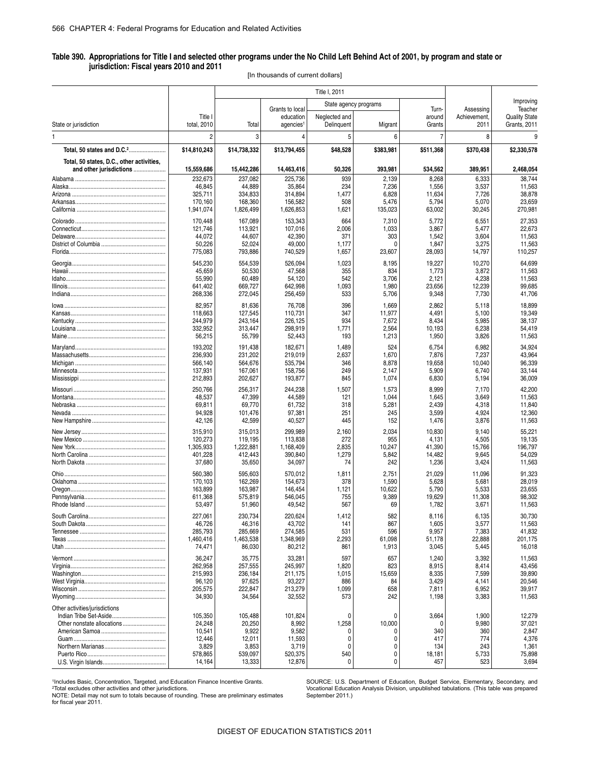#### **Table 390. Appropriations for Title I and selected other programs under the No Child Left Behind Act of 2001, by program and state or jurisdiction: Fiscal years 2010 and 2011**

[In thousands of current dollars]

|                                           |                  |                 | State agency programs        |               |           |                 |                           | Improving                       |
|-------------------------------------------|------------------|-----------------|------------------------------|---------------|-----------|-----------------|---------------------------|---------------------------------|
|                                           | Title I          |                 | Grants to local<br>education | Neglected and |           | Turn-<br>around | Assessing<br>Achievement, | Teacher<br><b>Quality State</b> |
| State or jurisdiction                     | total, 2010      | Total           | agencies <sup>1</sup>        | Delinquent    | Migrant   | Grants          | 2011                      | Grants, 2011                    |
| 1                                         | $\overline{2}$   | 3               | 4                            | 5             | 6         | $\overline{7}$  | 8                         | 9                               |
| Total, 50 states and D.C. <sup>2</sup>    | \$14,810,243     | \$14,738,332    | \$13,794,455                 | \$48,528      | \$383,981 | \$511,368       | \$370,438                 | \$2,330,578                     |
| Total, 50 states, D.C., other activities, |                  |                 |                              |               |           |                 |                           |                                 |
| and other jurisdictions                   | 15,559,686       | 15,442,286      | 14,463,416                   | 50,326        | 393,981   | 534,562         | 389,951                   | 2,468,054                       |
|                                           | 232,673          | 237,082         | 225,736                      | 939           | 2,139     | 8,268           | 6,333                     | 38,744                          |
|                                           | 46,845           | 44,889          | 35,864                       | 234           | 7,236     | 1,556           | 3,537                     | 11,563                          |
|                                           | 325,711          | 334,833         | 314,894                      | 1,477         | 6,828     | 11,634          | 7,726                     | 38,878                          |
|                                           | 170,160          | 168,360         | 156,582                      | 508           | 5,476     | 5,794           | 5,070                     | 23,659                          |
|                                           | 1,941,074        | 1,826,499       | 1,626,853                    | 1,621         | 135,023   | 63,002          | 30,245                    | 270,981                         |
|                                           | 170,448          | 167,089         | 153,343                      | 664           | 7,310     | 5,772           | 6,551                     | 27,353                          |
|                                           | 121,746          | 113,921         | 107,016                      | 2,006         | 1,033     | 3,867           | 5,477                     | 22,673                          |
|                                           | 44,072           | 44,607          | 42,390                       | 371           | 303       | 1,542           | 3,604                     | 11,563                          |
|                                           | 50,226           | 52,024          | 49,000                       | 1,177         | n         | 1,847           | 3,275                     | 11,563                          |
|                                           | 775,083          | 793,886         | 740,529                      | 1,657         | 23,607    | 28,093          | 14,797                    | 110,257                         |
|                                           | 545,230          | 554,539         | 526,094                      | 1,023         | 8,195     | 19,227          | 10,270                    | 64,699                          |
|                                           | 45,659           | 50,530          | 47,568                       | 355           | 834       | 1,773           | 3,872                     | 11,563                          |
|                                           | 55,990           | 60,489          | 54,120                       | 542           | 3,706     | 2,121           | 4,238                     | 11,563                          |
|                                           | 641,402          | 669.727         | 642,998                      | 1,093         | 1,980     | 23,656          | 12,239                    | 99,685                          |
|                                           | 268,336          | 272,045         | 256,459                      | 533           | 5,706     | 9,348           | 7,730                     | 41,706                          |
|                                           | 82,957           | 81,636          | 76,708                       | 396           | 1,669     | 2,862           | 5,118                     | 18,899                          |
|                                           | 118,663          | 127,545         | 110,731                      | 347           | 11,977    | 4,491           | 5,100                     | 19,349                          |
|                                           | 244,979          | 243,164         | 226,125                      | 934           | 7,672     | 8,434           | 5,985                     | 38,137                          |
|                                           | 332,952          | 313,447         | 298,919                      | 1,771         | 2,564     | 10,193          | 6,238                     | 54,419                          |
|                                           | 56,215           | 55,799          | 52,443                       | 193           | 1,213     | 1,950           | 3,826                     | 11,563                          |
|                                           | 193,202          | 191,438         | 182,671                      | 1,489         | 524       | 6,754           | 6,982                     | 34,924                          |
|                                           | 236,930          | 231,202         | 219,019                      | 2,637         | 1,670     | 7,876           | 7,237                     | 43,964                          |
|                                           | 566,140          | 564,676         | 535,794                      | 346           | 8,878     | 19,658          | 10,040                    | 96,339                          |
|                                           | 137,931          | 167,061         | 158,756                      | 249           | 2,147     | 5,909           | 6,740                     | 33,144                          |
|                                           | 212,893          | 202,627         | 193,877                      | 845           | 1,074     | 6,830           | 5,194                     | 36,009                          |
|                                           | 250,766          | 256,317         | 244,238                      | 1,507         | 1,573     | 8,999           | 7,170                     | 42,200                          |
|                                           | 48,537           | 47,399          | 44,589                       | 121           | 1,044     | 1,645           | 3,649                     | 11,563                          |
|                                           | 69,811           | 69,770          | 61,732                       | 318           | 5,281     | 2,439           | 4,318                     | 11,840                          |
|                                           | 94,928           | 101,476         | 97,381                       | 251           | 245       | 3,599           | 4,924                     | 12,360                          |
|                                           | 42,126           | 42,599          | 40,527                       | 445           | 152       | 1,476           | 3,876                     | 11,563                          |
|                                           | 315,910          | 315,013         | 299,989                      | 2,160         | 2,034     | 10,830          | 9,140                     | 55,221                          |
|                                           | 120,273          | 119,195         | 113,838                      | 272           | 955       | 4,131           | 4,505                     | 19,135                          |
|                                           | 1,305,933        | 1,222,881       | 1,168,409                    | 2,835         | 10,247    | 41,390          | 15,766                    | 196,797                         |
|                                           | 401,228          | 412,443         | 390,840                      | 1,279         | 5,842     | 14,482          | 9,645                     | 54,029                          |
|                                           | 37,680           | 35,650          | 34,097                       | 74            | 242       | 1,236           | 3,424                     | 11,563                          |
|                                           | 560,380          | 595.603         | 570,012                      | 1,811         | 2,751     | 21,029          | 11,096                    | 91,323                          |
|                                           | 170,103          | 162,269         | 154,673                      | 378           | 1,590     | 5,628           | 5,681                     | 28,019                          |
|                                           | 163,899          | 163,987         | 146,454                      | 1,121         | 10,622    | 5,790           | 5,533                     | 23,655                          |
|                                           | 611,368          | 575,819         | 546,045                      | 755           | 9,389     | 19,629          | 11,308                    | 98,302                          |
|                                           | 53,497           | 51,960          | 49,542                       | 567           | 69        | 1,782           | 3,671                     | 11,563                          |
|                                           | 227,061          | 230,734         | 220,624                      | 1,412         | 582       | 8,116           | 6,135                     | 30,730                          |
|                                           | 46,726           | 46,316          | 43,702                       | 141           | 867       | 1,605           | 3,577                     | 11,563                          |
|                                           | 285,793          | 285,669         | 274,585                      | 531           | 596       | 9,957           | 7,383                     | 41,832                          |
|                                           | 1,460,416        | 1,463,538       | 1,348,969                    | 2,293         | 61,098    | 51,178          | 22,888                    | 201,175                         |
|                                           | 74,471           | 86,030          | 80,212                       | 861           | 1,913     | 3,045           | 5,445                     | 16,018                          |
|                                           | 36,247           | 35,775          | 33,281                       | 597           | 657       | 1,240           | 3,392                     | 11,563                          |
|                                           | 262,958          | 257,555         | 245,997                      | 1,820         | 823       | 8,915           | 8,414                     | 43,456                          |
|                                           | 215,993          | 236,184         | 211,175                      | 1,015         | 15,659    | 8,335           | 7,599                     | 39,890                          |
|                                           | 96,120           | 97,625          | 93,227                       | 886           | 84        | 3,429           | 4,141                     | 20,546                          |
|                                           | 205,575          | 222,847         | 213,279                      | 1,099<br>573  | 658       | 7,811           | 6,952                     | 39,917                          |
|                                           | 34,930           | 34,564          | 32,552                       |               | 242       | 1,198           | 3,383                     | 11,563                          |
| Other activities/jurisdictions            |                  |                 |                              |               |           |                 |                           |                                 |
|                                           | 105,350          | 105,488         | 101,824                      | 0             | 0         | 3,664           | 1,900                     | 12,279                          |
| Other nonstate allocations                | 24,248           | 20,250          | 8,992                        | 1,258         | 10,000    | $\Omega$        | 9,980                     | 37,021                          |
|                                           | 10,541<br>12,446 | 9,922           | 9,582                        | 0<br>0        | 0         | 340<br>417      | 360<br>774                | 2,847                           |
|                                           | 3,829            | 12,011<br>3,853 | 11,593<br>3,719              | 0             | 0         | 134             | 243                       | 4,376<br>1,361                  |
|                                           | 578,865          | 539,097         | 520,375                      | 540           | 0         | 18,181          | 5,733                     | 75,898                          |
|                                           | 14,164           | 13,333          | 12,876                       | 0             | 0         | 457             | 523                       | 3,694                           |
|                                           |                  |                 |                              |               |           |                 |                           |                                 |

NOTE: Detail may not sum to totals because of rounding. These are preliminary estimates September 2011.)<br>for fiscal year 2011.

SOURCE: U.S. Department of Education, Budget Service, Elementary, Secondary, and Vocational Education Analysis Division, unpublished tabulations. (This table was prepared September 2011.)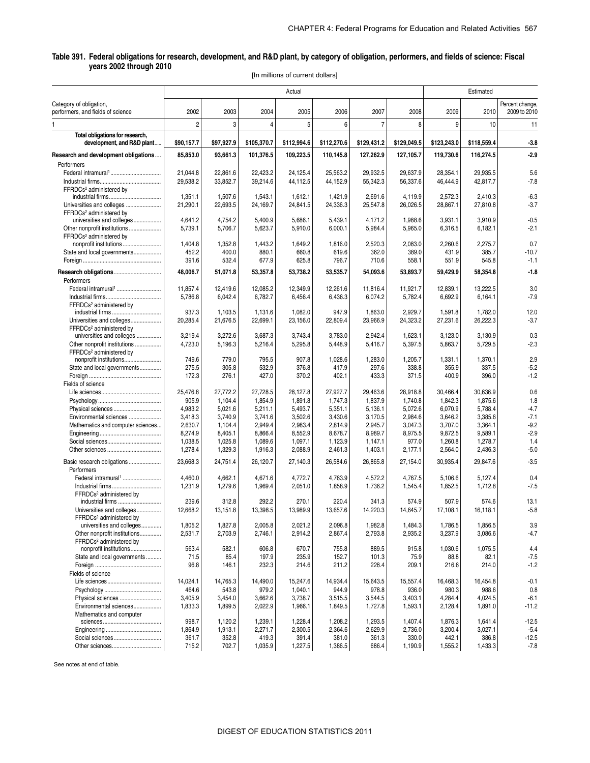#### **Table 391. Federal obligations for research, development, and R&D plant, by category of obligation, performers, and fields of science: Fiscal years 2002 through 2010**

[In millions of current dollars]

|                                                                  | Actual               |                      |                      |                      |                      |                      |                      | Estimated            |                      |                                 |  |
|------------------------------------------------------------------|----------------------|----------------------|----------------------|----------------------|----------------------|----------------------|----------------------|----------------------|----------------------|---------------------------------|--|
| Category of obligation,<br>performers, and fields of science     | 2002                 | 2003                 | 2004                 | 2005                 | 2006                 | 2007                 | 2008                 | 2009                 | 2010                 | Percent change,<br>2009 to 2010 |  |
| 1                                                                | $\overline{2}$       | 3                    | $\overline{4}$       | 5                    | 6                    | $\overline{7}$       | 8                    | 9                    | 10                   | 11                              |  |
| Total obligations for research,<br>development, and R&D plant    | \$90,157.7           | \$97,927.9           | \$105,370.7          | \$112,994.6          | \$112,270.6          | \$129,431.2          | \$129,049.5          | \$123,243.0          | \$118,559.4          | $-3.8$                          |  |
| Research and development obligations                             | 85,853.0             | 93,661.3             | 101,376.5            | 109,223.5            | 110,145.8            | 127,262.9            | 127,105.7            | 119,730.6            | 116,274.5            | $-2.9$                          |  |
| Performers                                                       |                      |                      |                      |                      |                      |                      |                      |                      |                      |                                 |  |
|                                                                  | 21,044.8<br>29,538.2 | 22,861.6<br>33,852.7 | 22,423.2<br>39,214.6 | 24,125.4<br>44,112.5 | 25,563.2<br>44,152.9 | 29,932.5<br>55,342.3 | 29,637.9<br>56,337.6 | 28,354.1<br>46,444.9 | 29,935.5<br>42,817.7 | 5.6<br>$-7.8$                   |  |
| FFRDCs <sup>2</sup> administered by                              |                      |                      |                      |                      |                      |                      |                      |                      |                      |                                 |  |
|                                                                  | 1,351.1              | 1,507.6              | 1,543.1              | 1,612.1              | 1,421.9              | 2,691.6              | 4,119.9              | 2,572.3              | 2,410.3              | $-6.3$                          |  |
| Universities and colleges<br>FFRDCs <sup>2</sup> administered by | 21,290.1             | 22,693.5             | 24,169.7             | 24,841.5             | 24,336.3             | 25,547.8             | 26,026.5             | 28,867.1             | 27,810.8             | $-3.7$                          |  |
| universities and colleges                                        | 4,641.2              | 4,754.2              | 5,400.9              | 5,686.1              | 5,439.1              | 4,171.2              | 1,988.6              | 3,931.1              | 3,910.9              | $-0.5$                          |  |
| Other nonprofit institutions                                     | 5,739.1              | 5,706.7              | 5,623.7              | 5,910.0              | 6,000.1              | 5,984.4              | 5,965.0              | 6,316.5              | 6,182.1              | $-2.1$                          |  |
| FFRDCs <sup>2</sup> administered by                              |                      |                      |                      |                      |                      |                      |                      |                      |                      |                                 |  |
| nonprofit institutions                                           | 1,404.8              | 1,352.8              | 1,443.2              | 1,649.2              | 1,816.0              | 2,520.3              | 2,083.0              | 2,260.6              | 2,275.7              | 0.7                             |  |
| State and local governments                                      | 452.2                | 400.0                | 880.1                | 660.8                | 619.6                | 362.0                | 389.0                | 431.9                | 385.7                | $-10.7$                         |  |
|                                                                  | 391.6                | 532.4                | 677.9                | 625.8                | 796.7                | 710.6                | 558.1                | 551.9                | 545.8                | $-1.1$                          |  |
| Research obligations                                             | 48,006.7             | 51,071.8             | 53,357.8             | 53,738.2             | 53,535.7             | 54,093.6             | 53,893.7             | 59,429.9             | 58,354.8             | $-1.8$                          |  |
| Performers                                                       |                      |                      |                      |                      |                      |                      |                      |                      |                      |                                 |  |
| Federal intramural <sup>1</sup>                                  | 11,857.4             | 12,419.6             | 12,085.2             | 12,349.9             | 12,261.6             | 11,816.4             | 11,921.7             | 12,839.1             | 13,222.5             | 3.0                             |  |
|                                                                  | 5,786.8              | 6,042.4              | 6,782.7              | 6,456.4              | 6,436.3              | 6,074.2              | 5,782.4              | 6,692.9              | 6,164.1              | $-7.9$                          |  |
| FFRDCs <sup>2</sup> administered by                              |                      |                      |                      |                      |                      |                      |                      |                      |                      |                                 |  |
| industrial firms                                                 | 937.3                | 1,103.5              | 1,131.6              | 1,082.0              | 947.9                | 1,863.0              | 2,929.7              | 1,591.8              | 1,782.0              | 12.0                            |  |
| Universities and colleges                                        | 20,285.4             | 21,676.5             | 22,699.1             | 23,156.0             | 22,809.4             | 23,966.9             | 24,323.2             | 27,231.6             | 26,222.3             | $-3.7$                          |  |
| FFRDCs <sup>2</sup> administered by                              |                      |                      |                      |                      |                      |                      |                      |                      |                      |                                 |  |
| universities and colleges                                        | 3,219.4              | 3,272.6              | 3,687.3              | 3,743.4              | 3,783.0              | 2,942.4              | 1,623.1              | 3,123.0              | 3,130.9              | 0.3                             |  |
| Other nonprofit institutions                                     | 4,723.0              | 5,196.3              | 5,216.4              | 5,295.8              | 5,448.9              | 5,416.7              | 5,397.5              | 5,863.7              | 5,729.5              | $-2.3$                          |  |
| FFRDCs <sup>2</sup> administered by                              |                      |                      |                      |                      |                      |                      |                      |                      |                      |                                 |  |
| nonprofit institutions                                           | 749.6                | 779.0                | 795.5                | 907.8                | 1,028.6              | 1,283.0              | 1,205.7              | 1,331.1              | 1,370.1              | 2.9                             |  |
| State and local governments                                      | 275.5                | 305.8                | 532.9                | 376.8                | 417.9                | 297.6                | 338.8                | 355.9                | 337.5                | $-5.2$<br>$-1.2$                |  |
| Fields of science                                                | 172.3                | 276.1                | 427.0                | 370.2                | 402.1                | 433.3                | 371.5                | 400.9                | 396.0                |                                 |  |
|                                                                  | 25,476.8             | 27,772.2             | 27,728.5             | 28,127.8             | 27,927.7             | 29,463.6             | 28,918.8             | 30,466.4             | 30,636.9             | 0.6                             |  |
|                                                                  | 905.9                | 1,104.4              | 1,854.9              | 1,891.8              | 1,747.3              | 1,837.9              | 1,740.8              | 1,842.3              | 1,875.6              | 1.8                             |  |
| Physical sciences                                                | 4,983.2              | 5,021.6              | 5,211.1              | 5,493.7              | 5,351.1              | 5,136.1              | 5,072.6              | 6,070.9              | 5,788.4              | $-4.7$                          |  |
| Environmental sciences                                           | 3,418.3              | 3,740.9              | 3,741.6              | 3,502.6              | 3,430.6              | 3,170.5              | 2,984.6              | 3,646.2              | 3,385.6              | $-7.1$                          |  |
| Mathematics and computer sciences                                | 2,630.7              | 1,104.4              | 2,949.4              | 2,983.4              | 2,814.9              | 2,945.7              | 3,047.3              | 3,707.0              | 3,364.1              | $-9.2$                          |  |
|                                                                  | 8,274.9              | 8,405.1              | 8,866.4              | 8,552.9              | 8,678.7              | 8,989.7              | 8,975.5              | 9,872.5              | 9,589.1              | $-2.9$                          |  |
|                                                                  | 1,038.5              | 1,025.8              | 1,089.6              | 1,097.1              | 1,123.9              | 1,147.1              | 977.0                | 1,260.8              | 1,278.7              | 1.4                             |  |
|                                                                  | 1,278.4              | 1,329.3              | 1,916.3              | 2,088.9              | 2,461.3              | 1,403.1              | 2,177.1              | 2,564.0              | 2,436.3              | $-5.0$                          |  |
| Basic research obligations                                       | 23,668.3             | 24,751.4             | 26.120.7             | 27,140.3             | 26,584.6             | 26,865.8             | 27,154.0             | 30,935.4             | 29,847.6             | $-3.5$                          |  |
| Performers                                                       |                      |                      |                      |                      |                      |                      |                      |                      |                      |                                 |  |
| Federal intramural <sup>1</sup><br>Industrial firms              | 4,460.0<br>1,231.9   | 4,662.1<br>1,279.6   | 4,671.6<br>1,969.4   | 4,772.7<br>2,051.0   | 4,763.9<br>1,858.9   | 4,572.2<br>1,736.2   | 4,767.5<br>1,545.4   | 5,106.6<br>1,852.5   | 5,127.4<br>1,712.8   | 0.4<br>$-7.5$                   |  |
| FFRDCs <sup>2</sup> administered by                              |                      |                      |                      |                      |                      |                      |                      |                      |                      |                                 |  |
| industrial firms                                                 | 239.6                | 312.8                | 292.2                | 270.1                | 220.4                | 341.3                | 574.9                | 507.9                | 574.6                | 13.1                            |  |
| Universities and colleges                                        | 12,668.2             | 13,151.8             | 13,398.5             | 13,989.9             | 13,657.6             | 14,220.3             | 14,645.7             | 17,108.1             | 16,118.1             | $-5.8$                          |  |
| FFRDCs <sup>2</sup> administered by                              |                      |                      |                      |                      |                      |                      |                      |                      |                      |                                 |  |
| universities and colleges                                        | 1,805.2              | 1,827.8              | 2,005.8              | 2,021.2              | 2,096.8              | 1,982.8              | 1,484.3              | 1,786.5              | 1,856.5              | 3.9                             |  |
| Other nonprofit institutions                                     | 2,531.7              | 2,703.9              | 2,746.1              | 2,914.2              | 2,867.4              | 2,793.8              | 2,935.2              | 3,237.9              | 3,086.6              | $-4.7$                          |  |
| FFRDCs <sup>2</sup> administered by                              |                      |                      |                      |                      |                      |                      |                      |                      |                      |                                 |  |
| nonprofit institutions                                           | 563.4                | 582.1                | 606.8                | 670.7                | 755.8                | 889.5                | 915.8                | 1,030.6              | 1,075.5              | 4.4                             |  |
| State and local governments                                      | 71.5                 | 85.4                 | 197.9                | 235.9                | 152.7                | 101.3                | 75.9                 | 88.8                 | 82.1                 | $-7.5$                          |  |
|                                                                  | 96.8                 | 146.1                | 232.3                | 214.6                | 211.2                | 228.4                | 209.1                | 216.6                | 214.0                | $-1.2$                          |  |
| Fields of science                                                |                      |                      |                      |                      |                      |                      |                      |                      |                      |                                 |  |
|                                                                  | 14,024.1             | 14,765.3             | 14,490.0             | 15,247.6             | 14,934.4             | 15,643.5             | 15,557.4             | 16,468.3             | 16.454.8             | $-0.1$                          |  |
|                                                                  | 464.6                | 543.8                | 979.2                | 1,040.1              | 944.9                | 978.8                | 936.0                | 980.3                | 988.6                | 0.8                             |  |
| Physical sciences                                                | 3,405.9              | 3,454.0              | 3,662.6              | 3,738.7              | 3,515.5              | 3,544.5              | 3,403.1              | 4,284.4              | 4,024.5              | $-6.1$                          |  |
| Environmental sciences                                           | 1,833.3              | 1,899.5              | 2,022.9              | 1,966.1              | 1,849.5              | 1,727.8              | 1,593.1              | 2,128.4              | 1,891.0              | $-11.2$                         |  |
| Mathematics and computer                                         | 998.7                | 1,120.2              | 1,239.1              | 1,228.4              | 1,208.2              | 1,293.5              | 1,407.4              | 1,876.3              | 1,641.4              | $-12.5$                         |  |
|                                                                  | 1,864.9              | 1,913.1              | 2,271.7              | 2,300.5              | 2,364.6              | 2,629.9              | 2,736.0              | 3,200.4              | 3,027.1              | $-5.4$                          |  |
| Social sciences                                                  | 361.7                | 352.8                | 419.3                | 391.4                | 381.0                | 361.3                | 330.0                | 442.1                | 386.8                | $-12.5$                         |  |
|                                                                  | 715.2                | 702.7                | 1,035.9              | 1,227.5              | 1,386.5              | 686.4                | 1,190.9              | 1,555.2              | 1,433.3              | $-7.8$                          |  |
|                                                                  |                      |                      |                      |                      |                      |                      |                      |                      |                      |                                 |  |